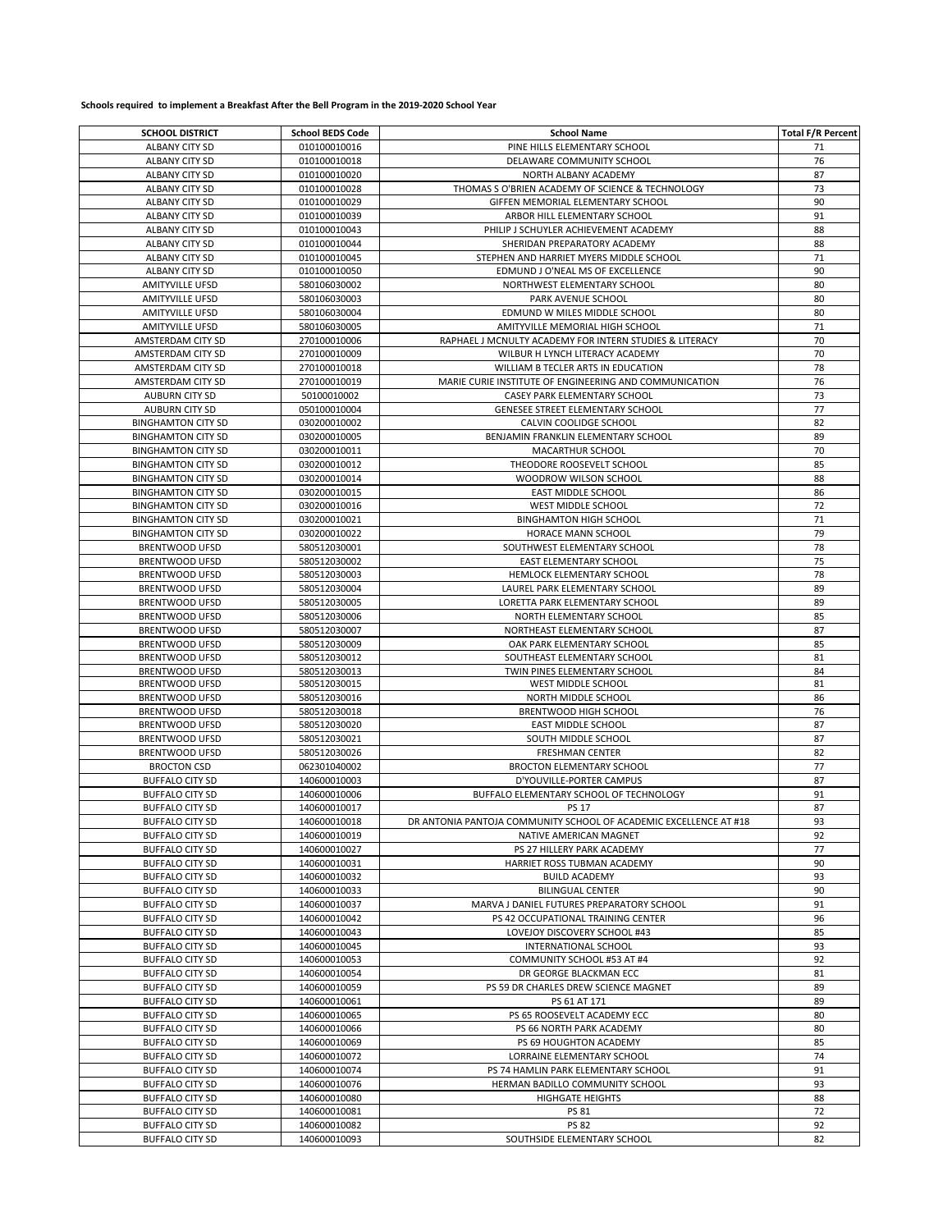## **Schools required to implement a Breakfast After the Bell Program in the 2019-2020 School Year**

| <b>SCHOOL DISTRICT</b>    | <b>School BEDS Code</b> | <b>School Name</b>                                                | <b>Total F/R Percent</b> |
|---------------------------|-------------------------|-------------------------------------------------------------------|--------------------------|
| ALBANY CITY SD            | 010100010016            | PINE HILLS ELEMENTARY SCHOOL                                      | 71                       |
| ALBANY CITY SD            | 010100010018            | DELAWARE COMMUNITY SCHOOL                                         | 76                       |
|                           | 010100010020            |                                                                   | 87                       |
| ALBANY CITY SD            |                         | NORTH ALBANY ACADEMY                                              |                          |
| ALBANY CITY SD            | 010100010028            | THOMAS S O'BRIEN ACADEMY OF SCIENCE & TECHNOLOGY                  | 73                       |
| <b>ALBANY CITY SD</b>     | 010100010029            | GIFFEN MEMORIAL ELEMENTARY SCHOOL                                 | 90                       |
| ALBANY CITY SD            | 010100010039            | ARBOR HILL ELEMENTARY SCHOOL                                      | 91                       |
| ALBANY CITY SD            | 010100010043            | PHILIP J SCHUYLER ACHIEVEMENT ACADEMY                             | 88                       |
| ALBANY CITY SD            | 010100010044            | SHERIDAN PREPARATORY ACADEMY                                      | 88                       |
| ALBANY CITY SD            | 010100010045            | STEPHEN AND HARRIET MYERS MIDDLE SCHOOL                           | 71                       |
| ALBANY CITY SD            | 010100010050            | EDMUND J O'NEAL MS OF EXCELLENCE                                  | 90                       |
| <b>AMITYVILLE UFSD</b>    | 580106030002            | NORTHWEST ELEMENTARY SCHOOL                                       | 80                       |
| AMITYVILLE UFSD           | 580106030003            | PARK AVENUE SCHOOL                                                | 80                       |
| AMITYVILLE UFSD           | 580106030004            | EDMUND W MILES MIDDLE SCHOOL                                      | 80                       |
|                           |                         |                                                                   |                          |
| AMITYVILLE UFSD           | 580106030005            | AMITYVILLE MEMORIAL HIGH SCHOOL                                   | 71                       |
| AMSTERDAM CITY SD         | 270100010006            | RAPHAEL J MCNULTY ACADEMY FOR INTERN STUDIES & LITERACY           | 70                       |
| AMSTERDAM CITY SD         | 270100010009            | WILBUR H LYNCH LITERACY ACADEMY                                   | 70                       |
| AMSTERDAM CITY SD         | 270100010018            | WILLIAM B TECLER ARTS IN EDUCATION                                | 78                       |
| AMSTERDAM CITY SD         | 270100010019            | MARIE CURIE INSTITUTE OF ENGINEERING AND COMMUNICATION            | 76                       |
| <b>AUBURN CITY SD</b>     | 50100010002             | CASEY PARK ELEMENTARY SCHOOL                                      | 73                       |
| <b>AUBURN CITY SD</b>     | 050100010004            | GENESEE STREET ELEMENTARY SCHOOL                                  | 77                       |
| <b>BINGHAMTON CITY SD</b> | 030200010002            | CALVIN COOLIDGE SCHOOL                                            | 82                       |
| <b>BINGHAMTON CITY SD</b> | 030200010005            | BENJAMIN FRANKLIN ELEMENTARY SCHOOL                               | 89                       |
| <b>BINGHAMTON CITY SD</b> | 030200010011            | MACARTHUR SCHOOL                                                  | 70                       |
|                           | 030200010012            |                                                                   |                          |
| <b>BINGHAMTON CITY SD</b> |                         | THEODORE ROOSEVELT SCHOOL                                         | 85                       |
| <b>BINGHAMTON CITY SD</b> | 030200010014            | WOODROW WILSON SCHOOL                                             | 88                       |
| <b>BINGHAMTON CITY SD</b> | 030200010015            | EAST MIDDLE SCHOOL                                                | 86                       |
| <b>BINGHAMTON CITY SD</b> | 030200010016            | WEST MIDDLE SCHOOL                                                | 72                       |
| <b>BINGHAMTON CITY SD</b> | 030200010021            | <b>BINGHAMTON HIGH SCHOOL</b>                                     | 71                       |
| <b>BINGHAMTON CITY SD</b> | 030200010022            | HORACE MANN SCHOOL                                                | 79                       |
| <b>BRENTWOOD UFSD</b>     | 580512030001            | SOUTHWEST ELEMENTARY SCHOOL                                       | 78                       |
| <b>BRENTWOOD UFSD</b>     | 580512030002            | <b>EAST ELEMENTARY SCHOOL</b>                                     | 75                       |
| <b>BRENTWOOD UFSD</b>     | 580512030003            | HEMLOCK ELEMENTARY SCHOOL                                         | 78                       |
| <b>BRENTWOOD UFSD</b>     | 580512030004            | LAUREL PARK ELEMENTARY SCHOOL                                     | 89                       |
|                           |                         |                                                                   |                          |
| <b>BRENTWOOD UFSD</b>     | 580512030005            | LORETTA PARK ELEMENTARY SCHOOL                                    | 89                       |
| <b>BRENTWOOD UFSD</b>     | 580512030006            | NORTH ELEMENTARY SCHOOL                                           | 85                       |
| <b>BRENTWOOD UFSD</b>     | 580512030007            | NORTHEAST ELEMENTARY SCHOOL                                       | 87                       |
| <b>BRENTWOOD UFSD</b>     | 580512030009            | OAK PARK ELEMENTARY SCHOOL                                        | 85                       |
| <b>BRENTWOOD UFSD</b>     | 580512030012            | SOUTHEAST ELEMENTARY SCHOOL                                       | 81                       |
| <b>BRENTWOOD UFSD</b>     | 580512030013            | <b>TWIN PINES ELEMENTARY SCHOOL</b>                               | 84                       |
| <b>BRENTWOOD UFSD</b>     | 580512030015            | WEST MIDDLE SCHOOL                                                | 81                       |
| <b>BRENTWOOD UFSD</b>     | 580512030016            | NORTH MIDDLE SCHOOL                                               | 86                       |
| <b>BRENTWOOD UFSD</b>     | 580512030018            | BRENTWOOD HIGH SCHOOL                                             | 76                       |
| BRENTWOOD UFSD            | 580512030020            | EAST MIDDLE SCHOOL                                                | 87                       |
| <b>BRENTWOOD UFSD</b>     | 580512030021            | SOUTH MIDDLE SCHOOL                                               | 87                       |
| <b>BRENTWOOD UFSD</b>     | 580512030026            | <b>FRESHMAN CENTER</b>                                            | 82                       |
|                           |                         |                                                                   |                          |
| <b>BROCTON CSD</b>        | 062301040002            | <b>BROCTON ELEMENTARY SCHOOL</b>                                  | 77                       |
| <b>BUFFALO CITY SD</b>    | 140600010003            | D'YOUVILLE-PORTER CAMPUS                                          | 87                       |
| <b>BUFFALO CITY SD</b>    | 140600010006            | BUFFALO ELEMENTARY SCHOOL OF TECHNOLOGY                           | 91                       |
| <b>BUFFALO CITY SD</b>    | 140600010017            | <b>PS 17</b>                                                      | 87                       |
| <b>BUFFALO CITY SD</b>    | 140600010018            | DR ANTONIA PANTOJA COMMUNITY SCHOOL OF ACADEMIC EXCELLENCE AT #18 | 93                       |
| <b>BUFFALO CITY SD</b>    | 140600010019            | NATIVE AMERICAN MAGNET                                            | 92                       |
| <b>BUFFALO CITY SD</b>    | 140600010027            | PS 27 HILLERY PARK ACADEMY                                        | 77                       |
| <b>BUFFALO CITY SD</b>    | 140600010031            | HARRIET ROSS TUBMAN ACADEMY                                       | 90                       |
| <b>BUFFALO CITY SD</b>    | 140600010032            | <b>BUILD ACADEMY</b>                                              | 93                       |
| <b>BUFFALO CITY SD</b>    | 140600010033            | <b>BILINGUAL CENTER</b>                                           | 90                       |
| <b>BUFFALO CITY SD</b>    | 140600010037            | MARVA J DANIEL FUTURES PREPARATORY SCHOOL                         | 91                       |
|                           |                         |                                                                   |                          |
| <b>BUFFALO CITY SD</b>    | 140600010042            | PS 42 OCCUPATIONAL TRAINING CENTER                                | 96                       |
| <b>BUFFALO CITY SD</b>    | 140600010043            | LOVEJOY DISCOVERY SCHOOL #43                                      | 85                       |
| <b>BUFFALO CITY SD</b>    | 140600010045            | INTERNATIONAL SCHOOL                                              | 93                       |
| <b>BUFFALO CITY SD</b>    | 140600010053            | COMMUNITY SCHOOL #53 AT #4                                        | 92                       |
| <b>BUFFALO CITY SD</b>    | 140600010054            | DR GEORGE BLACKMAN ECC                                            | 81                       |
| <b>BUFFALO CITY SD</b>    | 140600010059            | PS 59 DR CHARLES DREW SCIENCE MAGNET                              | 89                       |
| <b>BUFFALO CITY SD</b>    | 140600010061            | PS 61 AT 171                                                      | 89                       |
| <b>BUFFALO CITY SD</b>    | 140600010065            | PS 65 ROOSEVELT ACADEMY ECC                                       | 80                       |
| <b>BUFFALO CITY SD</b>    | 140600010066            | PS 66 NORTH PARK ACADEMY                                          | 80                       |
| <b>BUFFALO CITY SD</b>    | 140600010069            | PS 69 HOUGHTON ACADEMY                                            | 85                       |
| <b>BUFFALO CITY SD</b>    | 140600010072            | LORRAINE ELEMENTARY SCHOOL                                        | 74                       |
|                           |                         |                                                                   |                          |
| <b>BUFFALO CITY SD</b>    | 140600010074            | PS 74 HAMLIN PARK ELEMENTARY SCHOOL                               | 91                       |
| <b>BUFFALO CITY SD</b>    | 140600010076            | HERMAN BADILLO COMMUNITY SCHOOL                                   | 93                       |
| <b>BUFFALO CITY SD</b>    | 140600010080            | <b>HIGHGATE HEIGHTS</b>                                           | 88                       |
| <b>BUFFALO CITY SD</b>    | 140600010081            | PS 81                                                             | 72                       |
| <b>BUFFALO CITY SD</b>    | 140600010082            | <b>PS 82</b>                                                      | 92                       |
| <b>BUFFALO CITY SD</b>    | 140600010093            | SOUTHSIDE ELEMENTARY SCHOOL                                       | 82                       |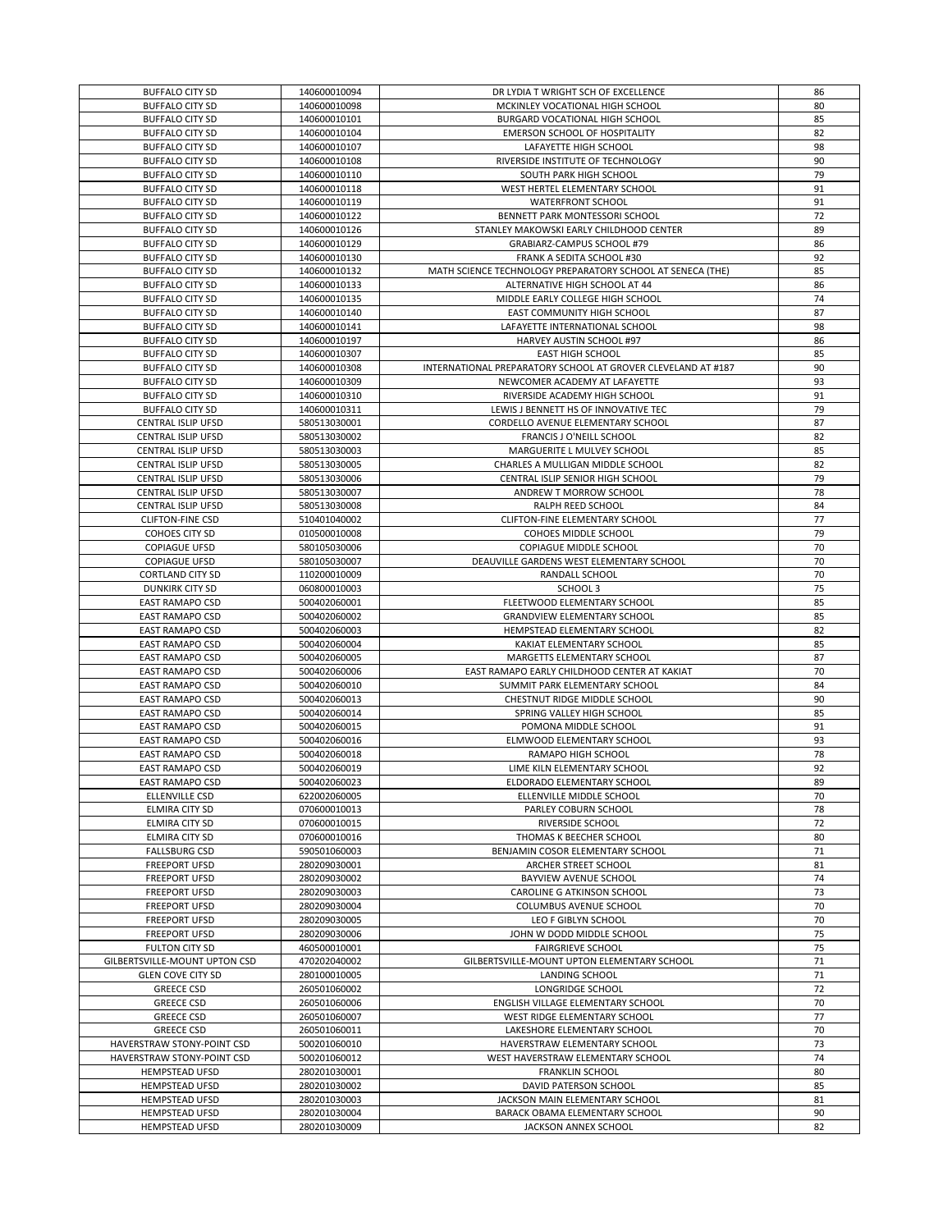| <b>BUFFALO CITY SD</b>        | 140600010094 | DR LYDIA T WRIGHT SCH OF EXCELLENCE                          | 86 |
|-------------------------------|--------------|--------------------------------------------------------------|----|
| <b>BUFFALO CITY SD</b>        | 140600010098 | MCKINLEY VOCATIONAL HIGH SCHOOL                              | 80 |
| <b>BUFFALO CITY SD</b>        | 140600010101 | BURGARD VOCATIONAL HIGH SCHOOL                               | 85 |
| <b>BUFFALO CITY SD</b>        | 140600010104 | EMERSON SCHOOL OF HOSPITALITY                                | 82 |
| <b>BUFFALO CITY SD</b>        | 140600010107 | LAFAYETTE HIGH SCHOOL                                        | 98 |
| <b>BUFFALO CITY SD</b>        | 140600010108 | RIVERSIDE INSTITUTE OF TECHNOLOGY                            | 90 |
| <b>BUFFALO CITY SD</b>        | 140600010110 | SOUTH PARK HIGH SCHOOL                                       | 79 |
| <b>BUFFALO CITY SD</b>        | 140600010118 | WEST HERTEL ELEMENTARY SCHOOL                                | 91 |
| <b>BUFFALO CITY SD</b>        | 140600010119 | WATERFRONT SCHOOL                                            | 91 |
| <b>BUFFALO CITY SD</b>        | 140600010122 | BENNETT PARK MONTESSORI SCHOOL                               | 72 |
| <b>BUFFALO CITY SD</b>        | 140600010126 | STANLEY MAKOWSKI EARLY CHILDHOOD CENTER                      | 89 |
| <b>BUFFALO CITY SD</b>        | 140600010129 | GRABIARZ-CAMPUS SCHOOL #79                                   | 86 |
| <b>BUFFALO CITY SD</b>        | 140600010130 | FRANK A SEDITA SCHOOL #30                                    | 92 |
| <b>BUFFALO CITY SD</b>        | 140600010132 | MATH SCIENCE TECHNOLOGY PREPARATORY SCHOOL AT SENECA (THE)   | 85 |
| <b>BUFFALO CITY SD</b>        | 140600010133 | ALTERNATIVE HIGH SCHOOL AT 44                                | 86 |
| <b>BUFFALO CITY SD</b>        | 140600010135 | MIDDLE EARLY COLLEGE HIGH SCHOOL                             | 74 |
| <b>BUFFALO CITY SD</b>        | 140600010140 | EAST COMMUNITY HIGH SCHOOL                                   | 87 |
| <b>BUFFALO CITY SD</b>        | 140600010141 | LAFAYETTE INTERNATIONAL SCHOOL                               | 98 |
| <b>BUFFALO CITY SD</b>        | 140600010197 | HARVEY AUSTIN SCHOOL #97                                     | 86 |
| <b>BUFFALO CITY SD</b>        | 140600010307 | <b>EAST HIGH SCHOOL</b>                                      | 85 |
| <b>BUFFALO CITY SD</b>        | 140600010308 | INTERNATIONAL PREPARATORY SCHOOL AT GROVER CLEVELAND AT #187 | 90 |
| <b>BUFFALO CITY SD</b>        | 140600010309 | NEWCOMER ACADEMY AT LAFAYETTE                                | 93 |
| <b>BUFFALO CITY SD</b>        | 140600010310 | RIVERSIDE ACADEMY HIGH SCHOOL                                | 91 |
| <b>BUFFALO CITY SD</b>        | 140600010311 | LEWIS J BENNETT HS OF INNOVATIVE TEC                         | 79 |
| <b>CENTRAL ISLIP UFSD</b>     | 580513030001 | CORDELLO AVENUE ELEMENTARY SCHOOL                            | 87 |
| CENTRAL ISLIP UFSD            | 580513030002 | FRANCIS J O'NEILL SCHOOL                                     | 82 |
| <b>CENTRAL ISLIP UFSD</b>     | 580513030003 | MARGUERITE L MULVEY SCHOOL                                   | 85 |
| <b>CENTRAL ISLIP UFSD</b>     | 580513030005 | CHARLES A MULLIGAN MIDDLE SCHOOL                             | 82 |
| <b>CENTRAL ISLIP UFSD</b>     | 580513030006 | CENTRAL ISLIP SENIOR HIGH SCHOOL                             | 79 |
| CENTRAL ISLIP UFSD            | 580513030007 | ANDREW T MORROW SCHOOL                                       | 78 |
| <b>CENTRAL ISLIP UFSD</b>     | 580513030008 | RALPH REED SCHOOL                                            | 84 |
| <b>CLIFTON-FINE CSD</b>       | 510401040002 | CLIFTON-FINE ELEMENTARY SCHOOL                               | 77 |
| COHOES CITY SD                | 010500010008 | COHOES MIDDLE SCHOOL                                         | 79 |
| <b>COPIAGUE UFSD</b>          | 580105030006 | COPIAGUE MIDDLE SCHOOL                                       | 70 |
| <b>COPIAGUE UFSD</b>          | 580105030007 | DEAUVILLE GARDENS WEST ELEMENTARY SCHOOL                     | 70 |
| CORTLAND CITY SD              | 110200010009 | RANDALL SCHOOL                                               | 70 |
| DUNKIRK CITY SD               | 060800010003 | SCHOOL 3                                                     | 75 |
| EAST RAMAPO CSD               | 500402060001 | FLEETWOOD ELEMENTARY SCHOOL                                  | 85 |
| EAST RAMAPO CSD               | 500402060002 | <b>GRANDVIEW ELEMENTARY SCHOOL</b>                           | 85 |
| <b>EAST RAMAPO CSD</b>        | 500402060003 | HEMPSTEAD ELEMENTARY SCHOOL                                  | 82 |
| <b>EAST RAMAPO CSD</b>        | 500402060004 | KAKIAT ELEMENTARY SCHOOL                                     | 85 |
| EAST RAMAPO CSD               | 500402060005 | MARGETTS ELEMENTARY SCHOOL                                   | 87 |
| EAST RAMAPO CSD               | 500402060006 | EAST RAMAPO EARLY CHILDHOOD CENTER AT KAKIAT                 | 70 |
| <b>EAST RAMAPO CSD</b>        | 500402060010 | SUMMIT PARK ELEMENTARY SCHOOL                                | 84 |
| <b>EAST RAMAPO CSD</b>        | 500402060013 | CHESTNUT RIDGE MIDDLE SCHOOL                                 | 90 |
| <b>EAST RAMAPO CSD</b>        | 500402060014 | SPRING VALLEY HIGH SCHOOL                                    | 85 |
| <b>EAST RAMAPO CSD</b>        | 500402060015 | POMONA MIDDLE SCHOOL                                         | 91 |
| <b>EAST RAMAPO CSD</b>        | 500402060016 | ELMWOOD ELEMENTARY SCHOOL                                    | 93 |
| EAST RAMAPO CSD               | 500402060018 | RAMAPO HIGH SCHOOL                                           | 78 |
| <b>EAST RAMAPO CSD</b>        | 500402060019 | LIME KILN ELEMENTARY SCHOOL                                  | 92 |
| EAST RAMAPO CSD               | 500402060023 | ELDORADO ELEMENTARY SCHOOL                                   | 89 |
| ELLENVILLE CSD                | 622002060005 | ELLENVILLE MIDDLE SCHOOL                                     | 70 |
| ELMIRA CITY SD                | 070600010013 | PARLEY COBURN SCHOOL                                         | 78 |
| ELMIRA CITY SD                | 070600010015 | RIVERSIDE SCHOOL                                             | 72 |
| <b>ELMIRA CITY SD</b>         | 070600010016 | THOMAS K BEECHER SCHOOL                                      | 80 |
| <b>FALLSBURG CSD</b>          | 590501060003 | BENJAMIN COSOR ELEMENTARY SCHOOL                             | 71 |
| <b>FREEPORT UFSD</b>          | 280209030001 | ARCHER STREET SCHOOL                                         | 81 |
| <b>FREEPORT UFSD</b>          | 280209030002 | BAYVIEW AVENUE SCHOOL                                        | 74 |
| <b>FREEPORT UFSD</b>          | 280209030003 | CAROLINE G ATKINSON SCHOOL                                   | 73 |
| <b>FREEPORT UFSD</b>          | 280209030004 | COLUMBUS AVENUE SCHOOL                                       | 70 |
| <b>FREEPORT UFSD</b>          | 280209030005 | LEO F GIBLYN SCHOOL                                          | 70 |
| <b>FREEPORT UFSD</b>          | 280209030006 | JOHN W DODD MIDDLE SCHOOL                                    | 75 |
| FULTON CITY SD                | 460500010001 | <b>FAIRGRIEVE SCHOOL</b>                                     | 75 |
| GILBERTSVILLE-MOUNT UPTON CSD | 470202040002 | GILBERTSVILLE-MOUNT UPTON ELEMENTARY SCHOOL                  | 71 |
| <b>GLEN COVE CITY SD</b>      | 280100010005 | LANDING SCHOOL                                               | 71 |
| <b>GREECE CSD</b>             | 260501060002 | LONGRIDGE SCHOOL                                             | 72 |
| <b>GREECE CSD</b>             | 260501060006 | ENGLISH VILLAGE ELEMENTARY SCHOOL                            | 70 |
| <b>GREECE CSD</b>             | 260501060007 | WEST RIDGE ELEMENTARY SCHOOL                                 | 77 |
| <b>GREECE CSD</b>             | 260501060011 | LAKESHORE ELEMENTARY SCHOOL                                  | 70 |
| HAVERSTRAW STONY-POINT CSD    | 500201060010 | HAVERSTRAW ELEMENTARY SCHOOL                                 | 73 |
| HAVERSTRAW STONY-POINT CSD    | 500201060012 | WEST HAVERSTRAW ELEMENTARY SCHOOL                            | 74 |
| HEMPSTEAD UFSD                | 280201030001 | <b>FRANKLIN SCHOOL</b>                                       | 80 |
| HEMPSTEAD UFSD                | 280201030002 | DAVID PATERSON SCHOOL                                        | 85 |
| HEMPSTEAD UFSD                | 280201030003 | JACKSON MAIN ELEMENTARY SCHOOL                               | 81 |
| HEMPSTEAD UFSD                | 280201030004 | BARACK OBAMA ELEMENTARY SCHOOL                               | 90 |
| <b>HEMPSTEAD UFSD</b>         | 280201030009 | JACKSON ANNEX SCHOOL                                         | 82 |
|                               |              |                                                              |    |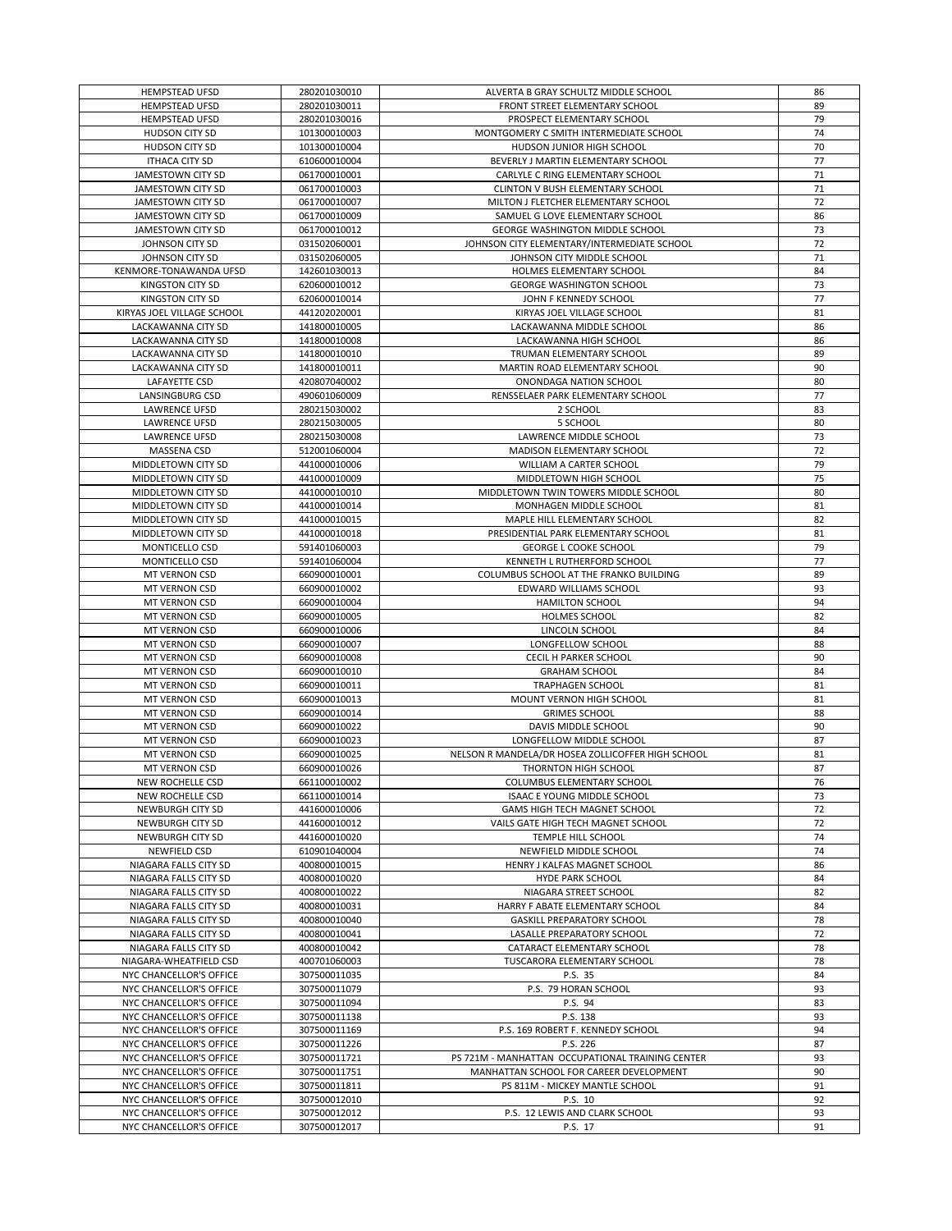| <b>HEMPSTEAD UFSD</b>      | 280201030010 | ALVERTA B GRAY SCHULTZ MIDDLE SCHOOL              | 86 |
|----------------------------|--------------|---------------------------------------------------|----|
| <b>HEMPSTEAD UFSD</b>      | 280201030011 | FRONT STREET ELEMENTARY SCHOOL                    | 89 |
| <b>HEMPSTEAD UFSD</b>      | 280201030016 | PROSPECT ELEMENTARY SCHOOL                        | 79 |
|                            | 101300010003 |                                                   |    |
| HUDSON CITY SD             |              | MONTGOMERY C SMITH INTERMEDIATE SCHOOL            | 74 |
| HUDSON CITY SD             | 101300010004 | HUDSON JUNIOR HIGH SCHOOL                         | 70 |
| <b>ITHACA CITY SD</b>      | 610600010004 | BEVERLY J MARTIN ELEMENTARY SCHOOL                | 77 |
| JAMESTOWN CITY SD          | 061700010001 | CARLYLE C RING ELEMENTARY SCHOOL                  | 71 |
| JAMESTOWN CITY SD          | 061700010003 | CLINTON V BUSH ELEMENTARY SCHOOL                  | 71 |
| JAMESTOWN CITY SD          | 061700010007 | MILTON J FLETCHER ELEMENTARY SCHOOL               | 72 |
| JAMESTOWN CITY SD          | 061700010009 | SAMUEL G LOVE ELEMENTARY SCHOOL                   | 86 |
|                            |              |                                                   |    |
| JAMESTOWN CITY SD          | 061700010012 | GEORGE WASHINGTON MIDDLE SCHOOL                   | 73 |
| JOHNSON CITY SD            | 031502060001 | JOHNSON CITY ELEMENTARY/INTERMEDIATE SCHOOL       | 72 |
| JOHNSON CITY SD            | 031502060005 | JOHNSON CITY MIDDLE SCHOOL                        | 71 |
| KENMORE-TONAWANDA UFSD     | 142601030013 | HOLMES ELEMENTARY SCHOOL                          | 84 |
| KINGSTON CITY SD           | 620600010012 | GEORGE WASHINGTON SCHOOL                          | 73 |
| KINGSTON CITY SD           | 620600010014 | JOHN F KENNEDY SCHOOL                             | 77 |
| KIRYAS JOEL VILLAGE SCHOOL | 441202020001 | KIRYAS JOEL VILLAGE SCHOOL                        | 81 |
|                            |              |                                                   |    |
| LACKAWANNA CITY SD         | 141800010005 | LACKAWANNA MIDDLE SCHOOL                          | 86 |
| LACKAWANNA CITY SD         | 141800010008 | LACKAWANNA HIGH SCHOOL                            | 86 |
| LACKAWANNA CITY SD         | 141800010010 | TRUMAN ELEMENTARY SCHOOL                          | 89 |
| LACKAWANNA CITY SD         | 141800010011 | MARTIN ROAD ELEMENTARY SCHOOL                     | 90 |
| LAFAYETTE CSD              | 420807040002 | ONONDAGA NATION SCHOOL                            | 80 |
| LANSINGBURG CSD            | 490601060009 | RENSSELAER PARK ELEMENTARY SCHOOL                 | 77 |
|                            |              |                                                   |    |
| LAWRENCE UFSD              | 280215030002 | 2 SCHOOL                                          | 83 |
| LAWRENCE UFSD              | 280215030005 | 5 SCHOOL                                          | 80 |
| LAWRENCE UFSD              | 280215030008 | LAWRENCE MIDDLE SCHOOL                            | 73 |
| MASSENA CSD                | 512001060004 | MADISON ELEMENTARY SCHOOL                         | 72 |
| MIDDLETOWN CITY SD         | 441000010006 | WILLIAM A CARTER SCHOOL                           | 79 |
| MIDDLETOWN CITY SD         | 441000010009 | MIDDLETOWN HIGH SCHOOL                            | 75 |
| MIDDLETOWN CITY SD         | 441000010010 | MIDDLETOWN TWIN TOWERS MIDDLE SCHOOL              | 80 |
|                            |              |                                                   |    |
| MIDDLETOWN CITY SD         | 441000010014 | MONHAGEN MIDDLE SCHOOL                            | 81 |
| MIDDLETOWN CITY SD         | 441000010015 | MAPLE HILL ELEMENTARY SCHOOL                      | 82 |
| MIDDLETOWN CITY SD         | 441000010018 | PRESIDENTIAL PARK ELEMENTARY SCHOOL               | 81 |
| MONTICELLO CSD             | 591401060003 | <b>GEORGE L COOKE SCHOOL</b>                      | 79 |
| MONTICELLO CSD             | 591401060004 | KENNETH L RUTHERFORD SCHOOL                       | 77 |
| MT VERNON CSD              | 660900010001 | COLUMBUS SCHOOL AT THE FRANKO BUILDING            | 89 |
|                            |              |                                                   |    |
| MT VERNON CSD              | 660900010002 | EDWARD WILLIAMS SCHOOL                            | 93 |
| MT VERNON CSD              | 660900010004 | <b>HAMILTON SCHOOL</b>                            | 94 |
| MT VERNON CSD              | 660900010005 | HOLMES SCHOOL                                     | 82 |
| MT VERNON CSD              | 660900010006 | LINCOLN SCHOOL                                    | 84 |
| MT VERNON CSD              | 660900010007 | LONGFELLOW SCHOOL                                 | 88 |
| MT VERNON CSD              | 660900010008 | CECIL H PARKER SCHOOL                             | 90 |
| MT VERNON CSD              |              | <b>GRAHAM SCHOOL</b>                              | 84 |
|                            | 660900010010 |                                                   |    |
| MT VERNON CSD              | 660900010011 | <b>TRAPHAGEN SCHOOL</b>                           | 81 |
| MT VERNON CSD              | 660900010013 | MOUNT VERNON HIGH SCHOOL                          | 81 |
| MT VERNON CSD              | 660900010014 | <b>GRIMES SCHOOL</b>                              | 88 |
| MT VERNON CSD              | 660900010022 | DAVIS MIDDLE SCHOOL                               | 90 |
| MT VERNON CSD              | 660900010023 | LONGFELLOW MIDDLE SCHOOL                          | 87 |
| MT VERNON CSD              | 660900010025 | NELSON R MANDELA/DR HOSEA ZOLLICOFFER HIGH SCHOOL | 81 |
|                            |              |                                                   |    |
| MT VERNON CSD              | 660900010026 | THORNTON HIGH SCHOOL                              | 87 |
| NEW ROCHELLE CSD           | 661100010002 | COLUMBUS ELEMENTARY SCHOOL                        | 76 |
| NEW ROCHELLE CSD           | 661100010014 | ISAAC E YOUNG MIDDLE SCHOOL                       | 73 |
| NEWBURGH CITY SD           | 441600010006 | GAMS HIGH TECH MAGNET SCHOOL                      | 72 |
| NEWBURGH CITY SD           | 441600010012 | VAILS GATE HIGH TECH MAGNET SCHOOL                | 72 |
| NEWBURGH CITY SD           | 441600010020 | TEMPLE HILL SCHOOL                                | 74 |
| <b>NEWFIELD CSD</b>        | 610901040004 | NEWFIELD MIDDLE SCHOOL                            | 74 |
|                            |              |                                                   |    |
| NIAGARA FALLS CITY SD      | 400800010015 | HENRY J KALFAS MAGNET SCHOOL                      | 86 |
| NIAGARA FALLS CITY SD      | 400800010020 | HYDE PARK SCHOOL                                  | 84 |
| NIAGARA FALLS CITY SD      | 400800010022 | NIAGARA STREET SCHOOL                             | 82 |
| NIAGARA FALLS CITY SD      | 400800010031 | HARRY F ABATE ELEMENTARY SCHOOL                   | 84 |
| NIAGARA FALLS CITY SD      | 400800010040 | <b>GASKILL PREPARATORY SCHOOL</b>                 | 78 |
| NIAGARA FALLS CITY SD      | 400800010041 | <b>LASALLE PREPARATORY SCHOOL</b>                 | 72 |
| NIAGARA FALLS CITY SD      | 400800010042 | CATARACT ELEMENTARY SCHOOL                        | 78 |
| NIAGARA-WHEATFIELD CSD     | 400701060003 | TUSCARORA ELEMENTARY SCHOOL                       | 78 |
|                            |              |                                                   |    |
| NYC CHANCELLOR'S OFFICE    | 307500011035 | P.S. 35                                           | 84 |
| NYC CHANCELLOR'S OFFICE    | 307500011079 | P.S. 79 HORAN SCHOOL                              | 93 |
| NYC CHANCELLOR'S OFFICE    | 307500011094 | P.S. 94                                           | 83 |
| NYC CHANCELLOR'S OFFICE    | 307500011138 | P.S. 138                                          | 93 |
| NYC CHANCELLOR'S OFFICE    | 307500011169 | P.S. 169 ROBERT F. KENNEDY SCHOOL                 | 94 |
| NYC CHANCELLOR'S OFFICE    | 307500011226 | P.S. 226                                          | 87 |
| NYC CHANCELLOR'S OFFICE    |              | PS 721M - MANHATTAN OCCUPATIONAL TRAINING CENTER  | 93 |
|                            | 307500011721 |                                                   |    |
| NYC CHANCELLOR'S OFFICE    | 307500011751 | MANHATTAN SCHOOL FOR CAREER DEVELOPMENT           | 90 |
| NYC CHANCELLOR'S OFFICE    | 307500011811 | PS 811M - MICKEY MANTLE SCHOOL                    | 91 |
| NYC CHANCELLOR'S OFFICE    | 307500012010 | P.S. 10                                           | 92 |
| NYC CHANCELLOR'S OFFICE    | 307500012012 | P.S. 12 LEWIS AND CLARK SCHOOL                    | 93 |
| NYC CHANCELLOR'S OFFICE    | 307500012017 | P.S. 17                                           | 91 |
|                            |              |                                                   |    |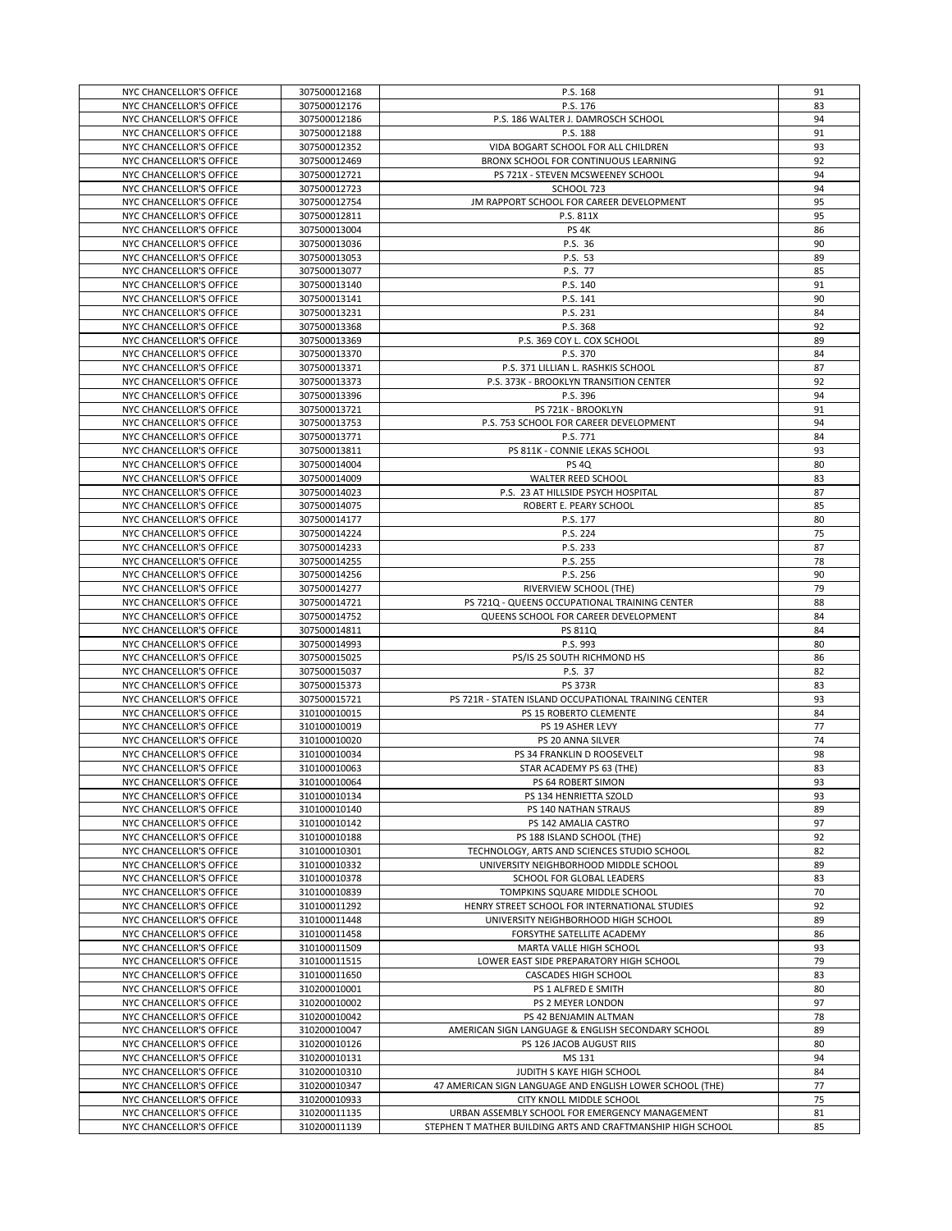|                                                    | 307500012168                 | P.S. 168                                                                                                      | 91       |
|----------------------------------------------------|------------------------------|---------------------------------------------------------------------------------------------------------------|----------|
| NYC CHANCELLOR'S OFFICE                            |                              |                                                                                                               |          |
| NYC CHANCELLOR'S OFFICE                            | 307500012176                 | P.S. 176                                                                                                      | 83       |
| NYC CHANCELLOR'S OFFICE                            | 307500012186                 | P.S. 186 WALTER J. DAMROSCH SCHOOL                                                                            | 94       |
| NYC CHANCELLOR'S OFFICE                            | 307500012188                 | P.S. 188                                                                                                      | 91       |
|                                                    |                              |                                                                                                               |          |
| NYC CHANCELLOR'S OFFICE                            | 307500012352                 | VIDA BOGART SCHOOL FOR ALL CHILDREN                                                                           | 93       |
| NYC CHANCELLOR'S OFFICE                            | 307500012469                 | BRONX SCHOOL FOR CONTINUOUS LEARNING                                                                          | 92       |
| NYC CHANCELLOR'S OFFICE                            | 307500012721                 | PS 721X - STEVEN MCSWEENEY SCHOOL                                                                             | 94       |
|                                                    |                              |                                                                                                               |          |
| NYC CHANCELLOR'S OFFICE                            | 307500012723                 | SCHOOL 723                                                                                                    | 94       |
| NYC CHANCELLOR'S OFFICE                            | 307500012754                 | JM RAPPORT SCHOOL FOR CAREER DEVELOPMENT                                                                      | 95       |
| NYC CHANCELLOR'S OFFICE                            | 307500012811                 | P.S. 811X                                                                                                     | 95       |
|                                                    |                              |                                                                                                               |          |
| NYC CHANCELLOR'S OFFICE                            | 307500013004                 | PS <sub>4K</sub>                                                                                              | 86       |
| NYC CHANCELLOR'S OFFICE                            | 307500013036                 | P.S. 36                                                                                                       | 90       |
| NYC CHANCELLOR'S OFFICE                            | 307500013053                 | P.S. 53                                                                                                       | 89       |
| NYC CHANCELLOR'S OFFICE                            |                              |                                                                                                               |          |
|                                                    | 307500013077                 | P.S. 77                                                                                                       | 85       |
| NYC CHANCELLOR'S OFFICE                            | 307500013140                 | P.S. 140                                                                                                      | 91       |
| NYC CHANCELLOR'S OFFICE                            | 307500013141                 | P.S. 141                                                                                                      | 90       |
| NYC CHANCELLOR'S OFFICE                            | 307500013231                 | P.S. 231                                                                                                      | 84       |
|                                                    |                              |                                                                                                               |          |
| NYC CHANCELLOR'S OFFICE                            | 307500013368                 | P.S. 368                                                                                                      | 92       |
| NYC CHANCELLOR'S OFFICE                            | 307500013369                 | P.S. 369 COY L. COX SCHOOL                                                                                    | 89       |
| NYC CHANCELLOR'S OFFICE                            | 307500013370                 | P.S. 370                                                                                                      | 84       |
|                                                    |                              |                                                                                                               |          |
| NYC CHANCELLOR'S OFFICE                            | 307500013371                 | P.S. 371 LILLIAN L. RASHKIS SCHOOL                                                                            | 87       |
| NYC CHANCELLOR'S OFFICE                            | 307500013373                 | P.S. 373K - BROOKLYN TRANSITION CENTER                                                                        | 92       |
| NYC CHANCELLOR'S OFFICE                            | 307500013396                 | P.S. 396                                                                                                      | 94       |
|                                                    |                              |                                                                                                               |          |
| NYC CHANCELLOR'S OFFICE                            | 307500013721                 | PS 721K - BROOKLYN                                                                                            | 91       |
| NYC CHANCELLOR'S OFFICE                            | 307500013753                 | P.S. 753 SCHOOL FOR CAREER DEVELOPMENT                                                                        | 94       |
| NYC CHANCELLOR'S OFFICE                            | 307500013771                 | P.S. 771                                                                                                      | 84       |
|                                                    |                              |                                                                                                               |          |
| NYC CHANCELLOR'S OFFICE                            | 307500013811                 | PS 811K - CONNIE LEKAS SCHOOL                                                                                 | 93       |
| NYC CHANCELLOR'S OFFICE                            | 307500014004                 | <b>PS 4Q</b>                                                                                                  | 80       |
| NYC CHANCELLOR'S OFFICE                            | 307500014009                 | WALTER REED SCHOOL                                                                                            | 83       |
|                                                    |                              |                                                                                                               |          |
| NYC CHANCELLOR'S OFFICE                            | 307500014023                 | P.S. 23 AT HILLSIDE PSYCH HOSPITAL                                                                            | 87       |
| NYC CHANCELLOR'S OFFICE                            | 307500014075                 | ROBERT E. PEARY SCHOOL                                                                                        | 85       |
| NYC CHANCELLOR'S OFFICE                            | 307500014177                 | P.S. 177                                                                                                      | 80       |
|                                                    |                              |                                                                                                               |          |
| NYC CHANCELLOR'S OFFICE                            | 307500014224                 | P.S. 224                                                                                                      | 75       |
| NYC CHANCELLOR'S OFFICE                            | 307500014233                 | P.S. 233                                                                                                      | 87       |
| NYC CHANCELLOR'S OFFICE                            | 307500014255                 | P.S. 255                                                                                                      | 78       |
| NYC CHANCELLOR'S OFFICE                            | 307500014256                 | P.S. 256                                                                                                      | 90       |
|                                                    |                              |                                                                                                               |          |
| NYC CHANCELLOR'S OFFICE                            | 307500014277                 | RIVERVIEW SCHOOL (THE)                                                                                        | 79       |
| NYC CHANCELLOR'S OFFICE                            | 307500014721                 | PS 721Q - QUEENS OCCUPATIONAL TRAINING CENTER                                                                 | 88       |
| NYC CHANCELLOR'S OFFICE                            | 307500014752                 | QUEENS SCHOOL FOR CAREER DEVELOPMENT                                                                          | 84       |
|                                                    |                              |                                                                                                               |          |
|                                                    |                              |                                                                                                               |          |
| NYC CHANCELLOR'S OFFICE                            | 307500014811                 | PS 811Q                                                                                                       | 84       |
| NYC CHANCELLOR'S OFFICE                            | 307500014993                 | P.S. 993                                                                                                      | 80       |
|                                                    |                              |                                                                                                               |          |
| NYC CHANCELLOR'S OFFICE                            | 307500015025                 | PS/IS 25 SOUTH RICHMOND HS                                                                                    | 86       |
| NYC CHANCELLOR'S OFFICE                            | 307500015037                 | P.S. 37                                                                                                       | 82       |
| NYC CHANCELLOR'S OFFICE                            | 307500015373                 | <b>PS 373R</b>                                                                                                | 83       |
|                                                    |                              |                                                                                                               |          |
| NYC CHANCELLOR'S OFFICE                            | 307500015721                 | PS 721R - STATEN ISLAND OCCUPATIONAL TRAINING CENTER                                                          | 93       |
| NYC CHANCELLOR'S OFFICE                            | 310100010015                 | PS 15 ROBERTO CLEMENTE                                                                                        | 84       |
| NYC CHANCELLOR'S OFFICE                            | 310100010019                 | PS 19 ASHER LEVY                                                                                              | 77       |
| NYC CHANCELLOR'S OFFICE                            |                              | PS 20 ANNA SILVER                                                                                             | 74       |
|                                                    | 310100010020                 |                                                                                                               |          |
| NYC CHANCELLOR'S OFFICE                            | 310100010034                 | PS 34 FRANKLIN D ROOSEVELT                                                                                    | 98       |
| NYC CHANCELLOR'S OFFICE                            | 310100010063                 | STAR ACADEMY PS 63 (THE)                                                                                      | 83       |
|                                                    |                              |                                                                                                               |          |
| NYC CHANCELLOR'S OFFICE                            | 310100010064                 | PS 64 ROBERT SIMON                                                                                            | 93       |
| NYC CHANCELLOR'S OFFICE                            | 310100010134                 | PS 134 HENRIETTA SZOLD                                                                                        | 93       |
| NYC CHANCELLOR'S OFFICE                            | 310100010140                 | PS 140 NATHAN STRAUS                                                                                          | 89       |
| NYC CHANCELLOR'S OFFICE                            | 310100010142                 | PS 142 AMALIA CASTRO                                                                                          | 97       |
|                                                    |                              |                                                                                                               |          |
| NYC CHANCELLOR'S OFFICE                            | 310100010188                 | PS 188 ISLAND SCHOOL (THE)                                                                                    | 92       |
| NYC CHANCELLOR'S OFFICE                            | 310100010301                 | TECHNOLOGY, ARTS AND SCIENCES STUDIO SCHOOL                                                                   | 82       |
| NYC CHANCELLOR'S OFFICE                            | 310100010332                 | UNIVERSITY NEIGHBORHOOD MIDDLE SCHOOL                                                                         | 89       |
| NYC CHANCELLOR'S OFFICE                            | 310100010378                 | SCHOOL FOR GLOBAL LEADERS                                                                                     | 83       |
|                                                    |                              |                                                                                                               |          |
| NYC CHANCELLOR'S OFFICE                            | 310100010839                 | TOMPKINS SQUARE MIDDLE SCHOOL                                                                                 | 70       |
| NYC CHANCELLOR'S OFFICE                            | 310100011292                 | HENRY STREET SCHOOL FOR INTERNATIONAL STUDIES                                                                 | 92       |
| NYC CHANCELLOR'S OFFICE                            | 310100011448                 | UNIVERSITY NEIGHBORHOOD HIGH SCHOOL                                                                           | 89       |
|                                                    |                              |                                                                                                               |          |
| NYC CHANCELLOR'S OFFICE                            | 310100011458                 | FORSYTHE SATELLITE ACADEMY                                                                                    | 86       |
| NYC CHANCELLOR'S OFFICE                            | 310100011509                 | MARTA VALLE HIGH SCHOOL                                                                                       | 93       |
| NYC CHANCELLOR'S OFFICE                            | 310100011515                 | LOWER EAST SIDE PREPARATORY HIGH SCHOOL                                                                       | 79       |
|                                                    | 310100011650                 |                                                                                                               |          |
| NYC CHANCELLOR'S OFFICE                            |                              | CASCADES HIGH SCHOOL                                                                                          | 83       |
| NYC CHANCELLOR'S OFFICE                            | 310200010001                 | PS 1 ALFRED E SMITH                                                                                           | 80       |
| NYC CHANCELLOR'S OFFICE                            | 310200010002                 | PS 2 MEYER LONDON                                                                                             | 97       |
|                                                    |                              |                                                                                                               |          |
| NYC CHANCELLOR'S OFFICE                            | 310200010042                 | PS 42 BENJAMIN ALTMAN                                                                                         | 78       |
| NYC CHANCELLOR'S OFFICE                            | 310200010047                 | AMERICAN SIGN LANGUAGE & ENGLISH SECONDARY SCHOOL                                                             | 89       |
| NYC CHANCELLOR'S OFFICE                            | 310200010126                 | PS 126 JACOB AUGUST RIIS                                                                                      | 80       |
| NYC CHANCELLOR'S OFFICE                            | 310200010131                 | MS 131                                                                                                        | 94       |
|                                                    |                              |                                                                                                               |          |
| NYC CHANCELLOR'S OFFICE                            | 310200010310                 | JUDITH S KAYE HIGH SCHOOL                                                                                     | 84       |
| NYC CHANCELLOR'S OFFICE                            | 310200010347                 | 47 AMERICAN SIGN LANGUAGE AND ENGLISH LOWER SCHOOL (THE)                                                      | 77       |
| NYC CHANCELLOR'S OFFICE                            | 310200010933                 | CITY KNOLL MIDDLE SCHOOL                                                                                      | 75       |
|                                                    |                              |                                                                                                               |          |
| NYC CHANCELLOR'S OFFICE<br>NYC CHANCELLOR'S OFFICE | 310200011135<br>310200011139 | URBAN ASSEMBLY SCHOOL FOR EMERGENCY MANAGEMENT<br>STEPHEN T MATHER BUILDING ARTS AND CRAFTMANSHIP HIGH SCHOOL | 81<br>85 |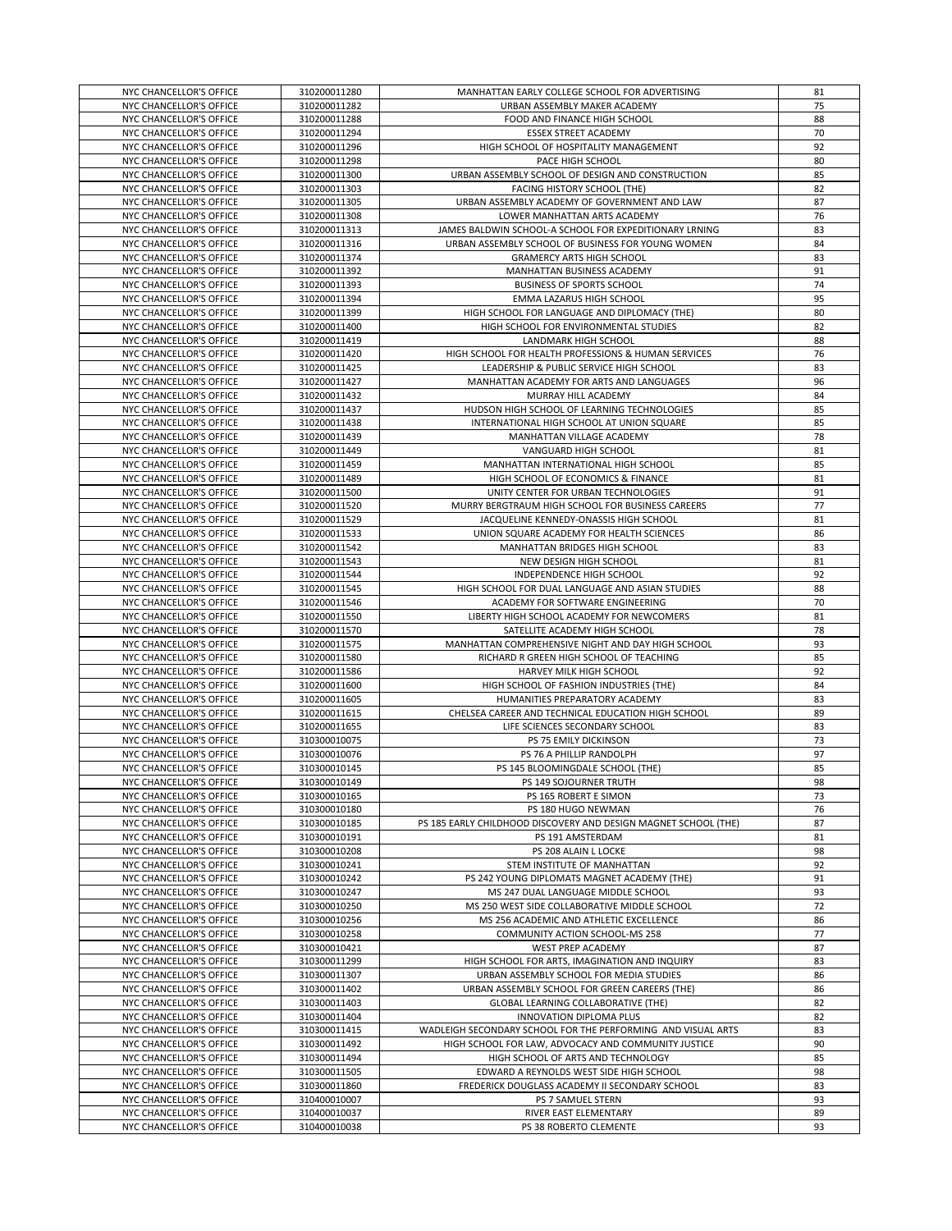| NYC CHANCELLOR'S OFFICE                            |                              |                                                                 |          |
|----------------------------------------------------|------------------------------|-----------------------------------------------------------------|----------|
|                                                    | 310200011280                 | MANHATTAN EARLY COLLEGE SCHOOL FOR ADVERTISING                  | 81       |
| NYC CHANCELLOR'S OFFICE                            | 310200011282                 | URBAN ASSEMBLY MAKER ACADEMY                                    | 75       |
| NYC CHANCELLOR'S OFFICE                            | 310200011288                 | FOOD AND FINANCE HIGH SCHOOL                                    | 88       |
|                                                    |                              |                                                                 |          |
| NYC CHANCELLOR'S OFFICE                            | 310200011294                 | <b>ESSEX STREET ACADEMY</b>                                     | 70       |
| NYC CHANCELLOR'S OFFICE                            | 310200011296                 | HIGH SCHOOL OF HOSPITALITY MANAGEMENT                           | 92       |
|                                                    |                              |                                                                 |          |
| NYC CHANCELLOR'S OFFICE                            | 310200011298                 | PACE HIGH SCHOOL                                                | 80       |
| NYC CHANCELLOR'S OFFICE                            | 310200011300                 | URBAN ASSEMBLY SCHOOL OF DESIGN AND CONSTRUCTION                | 85       |
| NYC CHANCELLOR'S OFFICE                            | 310200011303                 | FACING HISTORY SCHOOL (THE)                                     |          |
|                                                    |                              |                                                                 | 82       |
| NYC CHANCELLOR'S OFFICE                            | 310200011305                 | URBAN ASSEMBLY ACADEMY OF GOVERNMENT AND LAW                    | 87       |
| NYC CHANCELLOR'S OFFICE                            | 310200011308                 | LOWER MANHATTAN ARTS ACADEMY                                    | 76       |
|                                                    |                              |                                                                 |          |
| NYC CHANCELLOR'S OFFICE                            | 310200011313                 | JAMES BALDWIN SCHOOL-A SCHOOL FOR EXPEDITIONARY LRNING          | 83       |
| NYC CHANCELLOR'S OFFICE                            | 310200011316                 | URBAN ASSEMBLY SCHOOL OF BUSINESS FOR YOUNG WOMEN               | 84       |
|                                                    |                              |                                                                 |          |
| NYC CHANCELLOR'S OFFICE                            | 310200011374                 | <b>GRAMERCY ARTS HIGH SCHOOL</b>                                | 83       |
| NYC CHANCELLOR'S OFFICE                            | 310200011392                 | MANHATTAN BUSINESS ACADEMY                                      | 91       |
|                                                    |                              |                                                                 |          |
| NYC CHANCELLOR'S OFFICE                            | 310200011393                 | <b>BUSINESS OF SPORTS SCHOOL</b>                                | 74       |
| NYC CHANCELLOR'S OFFICE                            | 310200011394                 | EMMA LAZARUS HIGH SCHOOL                                        | 95       |
|                                                    |                              |                                                                 |          |
| NYC CHANCELLOR'S OFFICE                            | 310200011399                 | HIGH SCHOOL FOR LANGUAGE AND DIPLOMACY (THE)                    | 80       |
| NYC CHANCELLOR'S OFFICE                            | 310200011400                 | HIGH SCHOOL FOR ENVIRONMENTAL STUDIES                           | 82       |
| NYC CHANCELLOR'S OFFICE                            | 310200011419                 | LANDMARK HIGH SCHOOL                                            | 88       |
|                                                    |                              |                                                                 |          |
| NYC CHANCELLOR'S OFFICE                            | 310200011420                 | HIGH SCHOOL FOR HEALTH PROFESSIONS & HUMAN SERVICES             | 76       |
| NYC CHANCELLOR'S OFFICE                            | 310200011425                 | LEADERSHIP & PUBLIC SERVICE HIGH SCHOOL                         | 83       |
|                                                    |                              |                                                                 |          |
| NYC CHANCELLOR'S OFFICE                            | 310200011427                 | MANHATTAN ACADEMY FOR ARTS AND LANGUAGES                        | 96       |
| NYC CHANCELLOR'S OFFICE                            | 310200011432                 | MURRAY HILL ACADEMY                                             | 84       |
|                                                    |                              |                                                                 |          |
| NYC CHANCELLOR'S OFFICE                            | 310200011437                 | HUDSON HIGH SCHOOL OF LEARNING TECHNOLOGIES                     | 85       |
| NYC CHANCELLOR'S OFFICE                            | 310200011438                 | INTERNATIONAL HIGH SCHOOL AT UNION SQUARE                       | 85       |
|                                                    |                              |                                                                 | 78       |
| NYC CHANCELLOR'S OFFICE                            | 310200011439                 | MANHATTAN VILLAGE ACADEMY                                       |          |
| NYC CHANCELLOR'S OFFICE                            | 310200011449                 | VANGUARD HIGH SCHOOL                                            | 81       |
| NYC CHANCELLOR'S OFFICE                            |                              | MANHATTAN INTERNATIONAL HIGH SCHOOL                             | 85       |
|                                                    | 310200011459                 |                                                                 |          |
| NYC CHANCELLOR'S OFFICE                            | 310200011489                 | HIGH SCHOOL OF ECONOMICS & FINANCE                              | 81       |
| NYC CHANCELLOR'S OFFICE                            | 310200011500                 | UNITY CENTER FOR URBAN TECHNOLOGIES                             | 91       |
|                                                    |                              |                                                                 |          |
| NYC CHANCELLOR'S OFFICE                            | 310200011520                 | MURRY BERGTRAUM HIGH SCHOOL FOR BUSINESS CAREERS                | 77       |
| NYC CHANCELLOR'S OFFICE                            | 310200011529                 | JACQUELINE KENNEDY-ONASSIS HIGH SCHOOL                          | 81       |
|                                                    |                              |                                                                 |          |
| NYC CHANCELLOR'S OFFICE                            | 310200011533                 | UNION SQUARE ACADEMY FOR HEALTH SCIENCES                        | 86       |
| NYC CHANCELLOR'S OFFICE                            | 310200011542                 | MANHATTAN BRIDGES HIGH SCHOOL                                   | 83       |
| NYC CHANCELLOR'S OFFICE                            | 310200011543                 | NEW DESIGN HIGH SCHOOL                                          | 81       |
|                                                    |                              |                                                                 |          |
| NYC CHANCELLOR'S OFFICE                            | 310200011544                 | INDEPENDENCE HIGH SCHOOL                                        | 92       |
| NYC CHANCELLOR'S OFFICE                            | 310200011545                 | HIGH SCHOOL FOR DUAL LANGUAGE AND ASIAN STUDIES                 | 88       |
|                                                    |                              |                                                                 |          |
| NYC CHANCELLOR'S OFFICE                            | 310200011546                 | ACADEMY FOR SOFTWARE ENGINEERING                                | 70       |
| NYC CHANCELLOR'S OFFICE                            | 310200011550                 | LIBERTY HIGH SCHOOL ACADEMY FOR NEWCOMERS                       | 81       |
|                                                    |                              |                                                                 |          |
| NYC CHANCELLOR'S OFFICE                            | 310200011570                 | SATELLITE ACADEMY HIGH SCHOOL                                   | 78       |
| NYC CHANCELLOR'S OFFICE                            | 310200011575                 | MANHATTAN COMPREHENSIVE NIGHT AND DAY HIGH SCHOOL               | 93       |
|                                                    |                              |                                                                 | 85       |
| NYC CHANCELLOR'S OFFICE                            | 310200011580                 | RICHARD R GREEN HIGH SCHOOL OF TEACHING                         |          |
| NYC CHANCELLOR'S OFFICE                            | 310200011586                 | HARVEY MILK HIGH SCHOOL                                         | 92       |
|                                                    | 310200011600                 | HIGH SCHOOL OF FASHION INDUSTRIES (THE)                         | 84       |
|                                                    |                              |                                                                 |          |
| NYC CHANCELLOR'S OFFICE                            |                              |                                                                 |          |
| NYC CHANCELLOR'S OFFICE                            | 310200011605                 | HUMANITIES PREPARATORY ACADEMY                                  | 83       |
|                                                    |                              |                                                                 |          |
| NYC CHANCELLOR'S OFFICE                            | 310200011615                 | CHELSEA CAREER AND TECHNICAL EDUCATION HIGH SCHOOL              | 89       |
| NYC CHANCELLOR'S OFFICE                            | 310200011655                 | LIFE SCIENCES SECONDARY SCHOOL                                  | 83       |
|                                                    |                              |                                                                 |          |
| NYC CHANCELLOR'S OFFICE                            | 310300010075                 | PS 75 EMILY DICKINSON                                           | 73       |
| NYC CHANCELLOR'S OFFICE                            | 310300010076                 | PS 76 A PHILLIP RANDOLPH                                        | 97       |
|                                                    | 310300010145                 | PS 145 BLOOMINGDALE SCHOOL (THE)                                | 85       |
| NYC CHANCELLOR'S OFFICE                            |                              |                                                                 |          |
| NYC CHANCELLOR'S OFFICE                            | 310300010149                 | PS 149 SOJOURNER TRUTH                                          | 98       |
| NYC CHANCELLOR'S OFFICE                            | 310300010165                 | PS 165 ROBERT E SIMON                                           | 73       |
|                                                    |                              |                                                                 |          |
| NYC CHANCELLOR'S OFFICE                            | 310300010180                 | PS 180 HUGO NEWMAN                                              | 76       |
| NYC CHANCELLOR'S OFFICE                            | 310300010185                 | PS 185 EARLY CHILDHOOD DISCOVERY AND DESIGN MAGNET SCHOOL (THE) | 87       |
| NYC CHANCELLOR'S OFFICE                            | 310300010191                 | PS 191 AMSTERDAM                                                | 81       |
|                                                    |                              |                                                                 |          |
| NYC CHANCELLOR'S OFFICE                            | 310300010208                 | PS 208 ALAIN L LOCKE                                            | 98       |
| NYC CHANCELLOR'S OFFICE                            | 310300010241                 | STEM INSTITUTE OF MANHATTAN                                     | 92       |
|                                                    |                              |                                                                 |          |
| NYC CHANCELLOR'S OFFICE                            | 310300010242                 | PS 242 YOUNG DIPLOMATS MAGNET ACADEMY (THE)                     | 91       |
| NYC CHANCELLOR'S OFFICE                            | 310300010247                 | MS 247 DUAL LANGUAGE MIDDLE SCHOOL                              | 93       |
| NYC CHANCELLOR'S OFFICE                            | 310300010250                 | MS 250 WEST SIDE COLLABORATIVE MIDDLE SCHOOL                    | 72       |
|                                                    |                              |                                                                 |          |
| NYC CHANCELLOR'S OFFICE                            | 310300010256                 | MS 256 ACADEMIC AND ATHLETIC EXCELLENCE                         | 86       |
| NYC CHANCELLOR'S OFFICE                            | 310300010258                 | COMMUNITY ACTION SCHOOL-MS 258                                  | 77       |
|                                                    |                              |                                                                 |          |
| NYC CHANCELLOR'S OFFICE                            | 310300010421                 | WEST PREP ACADEMY                                               | 87       |
| NYC CHANCELLOR'S OFFICE                            | 310300011299                 | HIGH SCHOOL FOR ARTS, IMAGINATION AND INQUIRY                   | 83       |
|                                                    |                              | URBAN ASSEMBLY SCHOOL FOR MEDIA STUDIES                         |          |
| NYC CHANCELLOR'S OFFICE                            | 310300011307                 |                                                                 | 86       |
| NYC CHANCELLOR'S OFFICE                            | 310300011402                 | URBAN ASSEMBLY SCHOOL FOR GREEN CAREERS (THE)                   | 86       |
| NYC CHANCELLOR'S OFFICE                            | 310300011403                 | GLOBAL LEARNING COLLABORATIVE (THE)                             | 82       |
|                                                    |                              |                                                                 |          |
| NYC CHANCELLOR'S OFFICE                            | 310300011404                 | INNOVATION DIPLOMA PLUS                                         | 82       |
| NYC CHANCELLOR'S OFFICE                            | 310300011415                 | WADLEIGH SECONDARY SCHOOL FOR THE PERFORMING AND VISUAL ARTS    | 83       |
|                                                    |                              |                                                                 |          |
| NYC CHANCELLOR'S OFFICE                            | 310300011492                 | HIGH SCHOOL FOR LAW, ADVOCACY AND COMMUNITY JUSTICE             | 90       |
| NYC CHANCELLOR'S OFFICE                            | 310300011494                 | HIGH SCHOOL OF ARTS AND TECHNOLOGY                              | 85       |
|                                                    |                              |                                                                 |          |
| NYC CHANCELLOR'S OFFICE                            | 310300011505                 | EDWARD A REYNOLDS WEST SIDE HIGH SCHOOL                         | 98       |
| NYC CHANCELLOR'S OFFICE                            | 310300011860                 | FREDERICK DOUGLASS ACADEMY II SECONDARY SCHOOL                  | 83       |
| NYC CHANCELLOR'S OFFICE                            | 310400010007                 | PS 7 SAMUEL STERN                                               | 93       |
|                                                    |                              |                                                                 |          |
| NYC CHANCELLOR'S OFFICE<br>NYC CHANCELLOR'S OFFICE | 310400010037<br>310400010038 | RIVER EAST ELEMENTARY<br>PS 38 ROBERTO CLEMENTE                 | 89<br>93 |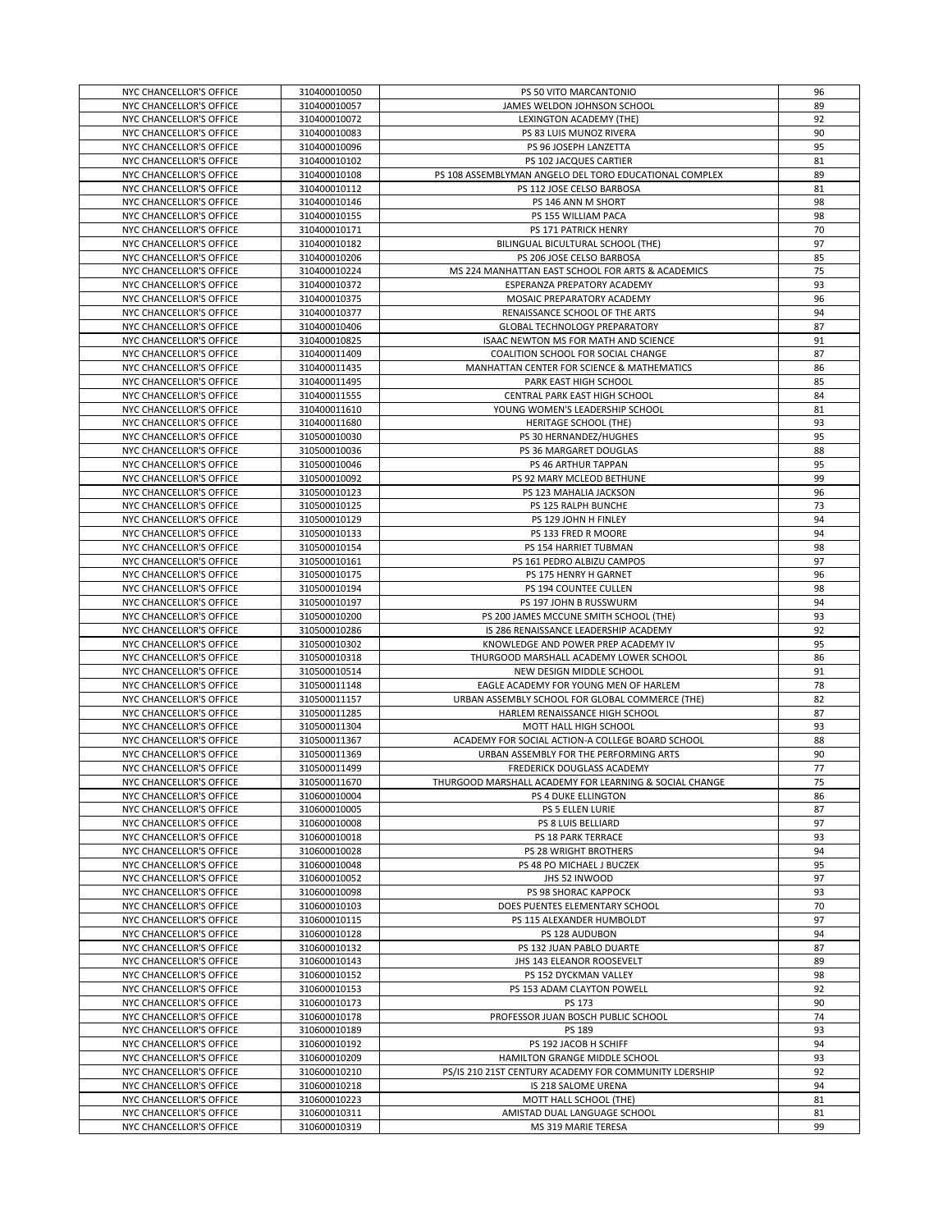| NYC CHANCELLOR'S OFFICE                            | 310400010050                 | PS 50 VITO MARCANTONIO                                                         | 96       |
|----------------------------------------------------|------------------------------|--------------------------------------------------------------------------------|----------|
| NYC CHANCELLOR'S OFFICE                            | 310400010057                 | JAMES WELDON JOHNSON SCHOOL                                                    | 89       |
| NYC CHANCELLOR'S OFFICE                            | 310400010072                 | LEXINGTON ACADEMY (THE)                                                        | 92       |
| NYC CHANCELLOR'S OFFICE                            | 310400010083                 | PS 83 LUIS MUNOZ RIVERA                                                        | 90       |
| NYC CHANCELLOR'S OFFICE                            | 310400010096                 | PS 96 JOSEPH LANZETTA                                                          | 95       |
| NYC CHANCELLOR'S OFFICE                            | 310400010102                 | PS 102 JACQUES CARTIER                                                         | 81       |
| NYC CHANCELLOR'S OFFICE                            | 310400010108                 | PS 108 ASSEMBLYMAN ANGELO DEL TORO EDUCATIONAL COMPLEX                         | 89       |
| NYC CHANCELLOR'S OFFICE                            | 310400010112                 | PS 112 JOSE CELSO BARBOSA                                                      | 81       |
| NYC CHANCELLOR'S OFFICE                            | 310400010146                 | PS 146 ANN M SHORT                                                             | 98       |
| NYC CHANCELLOR'S OFFICE                            | 310400010155                 | PS 155 WILLIAM PACA                                                            | 98       |
| NYC CHANCELLOR'S OFFICE                            | 310400010171<br>310400010182 | PS 171 PATRICK HENRY                                                           | 70       |
| NYC CHANCELLOR'S OFFICE                            | 310400010206                 | BILINGUAL BICULTURAL SCHOOL (THE)                                              | 97<br>85 |
| NYC CHANCELLOR'S OFFICE<br>NYC CHANCELLOR'S OFFICE | 310400010224                 | PS 206 JOSE CELSO BARBOSA<br>MS 224 MANHATTAN EAST SCHOOL FOR ARTS & ACADEMICS | 75       |
| NYC CHANCELLOR'S OFFICE                            | 310400010372                 | ESPERANZA PREPATORY ACADEMY                                                    | 93       |
| NYC CHANCELLOR'S OFFICE                            | 310400010375                 | MOSAIC PREPARATORY ACADEMY                                                     | 96       |
| NYC CHANCELLOR'S OFFICE                            | 310400010377                 | RENAISSANCE SCHOOL OF THE ARTS                                                 | 94       |
| NYC CHANCELLOR'S OFFICE                            | 310400010406                 | <b>GLOBAL TECHNOLOGY PREPARATORY</b>                                           | 87       |
| NYC CHANCELLOR'S OFFICE                            | 310400010825                 | ISAAC NEWTON MS FOR MATH AND SCIENCE                                           | 91       |
| NYC CHANCELLOR'S OFFICE                            | 310400011409                 | COALITION SCHOOL FOR SOCIAL CHANGE                                             | 87       |
| NYC CHANCELLOR'S OFFICE                            | 310400011435                 | MANHATTAN CENTER FOR SCIENCE & MATHEMATICS                                     | 86       |
| NYC CHANCELLOR'S OFFICE                            | 310400011495                 | PARK EAST HIGH SCHOOL                                                          | 85       |
| NYC CHANCELLOR'S OFFICE                            | 310400011555                 | CENTRAL PARK EAST HIGH SCHOOL                                                  | 84       |
| NYC CHANCELLOR'S OFFICE                            | 310400011610                 | YOUNG WOMEN'S LEADERSHIP SCHOOL                                                | 81       |
| NYC CHANCELLOR'S OFFICE                            | 310400011680                 | HERITAGE SCHOOL (THE)                                                          | 93       |
| NYC CHANCELLOR'S OFFICE                            | 310500010030                 | PS 30 HERNANDEZ/HUGHES                                                         | 95       |
| NYC CHANCELLOR'S OFFICE                            | 310500010036                 | PS 36 MARGARET DOUGLAS                                                         | 88       |
| NYC CHANCELLOR'S OFFICE                            | 310500010046                 | PS 46 ARTHUR TAPPAN                                                            | 95       |
| NYC CHANCELLOR'S OFFICE                            | 310500010092                 | PS 92 MARY MCLEOD BETHUNE                                                      | 99       |
| NYC CHANCELLOR'S OFFICE                            | 310500010123                 | PS 123 MAHALIA JACKSON                                                         | 96       |
| NYC CHANCELLOR'S OFFICE                            | 310500010125                 | PS 125 RALPH BUNCHE                                                            | 73       |
| NYC CHANCELLOR'S OFFICE                            | 310500010129                 | PS 129 JOHN H FINLEY                                                           | 94       |
| NYC CHANCELLOR'S OFFICE                            | 310500010133                 | PS 133 FRED R MOORE                                                            | 94       |
| NYC CHANCELLOR'S OFFICE                            | 310500010154                 | PS 154 HARRIET TUBMAN                                                          | 98       |
| NYC CHANCELLOR'S OFFICE                            | 310500010161                 | PS 161 PEDRO ALBIZU CAMPOS                                                     | 97       |
| NYC CHANCELLOR'S OFFICE                            | 310500010175                 | PS 175 HENRY H GARNET                                                          | 96       |
| NYC CHANCELLOR'S OFFICE<br>NYC CHANCELLOR'S OFFICE | 310500010194<br>310500010197 | PS 194 COUNTEE CULLEN<br>PS 197 JOHN B RUSSWURM                                | 98<br>94 |
| NYC CHANCELLOR'S OFFICE                            | 310500010200                 | PS 200 JAMES MCCUNE SMITH SCHOOL (THE)                                         | 93       |
| NYC CHANCELLOR'S OFFICE                            | 310500010286                 | IS 286 RENAISSANCE LEADERSHIP ACADEMY                                          | 92       |
| NYC CHANCELLOR'S OFFICE                            | 310500010302                 | KNOWLEDGE AND POWER PREP ACADEMY IV                                            | 95       |
| NYC CHANCELLOR'S OFFICE                            | 310500010318                 | THURGOOD MARSHALL ACADEMY LOWER SCHOOL                                         | 86       |
| NYC CHANCELLOR'S OFFICE                            | 310500010514                 | NEW DESIGN MIDDLE SCHOOL                                                       | 91       |
| NYC CHANCELLOR'S OFFICE                            | 310500011148                 | EAGLE ACADEMY FOR YOUNG MEN OF HARLEM                                          | 78       |
| NYC CHANCELLOR'S OFFICE                            | 310500011157                 | URBAN ASSEMBLY SCHOOL FOR GLOBAL COMMERCE (THE)                                | 82       |
| NYC CHANCELLOR'S OFFICE                            | 310500011285                 | HARLEM RENAISSANCE HIGH SCHOOL                                                 | 87       |
| NYC CHANCELLOR'S OFFICE                            | 310500011304                 | MOTT HALL HIGH SCHOOL                                                          | 93       |
| NYC CHANCELLOR'S OFFICE                            | 310500011367                 | ACADEMY FOR SOCIAL ACTION-A COLLEGE BOARD SCHOOL                               | 88       |
| NYC CHANCELLOR'S OFFICE                            | 310500011369                 | URBAN ASSEMBLY FOR THE PERFORMING ARTS                                         | 90       |
| NYC CHANCELLOR'S OFFICE                            | 310500011499                 | FREDERICK DOUGLASS ACADEMY                                                     | 77       |
| NYC CHANCELLOR'S OFFICE                            | 310500011670                 | THURGOOD MARSHALL ACADEMY FOR LEARNING & SOCIAL CHANGE                         | 75       |
| NYC CHANCELLOR'S OFFICE                            | 310600010004                 | PS 4 DUKE ELLINGTON                                                            | 86       |
| NYC CHANCELLOR'S OFFICE                            | 310600010005                 | PS 5 ELLEN LURIE                                                               | 87       |
| NYC CHANCELLOR'S OFFICE                            | 310600010008                 | PS 8 LUIS BELLIARD                                                             | 97       |
| NYC CHANCELLOR'S OFFICE                            | 310600010018<br>310600010028 | PS 18 PARK TERRACE<br>PS 28 WRIGHT BROTHERS                                    | 93<br>94 |
| NYC CHANCELLOR'S OFFICE<br>NYC CHANCELLOR'S OFFICE | 310600010048                 | PS 48 PO MICHAEL J BUCZEK                                                      | 95       |
| NYC CHANCELLOR'S OFFICE                            | 310600010052                 | JHS 52 INWOOD                                                                  | 97       |
| NYC CHANCELLOR'S OFFICE                            | 310600010098                 | PS 98 SHORAC KAPPOCK                                                           | 93       |
| NYC CHANCELLOR'S OFFICE                            | 310600010103                 | DOES PUENTES ELEMENTARY SCHOOL                                                 | 70       |
| NYC CHANCELLOR'S OFFICE                            | 310600010115                 | PS 115 ALEXANDER HUMBOLDT                                                      | 97       |
| NYC CHANCELLOR'S OFFICE                            | 310600010128                 | PS 128 AUDUBON                                                                 | 94       |
| NYC CHANCELLOR'S OFFICE                            | 310600010132                 | PS 132 JUAN PABLO DUARTE                                                       | 87       |
| NYC CHANCELLOR'S OFFICE                            | 310600010143                 | JHS 143 ELEANOR ROOSEVELT                                                      | 89       |
| NYC CHANCELLOR'S OFFICE                            | 310600010152                 | PS 152 DYCKMAN VALLEY                                                          | 98       |
| NYC CHANCELLOR'S OFFICE                            | 310600010153                 | PS 153 ADAM CLAYTON POWELL                                                     | 92       |
| NYC CHANCELLOR'S OFFICE                            | 310600010173                 | PS 173                                                                         | 90       |
| NYC CHANCELLOR'S OFFICE                            | 310600010178                 | PROFESSOR JUAN BOSCH PUBLIC SCHOOL                                             | 74       |
| NYC CHANCELLOR'S OFFICE                            | 310600010189                 | PS 189                                                                         | 93       |
| NYC CHANCELLOR'S OFFICE                            | 310600010192                 | PS 192 JACOB H SCHIFF                                                          | 94       |
| NYC CHANCELLOR'S OFFICE                            | 310600010209                 | HAMILTON GRANGE MIDDLE SCHOOL                                                  | 93       |
| NYC CHANCELLOR'S OFFICE                            | 310600010210                 | PS/IS 210 21ST CENTURY ACADEMY FOR COMMUNITY LDERSHIP                          | 92       |
| NYC CHANCELLOR'S OFFICE                            | 310600010218                 | IS 218 SALOME URENA                                                            | 94       |
| NYC CHANCELLOR'S OFFICE                            | 310600010223                 | MOTT HALL SCHOOL (THE)                                                         | 81       |
| NYC CHANCELLOR'S OFFICE                            | 310600010311                 | AMISTAD DUAL LANGUAGE SCHOOL                                                   | 81       |
| NYC CHANCELLOR'S OFFICE                            | 310600010319                 | MS 319 MARIE TERESA                                                            | 99       |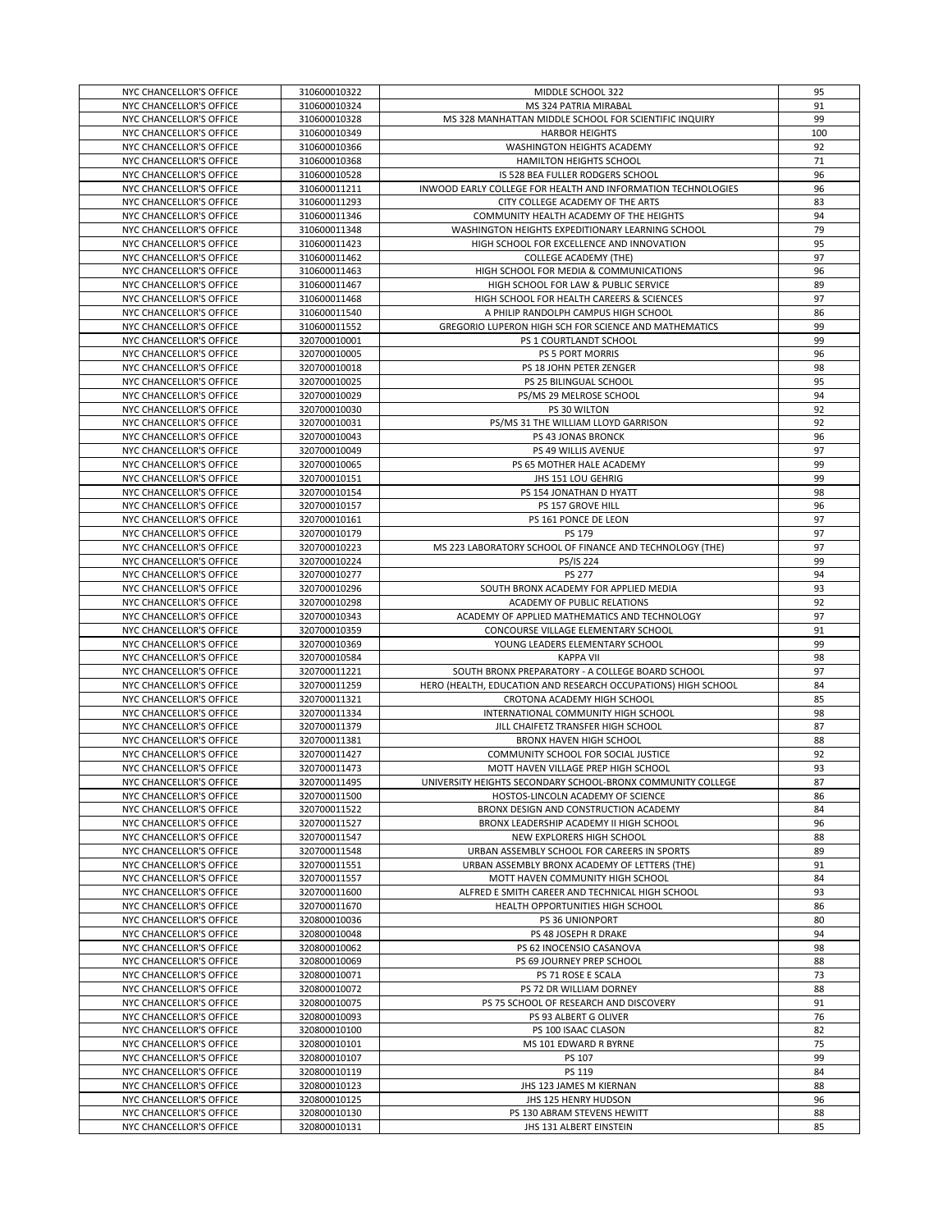| NYC CHANCELLOR'S OFFICE                            | 310600010322                 | MIDDLE SCHOOL 322                                             | 95       |
|----------------------------------------------------|------------------------------|---------------------------------------------------------------|----------|
| NYC CHANCELLOR'S OFFICE                            | 310600010324                 | MS 324 PATRIA MIRABAL                                         | 91       |
| NYC CHANCELLOR'S OFFICE                            | 310600010328                 | MS 328 MANHATTAN MIDDLE SCHOOL FOR SCIENTIFIC INQUIRY         | 99       |
|                                                    |                              |                                                               |          |
| NYC CHANCELLOR'S OFFICE                            | 310600010349                 | <b>HARBOR HEIGHTS</b>                                         | 100      |
| NYC CHANCELLOR'S OFFICE                            | 310600010366                 | WASHINGTON HEIGHTS ACADEMY                                    | 92       |
| NYC CHANCELLOR'S OFFICE                            | 310600010368                 | <b>HAMILTON HEIGHTS SCHOOL</b>                                | 71       |
| NYC CHANCELLOR'S OFFICE                            | 310600010528                 | IS 528 BEA FULLER RODGERS SCHOOL                              | 96       |
| NYC CHANCELLOR'S OFFICE                            | 310600011211                 | INWOOD EARLY COLLEGE FOR HEALTH AND INFORMATION TECHNOLOGIES  | 96       |
| NYC CHANCELLOR'S OFFICE                            | 310600011293                 | CITY COLLEGE ACADEMY OF THE ARTS                              | 83       |
| NYC CHANCELLOR'S OFFICE                            | 310600011346                 | COMMUNITY HEALTH ACADEMY OF THE HEIGHTS                       | 94       |
|                                                    |                              |                                                               |          |
| NYC CHANCELLOR'S OFFICE                            | 310600011348                 | WASHINGTON HEIGHTS EXPEDITIONARY LEARNING SCHOOL              | 79       |
| NYC CHANCELLOR'S OFFICE                            | 310600011423                 | HIGH SCHOOL FOR EXCELLENCE AND INNOVATION                     | 95       |
| NYC CHANCELLOR'S OFFICE                            | 310600011462                 | <b>COLLEGE ACADEMY (THE)</b>                                  | 97       |
| NYC CHANCELLOR'S OFFICE                            | 310600011463                 | HIGH SCHOOL FOR MEDIA & COMMUNICATIONS                        | 96       |
| NYC CHANCELLOR'S OFFICE                            | 310600011467                 | HIGH SCHOOL FOR LAW & PUBLIC SERVICE                          | 89       |
| NYC CHANCELLOR'S OFFICE                            | 310600011468                 | HIGH SCHOOL FOR HEALTH CAREERS & SCIENCES                     | 97       |
| NYC CHANCELLOR'S OFFICE                            | 310600011540                 | A PHILIP RANDOLPH CAMPUS HIGH SCHOOL                          | 86       |
|                                                    |                              |                                                               |          |
| NYC CHANCELLOR'S OFFICE                            | 310600011552                 | GREGORIO LUPERON HIGH SCH FOR SCIENCE AND MATHEMATICS         | 99       |
| NYC CHANCELLOR'S OFFICE                            | 320700010001                 | PS 1 COURTLANDT SCHOOL                                        | 99       |
| NYC CHANCELLOR'S OFFICE                            | 320700010005                 | PS 5 PORT MORRIS                                              | 96       |
| NYC CHANCELLOR'S OFFICE                            | 320700010018                 | PS 18 JOHN PETER ZENGER                                       | 98       |
| NYC CHANCELLOR'S OFFICE                            | 320700010025                 | PS 25 BILINGUAL SCHOOL                                        | 95       |
| NYC CHANCELLOR'S OFFICE                            | 320700010029                 | PS/MS 29 MELROSE SCHOOL                                       | 94       |
| NYC CHANCELLOR'S OFFICE                            |                              | PS 30 WILTON                                                  |          |
|                                                    | 320700010030                 |                                                               | 92       |
| NYC CHANCELLOR'S OFFICE                            | 320700010031                 | PS/MS 31 THE WILLIAM LLOYD GARRISON                           | 92       |
| NYC CHANCELLOR'S OFFICE                            | 320700010043                 | PS 43 JONAS BRONCK                                            | 96       |
| NYC CHANCELLOR'S OFFICE                            | 320700010049                 | PS 49 WILLIS AVENUE                                           | 97       |
| NYC CHANCELLOR'S OFFICE                            | 320700010065                 | PS 65 MOTHER HALE ACADEMY                                     | 99       |
| NYC CHANCELLOR'S OFFICE                            | 320700010151                 | JHS 151 LOU GEHRIG                                            | 99       |
| NYC CHANCELLOR'S OFFICE                            | 320700010154                 | PS 154 JONATHAN D HYATT                                       | 98       |
|                                                    |                              |                                                               |          |
| NYC CHANCELLOR'S OFFICE                            | 320700010157                 | PS 157 GROVE HILL                                             | 96       |
| NYC CHANCELLOR'S OFFICE                            | 320700010161                 | PS 161 PONCE DE LEON                                          | 97       |
| NYC CHANCELLOR'S OFFICE                            | 320700010179                 | PS 179                                                        | 97       |
| NYC CHANCELLOR'S OFFICE                            | 320700010223                 | MS 223 LABORATORY SCHOOL OF FINANCE AND TECHNOLOGY (THE)      | 97       |
| NYC CHANCELLOR'S OFFICE                            | 320700010224                 | PS/IS 224                                                     | 99       |
| NYC CHANCELLOR'S OFFICE                            | 320700010277                 | <b>PS 277</b>                                                 | 94       |
|                                                    |                              | SOUTH BRONX ACADEMY FOR APPLIED MEDIA                         |          |
| NYC CHANCELLOR'S OFFICE                            | 320700010296                 |                                                               | 93       |
|                                                    | 320700010298                 |                                                               | 92       |
| NYC CHANCELLOR'S OFFICE                            |                              | ACADEMY OF PUBLIC RELATIONS                                   |          |
| NYC CHANCELLOR'S OFFICE                            | 320700010343                 | ACADEMY OF APPLIED MATHEMATICS AND TECHNOLOGY                 | 97       |
| NYC CHANCELLOR'S OFFICE                            | 320700010359                 | CONCOURSE VILLAGE ELEMENTARY SCHOOL                           | 91       |
| NYC CHANCELLOR'S OFFICE                            | 320700010369                 | YOUNG LEADERS ELEMENTARY SCHOOL                               | 99       |
|                                                    |                              |                                                               |          |
| NYC CHANCELLOR'S OFFICE                            | 320700010584                 | <b>KAPPA VII</b>                                              | 98       |
| NYC CHANCELLOR'S OFFICE                            | 320700011221                 | SOUTH BRONX PREPARATORY - A COLLEGE BOARD SCHOOL              | 97       |
| NYC CHANCELLOR'S OFFICE                            | 320700011259                 | HERO (HEALTH, EDUCATION AND RESEARCH OCCUPATIONS) HIGH SCHOOL | 84       |
| NYC CHANCELLOR'S OFFICE                            | 320700011321                 | CROTONA ACADEMY HIGH SCHOOL                                   | 85       |
| NYC CHANCELLOR'S OFFICE                            | 320700011334                 | INTERNATIONAL COMMUNITY HIGH SCHOOL                           | 98       |
| NYC CHANCELLOR'S OFFICE                            | 320700011379                 | JILL CHAIFETZ TRANSFER HIGH SCHOOL                            | 87       |
| NYC CHANCELLOR'S OFFICE                            | 320700011381                 | BRONX HAVEN HIGH SCHOOL                                       | 88       |
| NYC CHANCELLOR'S OFFICE                            |                              | COMMUNITY SCHOOL FOR SOCIAL JUSTICE                           | 92       |
|                                                    | 320700011427                 |                                                               |          |
| NYC CHANCELLOR'S OFFICE                            | 320700011473                 | MOTT HAVEN VILLAGE PREP HIGH SCHOOL                           | 93       |
| NYC CHANCELLOR'S OFFICE                            | 320700011495                 | UNIVERSITY HEIGHTS SECONDARY SCHOOL-BRONX COMMUNITY COLLEGE   | 87       |
| NYC CHANCELLOR'S OFFICE                            | 320700011500                 | HOSTOS-LINCOLN ACADEMY OF SCIENCE                             | 86       |
| NYC CHANCELLOR'S OFFICE                            | 320700011522                 | BRONX DESIGN AND CONSTRUCTION ACADEMY                         | 84       |
| NYC CHANCELLOR'S OFFICE                            | 320700011527                 | BRONX LEADERSHIP ACADEMY II HIGH SCHOOL                       | 96       |
| NYC CHANCELLOR'S OFFICE                            | 320700011547                 | NEW EXPLORERS HIGH SCHOOL                                     | 88       |
| NYC CHANCELLOR'S OFFICE                            | 320700011548                 | URBAN ASSEMBLY SCHOOL FOR CAREERS IN SPORTS                   | 89       |
|                                                    |                              |                                                               |          |
| NYC CHANCELLOR'S OFFICE                            | 320700011551                 | URBAN ASSEMBLY BRONX ACADEMY OF LETTERS (THE)                 | 91       |
| NYC CHANCELLOR'S OFFICE                            | 320700011557                 | MOTT HAVEN COMMUNITY HIGH SCHOOL                              | 84       |
| NYC CHANCELLOR'S OFFICE                            | 320700011600                 | ALFRED E SMITH CAREER AND TECHNICAL HIGH SCHOOL               | 93       |
| NYC CHANCELLOR'S OFFICE                            | 320700011670                 | HEALTH OPPORTUNITIES HIGH SCHOOL                              | 86       |
| NYC CHANCELLOR'S OFFICE                            | 320800010036                 | PS 36 UNIONPORT                                               | 80       |
| NYC CHANCELLOR'S OFFICE                            | 320800010048                 | PS 48 JOSEPH R DRAKE                                          | 94       |
| NYC CHANCELLOR'S OFFICE                            | 320800010062                 | PS 62 INOCENSIO CASANOVA                                      | 98       |
| NYC CHANCELLOR'S OFFICE                            | 320800010069                 | PS 69 JOURNEY PREP SCHOOL                                     | 88       |
|                                                    |                              |                                                               |          |
| NYC CHANCELLOR'S OFFICE                            | 320800010071                 | PS 71 ROSE E SCALA                                            | 73       |
| NYC CHANCELLOR'S OFFICE                            | 320800010072                 | PS 72 DR WILLIAM DORNEY                                       | 88       |
| NYC CHANCELLOR'S OFFICE                            | 320800010075                 | PS 75 SCHOOL OF RESEARCH AND DISCOVERY                        | 91       |
| NYC CHANCELLOR'S OFFICE                            | 320800010093                 | PS 93 ALBERT G OLIVER                                         | 76       |
| NYC CHANCELLOR'S OFFICE                            | 320800010100                 | PS 100 ISAAC CLASON                                           | 82       |
| NYC CHANCELLOR'S OFFICE                            | 320800010101                 | MS 101 EDWARD R BYRNE                                         | 75       |
| NYC CHANCELLOR'S OFFICE                            | 320800010107                 | PS 107                                                        | 99       |
|                                                    |                              |                                                               |          |
| NYC CHANCELLOR'S OFFICE                            | 320800010119                 | PS 119                                                        | 84       |
| NYC CHANCELLOR'S OFFICE                            | 320800010123                 | JHS 123 JAMES M KIERNAN                                       | 88       |
| NYC CHANCELLOR'S OFFICE                            | 320800010125                 | JHS 125 HENRY HUDSON                                          | 96       |
| NYC CHANCELLOR'S OFFICE<br>NYC CHANCELLOR'S OFFICE | 320800010130<br>320800010131 | PS 130 ABRAM STEVENS HEWITT<br>JHS 131 ALBERT EINSTEIN        | 88<br>85 |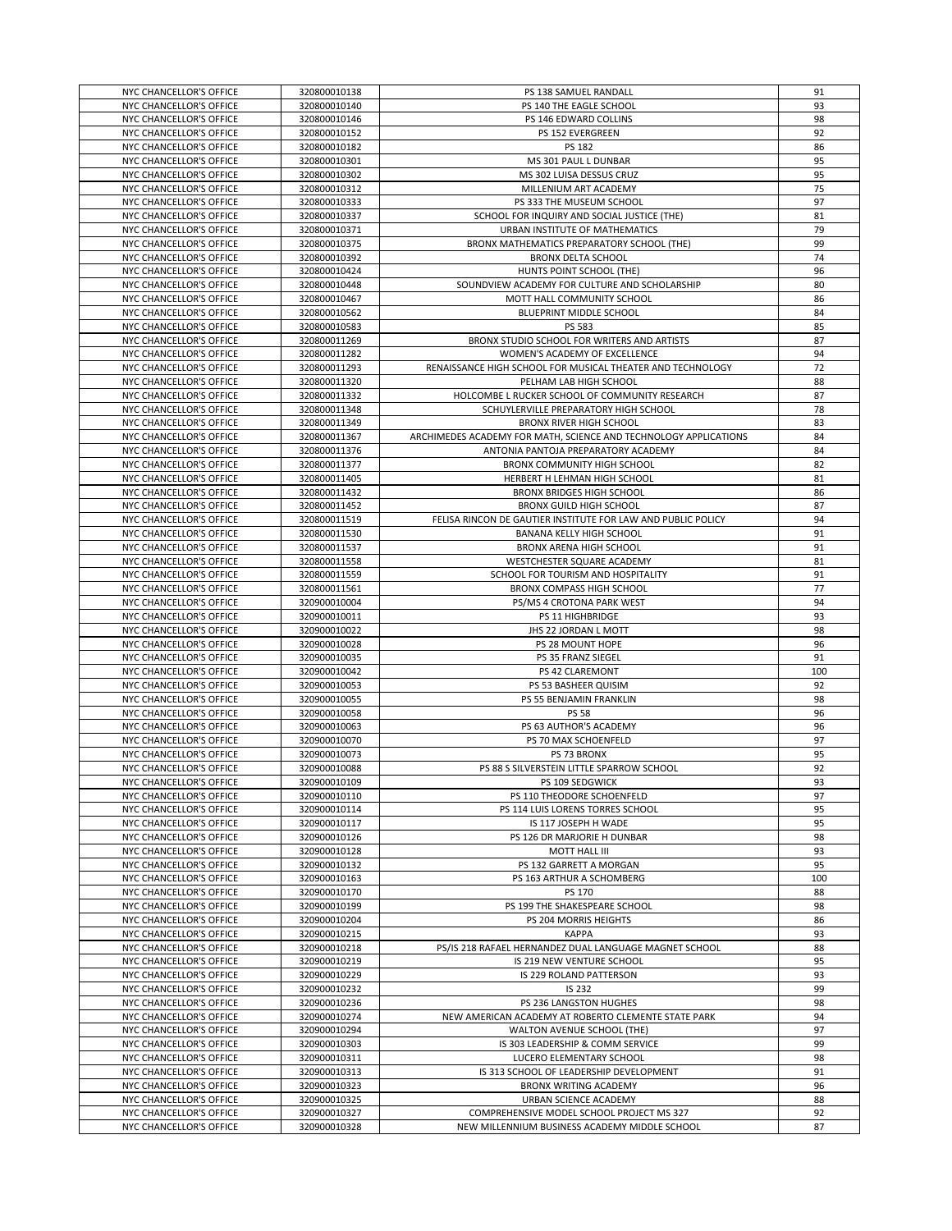| NYC CHANCELLOR'S OFFICE                            | 320800010138                 | PS 138 SAMUEL RANDALL                                                                      | 91       |
|----------------------------------------------------|------------------------------|--------------------------------------------------------------------------------------------|----------|
| NYC CHANCELLOR'S OFFICE                            | 320800010140                 | PS 140 THE EAGLE SCHOOL                                                                    | 93       |
| NYC CHANCELLOR'S OFFICE                            | 320800010146                 | PS 146 EDWARD COLLINS                                                                      | 98       |
| NYC CHANCELLOR'S OFFICE                            | 320800010152                 | PS 152 EVERGREEN                                                                           | 92       |
| NYC CHANCELLOR'S OFFICE                            | 320800010182                 | <b>PS 182</b>                                                                              | 86       |
| NYC CHANCELLOR'S OFFICE                            | 320800010301                 | MS 301 PAUL L DUNBAR                                                                       | 95       |
| NYC CHANCELLOR'S OFFICE                            | 320800010302                 | MS 302 LUISA DESSUS CRUZ                                                                   | 95       |
|                                                    |                              |                                                                                            |          |
| NYC CHANCELLOR'S OFFICE                            | 320800010312                 | MILLENIUM ART ACADEMY                                                                      | 75       |
| NYC CHANCELLOR'S OFFICE                            | 320800010333                 | PS 333 THE MUSEUM SCHOOL                                                                   | 97       |
| NYC CHANCELLOR'S OFFICE                            | 320800010337                 | SCHOOL FOR INQUIRY AND SOCIAL JUSTICE (THE)                                                | 81       |
| NYC CHANCELLOR'S OFFICE                            | 320800010371                 | URBAN INSTITUTE OF MATHEMATICS                                                             | 79       |
| NYC CHANCELLOR'S OFFICE                            | 320800010375                 | BRONX MATHEMATICS PREPARATORY SCHOOL (THE)                                                 | 99       |
| NYC CHANCELLOR'S OFFICE                            | 320800010392                 | <b>BRONX DELTA SCHOOL</b>                                                                  | 74       |
| NYC CHANCELLOR'S OFFICE                            | 320800010424                 | HUNTS POINT SCHOOL (THE)                                                                   | 96       |
| NYC CHANCELLOR'S OFFICE                            | 320800010448                 | SOUNDVIEW ACADEMY FOR CULTURE AND SCHOLARSHIP                                              | 80       |
| NYC CHANCELLOR'S OFFICE                            | 320800010467                 | MOTT HALL COMMUNITY SCHOOL                                                                 | 86       |
|                                                    |                              |                                                                                            |          |
| NYC CHANCELLOR'S OFFICE                            | 320800010562                 | BLUEPRINT MIDDLE SCHOOL                                                                    | 84       |
| NYC CHANCELLOR'S OFFICE                            | 320800010583                 | PS 583                                                                                     | 85       |
| NYC CHANCELLOR'S OFFICE                            | 320800011269                 | BRONX STUDIO SCHOOL FOR WRITERS AND ARTISTS                                                | 87       |
| NYC CHANCELLOR'S OFFICE                            | 320800011282                 | WOMEN'S ACADEMY OF EXCELLENCE                                                              | 94       |
| NYC CHANCELLOR'S OFFICE                            | 320800011293                 | RENAISSANCE HIGH SCHOOL FOR MUSICAL THEATER AND TECHNOLOGY                                 | 72       |
| NYC CHANCELLOR'S OFFICE                            | 320800011320                 | PELHAM LAB HIGH SCHOOL                                                                     | 88       |
| NYC CHANCELLOR'S OFFICE                            | 320800011332                 | HOLCOMBE L RUCKER SCHOOL OF COMMUNITY RESEARCH                                             | 87       |
| NYC CHANCELLOR'S OFFICE                            | 320800011348                 | SCHUYLERVILLE PREPARATORY HIGH SCHOOL                                                      | 78       |
| NYC CHANCELLOR'S OFFICE                            | 320800011349                 | <b>BRONX RIVER HIGH SCHOOL</b>                                                             | 83       |
| NYC CHANCELLOR'S OFFICE                            | 320800011367                 | ARCHIMEDES ACADEMY FOR MATH, SCIENCE AND TECHNOLOGY APPLICATIONS                           | 84       |
| NYC CHANCELLOR'S OFFICE                            |                              |                                                                                            | 84       |
|                                                    | 320800011376                 | ANTONIA PANTOJA PREPARATORY ACADEMY                                                        |          |
| NYC CHANCELLOR'S OFFICE                            | 320800011377                 | BRONX COMMUNITY HIGH SCHOOL                                                                | 82       |
| NYC CHANCELLOR'S OFFICE                            | 320800011405                 | HERBERT H LEHMAN HIGH SCHOOL                                                               | 81       |
| NYC CHANCELLOR'S OFFICE                            | 320800011432                 | <b>BRONX BRIDGES HIGH SCHOOL</b>                                                           | 86       |
| NYC CHANCELLOR'S OFFICE                            | 320800011452                 | BRONX GUILD HIGH SCHOOL                                                                    | 87       |
| NYC CHANCELLOR'S OFFICE                            | 320800011519                 | FELISA RINCON DE GAUTIER INSTITUTE FOR LAW AND PUBLIC POLICY                               | 94       |
| NYC CHANCELLOR'S OFFICE                            | 320800011530                 | BANANA KELLY HIGH SCHOOL                                                                   | 91       |
| NYC CHANCELLOR'S OFFICE                            | 320800011537                 | <b>BRONX ARENA HIGH SCHOOL</b>                                                             | 91       |
| NYC CHANCELLOR'S OFFICE                            | 320800011558                 | WESTCHESTER SQUARE ACADEMY                                                                 | 81       |
|                                                    |                              |                                                                                            |          |
| NYC CHANCELLOR'S OFFICE                            | 320800011559                 | SCHOOL FOR TOURISM AND HOSPITALITY                                                         | 91       |
| NYC CHANCELLOR'S OFFICE                            | 320800011561                 | <b>BRONX COMPASS HIGH SCHOOL</b>                                                           | 77       |
| NYC CHANCELLOR'S OFFICE                            | 320900010004                 | PS/MS 4 CROTONA PARK WEST                                                                  | 94       |
|                                                    |                              |                                                                                            |          |
| NYC CHANCELLOR'S OFFICE                            | 320900010011                 | PS 11 HIGHBRIDGE                                                                           | 93       |
| NYC CHANCELLOR'S OFFICE                            | 320900010022                 | JHS 22 JORDAN L MOTT                                                                       | 98       |
|                                                    |                              |                                                                                            |          |
| NYC CHANCELLOR'S OFFICE                            | 320900010028                 | PS 28 MOUNT HOPE                                                                           | 96       |
| NYC CHANCELLOR'S OFFICE                            | 320900010035                 | PS 35 FRANZ SIEGEL                                                                         | 91       |
| NYC CHANCELLOR'S OFFICE                            | 320900010042                 | PS 42 CLAREMONT                                                                            | 100      |
| NYC CHANCELLOR'S OFFICE                            | 320900010053                 | PS 53 BASHEER QUISIM                                                                       | 92       |
| NYC CHANCELLOR'S OFFICE                            | 320900010055                 | PS 55 BENJAMIN FRANKLIN                                                                    | 98       |
| NYC CHANCELLOR'S OFFICE                            | 320900010058                 | <b>PS 58</b>                                                                               | 96       |
| NYC CHANCELLOR'S OFFICE                            | 320900010063                 | PS 63 AUTHOR'S ACADEMY                                                                     | 96       |
| NYC CHANCELLOR'S OFFICE                            | 320900010070                 | PS 70 MAX SCHOENFELD                                                                       | 97       |
| NYC CHANCELLOR'S OFFICE                            | 320900010073                 | PS 73 BRONX                                                                                | 95       |
|                                                    |                              |                                                                                            |          |
| NYC CHANCELLOR'S OFFICE                            | 320900010088                 | PS 88 S SILVERSTEIN LITTLE SPARROW SCHOOL                                                  | 92       |
| NYC CHANCELLOR'S OFFICE                            | 320900010109                 | <b>PS 109 SEDGWICK</b>                                                                     | 93       |
| NYC CHANCELLOR'S OFFICE                            | 320900010110                 | PS 110 THEODORE SCHOENFELD                                                                 | 97       |
| NYC CHANCELLOR'S OFFICE                            | 320900010114                 | PS 114 LUIS LORENS TORRES SCHOOL                                                           | 95       |
| NYC CHANCELLOR'S OFFICE                            | 320900010117                 | IS 117 JOSEPH H WADE                                                                       | 95       |
| NYC CHANCELLOR'S OFFICE                            | 320900010126                 | PS 126 DR MARJORIE H DUNBAR                                                                | 98       |
| NYC CHANCELLOR'S OFFICE                            | 320900010128                 | MOTT HALL III                                                                              | 93       |
| NYC CHANCELLOR'S OFFICE                            | 320900010132                 | PS 132 GARRETT A MORGAN                                                                    | 95       |
| NYC CHANCELLOR'S OFFICE                            | 320900010163                 | PS 163 ARTHUR A SCHOMBERG                                                                  | 100      |
| NYC CHANCELLOR'S OFFICE                            | 320900010170                 | PS 170                                                                                     | 88       |
| NYC CHANCELLOR'S OFFICE                            | 320900010199                 | PS 199 THE SHAKESPEARE SCHOOL                                                              | 98       |
|                                                    |                              |                                                                                            |          |
| NYC CHANCELLOR'S OFFICE                            | 320900010204                 | PS 204 MORRIS HEIGHTS                                                                      | 86       |
| NYC CHANCELLOR'S OFFICE                            | 320900010215                 | <b>KAPPA</b>                                                                               | 93       |
| NYC CHANCELLOR'S OFFICE                            | 320900010218                 | PS/IS 218 RAFAEL HERNANDEZ DUAL LANGUAGE MAGNET SCHOOL                                     | 88       |
| NYC CHANCELLOR'S OFFICE                            | 320900010219                 | IS 219 NEW VENTURE SCHOOL                                                                  | 95       |
| NYC CHANCELLOR'S OFFICE                            | 320900010229                 | IS 229 ROLAND PATTERSON                                                                    | 93       |
| NYC CHANCELLOR'S OFFICE                            | 320900010232                 | IS 232                                                                                     | 99       |
| NYC CHANCELLOR'S OFFICE                            | 320900010236                 | PS 236 LANGSTON HUGHES                                                                     | 98       |
| NYC CHANCELLOR'S OFFICE                            | 320900010274                 | NEW AMERICAN ACADEMY AT ROBERTO CLEMENTE STATE PARK                                        | 94       |
| NYC CHANCELLOR'S OFFICE                            | 320900010294                 | WALTON AVENUE SCHOOL (THE)                                                                 | 97       |
|                                                    |                              |                                                                                            |          |
| NYC CHANCELLOR'S OFFICE                            | 320900010303                 | IS 303 LEADERSHIP & COMM SERVICE                                                           | 99       |
| NYC CHANCELLOR'S OFFICE                            | 320900010311                 | LUCERO ELEMENTARY SCHOOL                                                                   | 98       |
| NYC CHANCELLOR'S OFFICE                            | 320900010313                 | IS 313 SCHOOL OF LEADERSHIP DEVELOPMENT                                                    | 91       |
| NYC CHANCELLOR'S OFFICE                            | 320900010323                 | BRONX WRITING ACADEMY                                                                      | 96       |
| NYC CHANCELLOR'S OFFICE                            | 320900010325                 | URBAN SCIENCE ACADEMY                                                                      | 88       |
| NYC CHANCELLOR'S OFFICE<br>NYC CHANCELLOR'S OFFICE | 320900010327<br>320900010328 | COMPREHENSIVE MODEL SCHOOL PROJECT MS 327<br>NEW MILLENNIUM BUSINESS ACADEMY MIDDLE SCHOOL | 92<br>87 |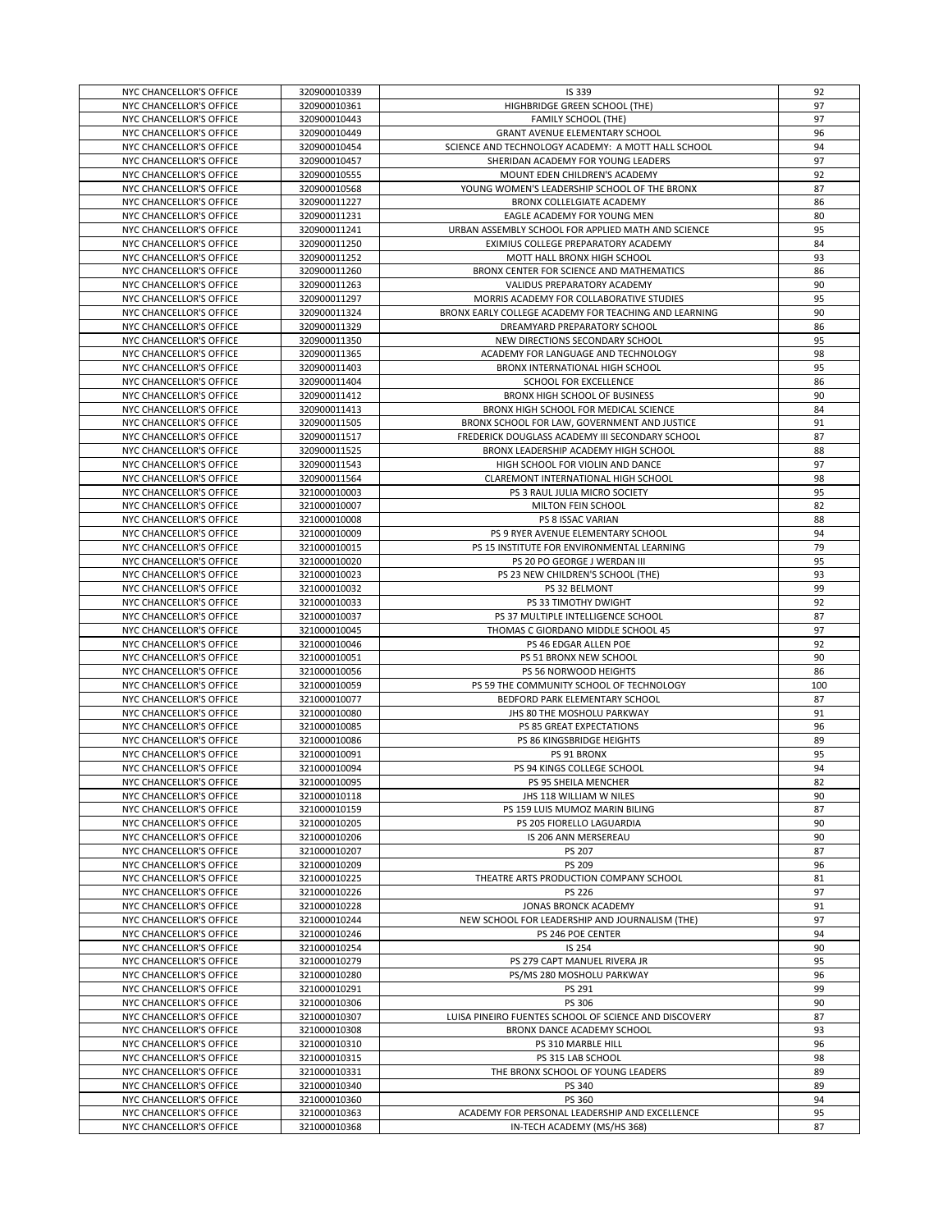| NYC CHANCELLOR'S OFFICE | 320900010339 | IS 339                                                | 92  |
|-------------------------|--------------|-------------------------------------------------------|-----|
|                         |              |                                                       |     |
| NYC CHANCELLOR'S OFFICE | 320900010361 | HIGHBRIDGE GREEN SCHOOL (THE)                         | 97  |
| NYC CHANCELLOR'S OFFICE | 320900010443 | <b>FAMILY SCHOOL (THE)</b>                            | 97  |
|                         |              |                                                       |     |
| NYC CHANCELLOR'S OFFICE | 320900010449 | GRANT AVENUE ELEMENTARY SCHOOL                        | 96  |
| NYC CHANCELLOR'S OFFICE | 320900010454 | SCIENCE AND TECHNOLOGY ACADEMY: A MOTT HALL SCHOOL    | 94  |
| NYC CHANCELLOR'S OFFICE | 320900010457 | SHERIDAN ACADEMY FOR YOUNG LEADERS                    | 97  |
|                         |              |                                                       |     |
| NYC CHANCELLOR'S OFFICE | 320900010555 | MOUNT EDEN CHILDREN'S ACADEMY                         | 92  |
| NYC CHANCELLOR'S OFFICE | 320900010568 | YOUNG WOMEN'S LEADERSHIP SCHOOL OF THE BRONX          | 87  |
|                         |              |                                                       |     |
| NYC CHANCELLOR'S OFFICE | 320900011227 | BRONX COLLELGIATE ACADEMY                             | 86  |
| NYC CHANCELLOR'S OFFICE | 320900011231 | EAGLE ACADEMY FOR YOUNG MEN                           | 80  |
|                         |              |                                                       | 95  |
| NYC CHANCELLOR'S OFFICE | 320900011241 | URBAN ASSEMBLY SCHOOL FOR APPLIED MATH AND SCIENCE    |     |
| NYC CHANCELLOR'S OFFICE | 320900011250 | EXIMIUS COLLEGE PREPARATORY ACADEMY                   | 84  |
| NYC CHANCELLOR'S OFFICE | 320900011252 | MOTT HALL BRONX HIGH SCHOOL                           | 93  |
|                         |              |                                                       |     |
| NYC CHANCELLOR'S OFFICE | 320900011260 | BRONX CENTER FOR SCIENCE AND MATHEMATICS              | 86  |
| NYC CHANCELLOR'S OFFICE | 320900011263 | VALIDUS PREPARATORY ACADEMY                           | 90  |
|                         |              |                                                       |     |
| NYC CHANCELLOR'S OFFICE | 320900011297 | MORRIS ACADEMY FOR COLLABORATIVE STUDIES              | 95  |
| NYC CHANCELLOR'S OFFICE | 320900011324 | BRONX EARLY COLLEGE ACADEMY FOR TEACHING AND LEARNING | 90  |
|                         |              |                                                       |     |
| NYC CHANCELLOR'S OFFICE | 320900011329 | DREAMYARD PREPARATORY SCHOOL                          | 86  |
| NYC CHANCELLOR'S OFFICE | 320900011350 | NEW DIRECTIONS SECONDARY SCHOOL                       | 95  |
| NYC CHANCELLOR'S OFFICE | 320900011365 | ACADEMY FOR LANGUAGE AND TECHNOLOGY                   | 98  |
|                         |              |                                                       |     |
| NYC CHANCELLOR'S OFFICE | 320900011403 | BRONX INTERNATIONAL HIGH SCHOOL                       | 95  |
| NYC CHANCELLOR'S OFFICE | 320900011404 | SCHOOL FOR EXCELLENCE                                 | 86  |
|                         |              |                                                       |     |
| NYC CHANCELLOR'S OFFICE | 320900011412 | BRONX HIGH SCHOOL OF BUSINESS                         | 90  |
| NYC CHANCELLOR'S OFFICE | 320900011413 | BRONX HIGH SCHOOL FOR MEDICAL SCIENCE                 | 84  |
| NYC CHANCELLOR'S OFFICE |              |                                                       | 91  |
|                         | 320900011505 | BRONX SCHOOL FOR LAW, GOVERNMENT AND JUSTICE          |     |
| NYC CHANCELLOR'S OFFICE | 320900011517 | FREDERICK DOUGLASS ACADEMY III SECONDARY SCHOOL       | 87  |
| NYC CHANCELLOR'S OFFICE | 320900011525 | BRONX LEADERSHIP ACADEMY HIGH SCHOOL                  | 88  |
|                         |              |                                                       |     |
| NYC CHANCELLOR'S OFFICE | 320900011543 | HIGH SCHOOL FOR VIOLIN AND DANCE                      | 97  |
| NYC CHANCELLOR'S OFFICE | 320900011564 | CLAREMONT INTERNATIONAL HIGH SCHOOL                   | 98  |
|                         |              |                                                       |     |
| NYC CHANCELLOR'S OFFICE | 321000010003 | PS 3 RAUL JULIA MICRO SOCIETY                         | 95  |
| NYC CHANCELLOR'S OFFICE | 321000010007 | MILTON FEIN SCHOOL                                    | 82  |
|                         |              |                                                       |     |
| NYC CHANCELLOR'S OFFICE | 321000010008 | PS 8 ISSAC VARIAN                                     | 88  |
| NYC CHANCELLOR'S OFFICE | 321000010009 | PS 9 RYER AVENUE ELEMENTARY SCHOOL                    | 94  |
|                         |              |                                                       | 79  |
| NYC CHANCELLOR'S OFFICE | 321000010015 | PS 15 INSTITUTE FOR ENVIRONMENTAL LEARNING            |     |
| NYC CHANCELLOR'S OFFICE | 321000010020 | PS 20 PO GEORGE J WERDAN III                          | 95  |
| NYC CHANCELLOR'S OFFICE | 321000010023 | PS 23 NEW CHILDREN'S SCHOOL (THE)                     | 93  |
|                         |              |                                                       |     |
| NYC CHANCELLOR'S OFFICE | 321000010032 | PS 32 BELMONT                                         | 99  |
| NYC CHANCELLOR'S OFFICE | 321000010033 | PS 33 TIMOTHY DWIGHT                                  | 92  |
|                         |              |                                                       |     |
| NYC CHANCELLOR'S OFFICE | 321000010037 | PS 37 MULTIPLE INTELLIGENCE SCHOOL                    | 87  |
| NYC CHANCELLOR'S OFFICE | 321000010045 | THOMAS C GIORDANO MIDDLE SCHOOL 45                    | 97  |
|                         |              |                                                       |     |
| NYC CHANCELLOR'S OFFICE | 321000010046 | PS 46 EDGAR ALLEN POE                                 | 92  |
| NYC CHANCELLOR'S OFFICE | 321000010051 | PS 51 BRONX NEW SCHOOL                                | 90  |
|                         |              |                                                       |     |
| NYC CHANCELLOR'S OFFICE | 321000010056 | PS 56 NORWOOD HEIGHTS                                 | 86  |
| NYC CHANCELLOR'S OFFICE | 321000010059 | PS 59 THE COMMUNITY SCHOOL OF TECHNOLOGY              | 100 |
| NYC CHANCELLOR'S OFFICE | 321000010077 | BEDFORD PARK ELEMENTARY SCHOOL                        | 87  |
|                         |              |                                                       |     |
| NYC CHANCELLOR'S OFFICE | 321000010080 | JHS 80 THE MOSHOLU PARKWAY                            | 91  |
| NYC CHANCELLOR'S OFFICE | 321000010085 | PS 85 GREAT EXPECTATIONS                              | 96  |
|                         |              |                                                       |     |
| NYC CHANCELLOR'S OFFICE | 321000010086 | PS 86 KINGSBRIDGE HEIGHTS                             | 89  |
| NYC CHANCELLOR'S OFFICE | 321000010091 | PS 91 BRONX                                           | 95  |
|                         | 321000010094 |                                                       | 94  |
| NYC CHANCELLOR'S OFFICE |              | PS 94 KINGS COLLEGE SCHOOL                            |     |
| NYC CHANCELLOR'S OFFICE | 321000010095 | PS 95 SHEILA MENCHER                                  | 82  |
| NYC CHANCELLOR'S OFFICE | 321000010118 | JHS 118 WILLIAM W NILES                               | 90  |
|                         |              |                                                       |     |
| NYC CHANCELLOR'S OFFICE | 321000010159 | PS 159 LUIS MUMOZ MARIN BILING                        | 87  |
| NYC CHANCELLOR'S OFFICE | 321000010205 | PS 205 FIORELLO LAGUARDIA                             | 90  |
| NYC CHANCELLOR'S OFFICE | 321000010206 | IS 206 ANN MERSEREAU                                  | 90  |
|                         |              |                                                       |     |
| NYC CHANCELLOR'S OFFICE | 321000010207 | PS 207                                                | 87  |
| NYC CHANCELLOR'S OFFICE | 321000010209 | PS 209                                                | 96  |
|                         |              |                                                       |     |
| NYC CHANCELLOR'S OFFICE | 321000010225 | THEATRE ARTS PRODUCTION COMPANY SCHOOL                | 81  |
| NYC CHANCELLOR'S OFFICE | 321000010226 | PS 226                                                | 97  |
| NYC CHANCELLOR'S OFFICE | 321000010228 | JONAS BRONCK ACADEMY                                  |     |
|                         |              |                                                       | 91  |
| NYC CHANCELLOR'S OFFICE | 321000010244 | NEW SCHOOL FOR LEADERSHIP AND JOURNALISM (THE)        | 97  |
| NYC CHANCELLOR'S OFFICE | 321000010246 | PS 246 POE CENTER                                     | 94  |
|                         |              |                                                       |     |
| NYC CHANCELLOR'S OFFICE | 321000010254 | IS 254                                                | 90  |
| NYC CHANCELLOR'S OFFICE | 321000010279 | PS 279 CAPT MANUEL RIVERA JR                          | 95  |
| NYC CHANCELLOR'S OFFICE | 321000010280 |                                                       |     |
|                         |              | PS/MS 280 MOSHOLU PARKWAY                             | 96  |
| NYC CHANCELLOR'S OFFICE | 321000010291 | PS 291                                                | 99  |
| NYC CHANCELLOR'S OFFICE | 321000010306 | PS 306                                                | 90  |
|                         |              |                                                       |     |
| NYC CHANCELLOR'S OFFICE | 321000010307 | LUISA PINEIRO FUENTES SCHOOL OF SCIENCE AND DISCOVERY | 87  |
| NYC CHANCELLOR'S OFFICE | 321000010308 | BRONX DANCE ACADEMY SCHOOL                            | 93  |
|                         |              |                                                       |     |
| NYC CHANCELLOR'S OFFICE | 321000010310 | PS 310 MARBLE HILL                                    | 96  |
| NYC CHANCELLOR'S OFFICE | 321000010315 | PS 315 LAB SCHOOL                                     | 98  |
| NYC CHANCELLOR'S OFFICE | 321000010331 | THE BRONX SCHOOL OF YOUNG LEADERS                     | 89  |
|                         |              |                                                       |     |
| NYC CHANCELLOR'S OFFICE | 321000010340 | PS 340                                                | 89  |
| NYC CHANCELLOR'S OFFICE | 321000010360 | PS 360                                                | 94  |
|                         |              |                                                       |     |
| NYC CHANCELLOR'S OFFICE | 321000010363 | ACADEMY FOR PERSONAL LEADERSHIP AND EXCELLENCE        | 95  |
| NYC CHANCELLOR'S OFFICE | 321000010368 | IN-TECH ACADEMY (MS/HS 368)                           | 87  |
|                         |              |                                                       |     |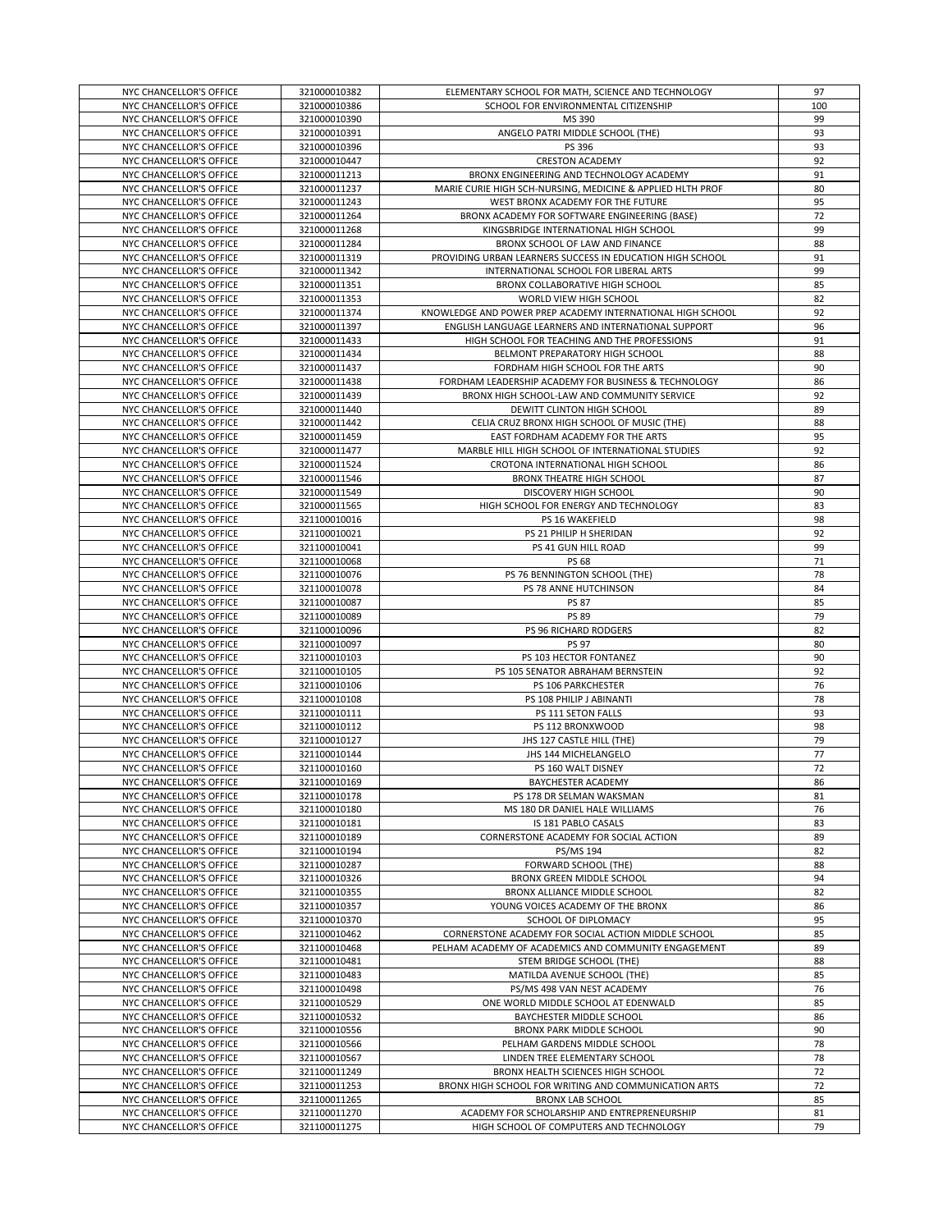| NYC CHANCELLOR'S OFFICE | 321000010382 | ELEMENTARY SCHOOL FOR MATH, SCIENCE AND TECHNOLOGY         | 97  |
|-------------------------|--------------|------------------------------------------------------------|-----|
| NYC CHANCELLOR'S OFFICE | 321000010386 | SCHOOL FOR ENVIRONMENTAL CITIZENSHIP                       | 100 |
| NYC CHANCELLOR'S OFFICE | 321000010390 | MS 390                                                     | 99  |
| NYC CHANCELLOR'S OFFICE | 321000010391 | ANGELO PATRI MIDDLE SCHOOL (THE)                           | 93  |
| NYC CHANCELLOR'S OFFICE | 321000010396 | PS 396                                                     | 93  |
| NYC CHANCELLOR'S OFFICE | 321000010447 | <b>CRESTON ACADEMY</b>                                     | 92  |
| NYC CHANCELLOR'S OFFICE | 321000011213 | BRONX ENGINEERING AND TECHNOLOGY ACADEMY                   | 91  |
| NYC CHANCELLOR'S OFFICE | 321000011237 | MARIE CURIE HIGH SCH-NURSING, MEDICINE & APPLIED HLTH PROF | 80  |
| NYC CHANCELLOR'S OFFICE | 321000011243 | WEST BRONX ACADEMY FOR THE FUTURE                          | 95  |
| NYC CHANCELLOR'S OFFICE | 321000011264 | BRONX ACADEMY FOR SOFTWARE ENGINEERING (BASE)              | 72  |
| NYC CHANCELLOR'S OFFICE | 321000011268 | KINGSBRIDGE INTERNATIONAL HIGH SCHOOL                      | 99  |
| NYC CHANCELLOR'S OFFICE | 321000011284 | BRONX SCHOOL OF LAW AND FINANCE                            | 88  |
| NYC CHANCELLOR'S OFFICE | 321000011319 | PROVIDING URBAN LEARNERS SUCCESS IN EDUCATION HIGH SCHOOL  | 91  |
| NYC CHANCELLOR'S OFFICE | 321000011342 | INTERNATIONAL SCHOOL FOR LIBERAL ARTS                      | 99  |
| NYC CHANCELLOR'S OFFICE | 321000011351 | BRONX COLLABORATIVE HIGH SCHOOL                            | 85  |
| NYC CHANCELLOR'S OFFICE | 321000011353 | WORLD VIEW HIGH SCHOOL                                     | 82  |
| NYC CHANCELLOR'S OFFICE | 321000011374 | KNOWLEDGE AND POWER PREP ACADEMY INTERNATIONAL HIGH SCHOOL | 92  |
| NYC CHANCELLOR'S OFFICE | 321000011397 | ENGLISH LANGUAGE LEARNERS AND INTERNATIONAL SUPPORT        | 96  |
| NYC CHANCELLOR'S OFFICE | 321000011433 | HIGH SCHOOL FOR TEACHING AND THE PROFESSIONS               | 91  |
| NYC CHANCELLOR'S OFFICE | 321000011434 | BELMONT PREPARATORY HIGH SCHOOL                            | 88  |
| NYC CHANCELLOR'S OFFICE | 321000011437 | FORDHAM HIGH SCHOOL FOR THE ARTS                           | 90  |
| NYC CHANCELLOR'S OFFICE | 321000011438 | FORDHAM LEADERSHIP ACADEMY FOR BUSINESS & TECHNOLOGY       | 86  |
| NYC CHANCELLOR'S OFFICE | 321000011439 | BRONX HIGH SCHOOL-LAW AND COMMUNITY SERVICE                | 92  |
| NYC CHANCELLOR'S OFFICE | 321000011440 | DEWITT CLINTON HIGH SCHOOL                                 | 89  |
| NYC CHANCELLOR'S OFFICE | 321000011442 | CELIA CRUZ BRONX HIGH SCHOOL OF MUSIC (THE)                | 88  |
| NYC CHANCELLOR'S OFFICE | 321000011459 | EAST FORDHAM ACADEMY FOR THE ARTS                          | 95  |
| NYC CHANCELLOR'S OFFICE | 321000011477 | MARBLE HILL HIGH SCHOOL OF INTERNATIONAL STUDIES           | 92  |
| NYC CHANCELLOR'S OFFICE | 321000011524 | CROTONA INTERNATIONAL HIGH SCHOOL                          | 86  |
| NYC CHANCELLOR'S OFFICE | 321000011546 | <b>BRONX THEATRE HIGH SCHOOL</b>                           | 87  |
| NYC CHANCELLOR'S OFFICE | 321000011549 | DISCOVERY HIGH SCHOOL                                      | 90  |
| NYC CHANCELLOR'S OFFICE | 321000011565 | HIGH SCHOOL FOR ENERGY AND TECHNOLOGY                      | 83  |
| NYC CHANCELLOR'S OFFICE | 321100010016 | PS 16 WAKEFIELD                                            | 98  |
| NYC CHANCELLOR'S OFFICE | 321100010021 | PS 21 PHILIP H SHERIDAN                                    | 92  |
| NYC CHANCELLOR'S OFFICE | 321100010041 | PS 41 GUN HILL ROAD                                        | 99  |
| NYC CHANCELLOR'S OFFICE | 321100010068 | PS 68                                                      | 71  |
| NYC CHANCELLOR'S OFFICE | 321100010076 | PS 76 BENNINGTON SCHOOL (THE)                              | 78  |
| NYC CHANCELLOR'S OFFICE | 321100010078 | PS 78 ANNE HUTCHINSON                                      | 84  |
| NYC CHANCELLOR'S OFFICE | 321100010087 | <b>PS 87</b>                                               | 85  |
| NYC CHANCELLOR'S OFFICE | 321100010089 | <b>PS 89</b>                                               | 79  |
| NYC CHANCELLOR'S OFFICE | 321100010096 | PS 96 RICHARD RODGERS                                      | 82  |
| NYC CHANCELLOR'S OFFICE | 321100010097 | <b>PS 97</b>                                               | 80  |
| NYC CHANCELLOR'S OFFICE | 321100010103 | PS 103 HECTOR FONTANEZ                                     | 90  |
| NYC CHANCELLOR'S OFFICE | 321100010105 | PS 105 SENATOR ABRAHAM BERNSTEIN                           | 92  |
| NYC CHANCELLOR'S OFFICE | 321100010106 | PS 106 PARKCHESTER                                         | 76  |
| NYC CHANCELLOR'S OFFICE | 321100010108 | PS 108 PHILIP J ABINANTI                                   | 78  |
| NYC CHANCELLOR'S OFFICE | 321100010111 | PS 111 SETON FALLS                                         | 93  |
| NYC CHANCELLOR'S OFFICE | 321100010112 | PS 112 BRONXWOOD                                           | 98  |
| NYC CHANCELLOR'S OFFICE | 321100010127 | JHS 127 CASTLE HILL (THE)                                  | 79  |
| NYC CHANCELLOR'S OFFICE | 321100010144 | JHS 144 MICHELANGELO                                       | 77  |
| NYC CHANCELLOR'S OFFICE | 321100010160 | PS 160 WALT DISNEY                                         | 72  |
| NYC CHANCELLOR'S OFFICE | 321100010169 | BAYCHESTER ACADEMY                                         | 86  |
| NYC CHANCELLOR'S OFFICE | 321100010178 | PS 178 DR SELMAN WAKSMAN                                   | 81  |
| NYC CHANCELLOR'S OFFICE | 321100010180 | MS 180 DR DANIEL HALE WILLIAMS                             | 76  |
| NYC CHANCELLOR'S OFFICE | 321100010181 | IS 181 PABLO CASALS                                        | 83  |
| NYC CHANCELLOR'S OFFICE | 321100010189 | CORNERSTONE ACADEMY FOR SOCIAL ACTION                      | 89  |
| NYC CHANCELLOR'S OFFICE | 321100010194 | PS/MS 194                                                  | 82  |
| NYC CHANCELLOR'S OFFICE | 321100010287 | FORWARD SCHOOL (THE)                                       | 88  |
| NYC CHANCELLOR'S OFFICE | 321100010326 | BRONX GREEN MIDDLE SCHOOL                                  | 94  |
| NYC CHANCELLOR'S OFFICE | 321100010355 | BRONX ALLIANCE MIDDLE SCHOOL                               | 82  |
| NYC CHANCELLOR'S OFFICE | 321100010357 | YOUNG VOICES ACADEMY OF THE BRONX                          | 86  |
| NYC CHANCELLOR'S OFFICE | 321100010370 | SCHOOL OF DIPLOMACY                                        | 95  |
| NYC CHANCELLOR'S OFFICE | 321100010462 | CORNERSTONE ACADEMY FOR SOCIAL ACTION MIDDLE SCHOOL        | 85  |
| NYC CHANCELLOR'S OFFICE | 321100010468 | PELHAM ACADEMY OF ACADEMICS AND COMMUNITY ENGAGEMENT       | 89  |
| NYC CHANCELLOR'S OFFICE | 321100010481 | STEM BRIDGE SCHOOL (THE)                                   | 88  |
| NYC CHANCELLOR'S OFFICE | 321100010483 | MATILDA AVENUE SCHOOL (THE)                                | 85  |
| NYC CHANCELLOR'S OFFICE | 321100010498 | PS/MS 498 VAN NEST ACADEMY                                 | 76  |
| NYC CHANCELLOR'S OFFICE | 321100010529 | ONE WORLD MIDDLE SCHOOL AT EDENWALD                        | 85  |
| NYC CHANCELLOR'S OFFICE | 321100010532 | BAYCHESTER MIDDLE SCHOOL                                   | 86  |
| NYC CHANCELLOR'S OFFICE | 321100010556 | BRONX PARK MIDDLE SCHOOL                                   | 90  |
| NYC CHANCELLOR'S OFFICE | 321100010566 | PELHAM GARDENS MIDDLE SCHOOL                               | 78  |
| NYC CHANCELLOR'S OFFICE | 321100010567 | LINDEN TREE ELEMENTARY SCHOOL                              | 78  |
| NYC CHANCELLOR'S OFFICE | 321100011249 | BRONX HEALTH SCIENCES HIGH SCHOOL                          | 72  |
| NYC CHANCELLOR'S OFFICE | 321100011253 | BRONX HIGH SCHOOL FOR WRITING AND COMMUNICATION ARTS       | 72  |
| NYC CHANCELLOR'S OFFICE | 321100011265 | <b>BRONX LAB SCHOOL</b>                                    | 85  |
| NYC CHANCELLOR'S OFFICE | 321100011270 | ACADEMY FOR SCHOLARSHIP AND ENTREPRENEURSHIP               | 81  |
| NYC CHANCELLOR'S OFFICE | 321100011275 | HIGH SCHOOL OF COMPUTERS AND TECHNOLOGY                    | 79  |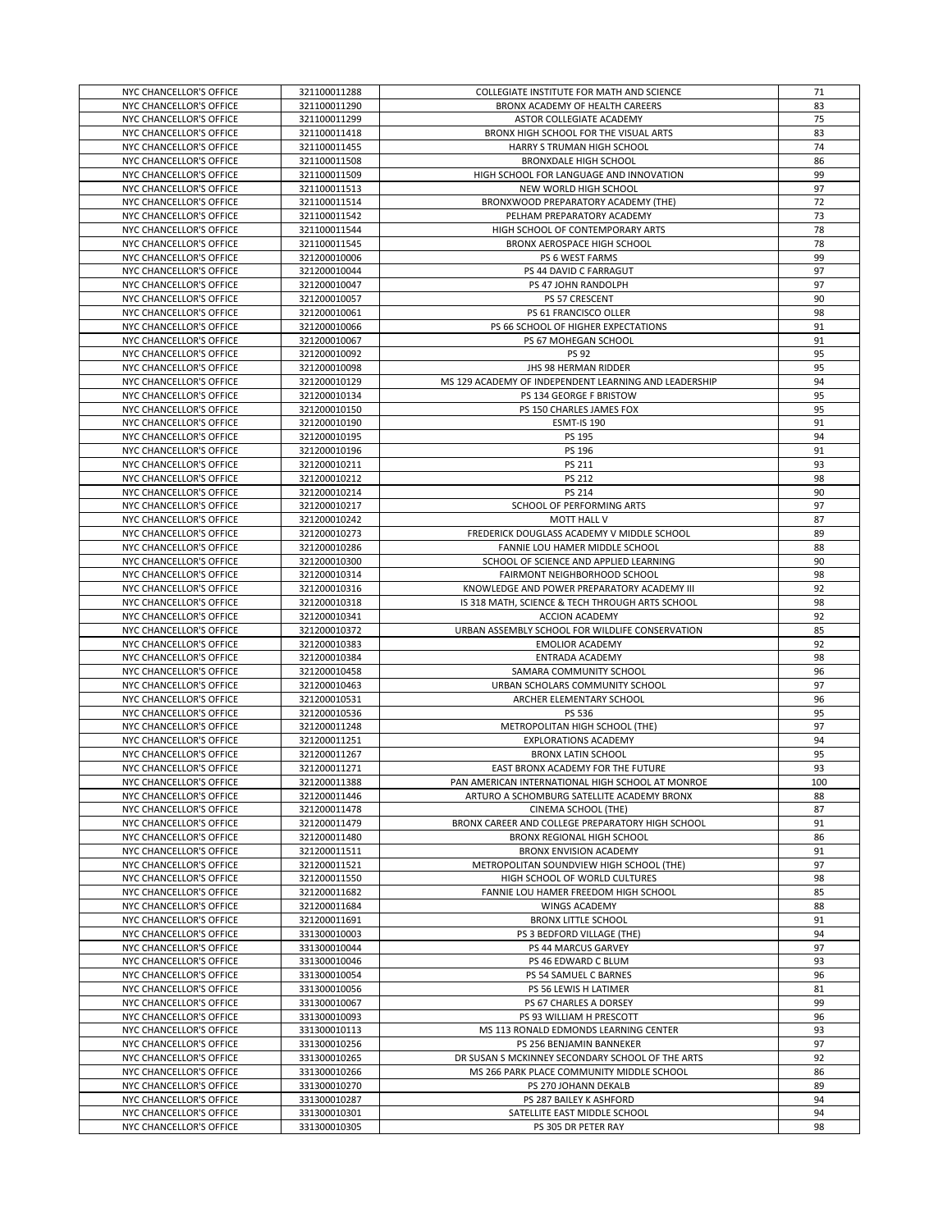| NYC CHANCELLOR'S OFFICE                            | 321100011288                 | COLLEGIATE INSTITUTE FOR MATH AND SCIENCE             | 71       |
|----------------------------------------------------|------------------------------|-------------------------------------------------------|----------|
|                                                    |                              |                                                       |          |
| NYC CHANCELLOR'S OFFICE                            | 321100011290                 | BRONX ACADEMY OF HEALTH CAREERS                       | 83       |
| NYC CHANCELLOR'S OFFICE                            | 321100011299                 | ASTOR COLLEGIATE ACADEMY                              | 75       |
| NYC CHANCELLOR'S OFFICE                            | 321100011418                 | BRONX HIGH SCHOOL FOR THE VISUAL ARTS                 | 83       |
|                                                    |                              |                                                       | 74       |
| NYC CHANCELLOR'S OFFICE                            | 321100011455                 | HARRY S TRUMAN HIGH SCHOOL                            |          |
| NYC CHANCELLOR'S OFFICE                            | 321100011508                 | <b>BRONXDALE HIGH SCHOOL</b>                          | 86       |
| NYC CHANCELLOR'S OFFICE                            | 321100011509                 | HIGH SCHOOL FOR LANGUAGE AND INNOVATION               | 99       |
| NYC CHANCELLOR'S OFFICE                            | 321100011513                 | NEW WORLD HIGH SCHOOL                                 | 97       |
|                                                    |                              |                                                       |          |
| NYC CHANCELLOR'S OFFICE                            | 321100011514                 | BRONXWOOD PREPARATORY ACADEMY (THE)                   | 72       |
| NYC CHANCELLOR'S OFFICE                            | 321100011542                 | PELHAM PREPARATORY ACADEMY                            | 73       |
| NYC CHANCELLOR'S OFFICE                            | 321100011544                 | HIGH SCHOOL OF CONTEMPORARY ARTS                      | 78       |
|                                                    |                              |                                                       |          |
| NYC CHANCELLOR'S OFFICE                            | 321100011545                 | BRONX AEROSPACE HIGH SCHOOL                           | 78       |
| NYC CHANCELLOR'S OFFICE                            | 321200010006                 | PS 6 WEST FARMS                                       | 99       |
| NYC CHANCELLOR'S OFFICE                            | 321200010044                 | PS 44 DAVID C FARRAGUT                                | 97       |
|                                                    |                              |                                                       |          |
| NYC CHANCELLOR'S OFFICE                            | 321200010047                 | PS 47 JOHN RANDOLPH                                   | 97       |
| NYC CHANCELLOR'S OFFICE                            | 321200010057                 | PS 57 CRESCENT                                        | 90       |
| NYC CHANCELLOR'S OFFICE                            | 321200010061                 | PS 61 FRANCISCO OLLER                                 | 98       |
| NYC CHANCELLOR'S OFFICE                            | 321200010066                 | PS 66 SCHOOL OF HIGHER EXPECTATIONS                   | 91       |
|                                                    |                              |                                                       |          |
| NYC CHANCELLOR'S OFFICE                            | 321200010067                 | PS 67 MOHEGAN SCHOOL                                  | 91       |
| NYC CHANCELLOR'S OFFICE                            | 321200010092                 | <b>PS 92</b>                                          | 95       |
| NYC CHANCELLOR'S OFFICE                            | 321200010098                 | JHS 98 HERMAN RIDDER                                  | 95       |
|                                                    |                              |                                                       |          |
| NYC CHANCELLOR'S OFFICE                            | 321200010129                 | MS 129 ACADEMY OF INDEPENDENT LEARNING AND LEADERSHIP | 94       |
| NYC CHANCELLOR'S OFFICE                            | 321200010134                 | PS 134 GEORGE F BRISTOW                               | 95       |
| NYC CHANCELLOR'S OFFICE                            | 321200010150                 | PS 150 CHARLES JAMES FOX                              | 95       |
|                                                    |                              |                                                       |          |
| NYC CHANCELLOR'S OFFICE                            | 321200010190                 | <b>ESMT-IS 190</b>                                    | 91       |
| NYC CHANCELLOR'S OFFICE                            | 321200010195                 | PS 195                                                | 94       |
| NYC CHANCELLOR'S OFFICE                            | 321200010196                 | PS 196                                                | 91       |
|                                                    |                              |                                                       |          |
| NYC CHANCELLOR'S OFFICE                            | 321200010211                 | PS 211                                                | 93       |
| NYC CHANCELLOR'S OFFICE                            | 321200010212                 | PS 212                                                | 98       |
| NYC CHANCELLOR'S OFFICE                            | 321200010214                 | PS 214                                                | 90       |
|                                                    |                              |                                                       |          |
| NYC CHANCELLOR'S OFFICE                            | 321200010217                 | SCHOOL OF PERFORMING ARTS                             | 97       |
| NYC CHANCELLOR'S OFFICE                            | 321200010242                 | MOTT HALL V                                           | 87       |
| NYC CHANCELLOR'S OFFICE                            | 321200010273                 | FREDERICK DOUGLASS ACADEMY V MIDDLE SCHOOL            | 89       |
|                                                    |                              |                                                       |          |
| NYC CHANCELLOR'S OFFICE                            | 321200010286                 | FANNIE LOU HAMER MIDDLE SCHOOL                        | 88       |
| NYC CHANCELLOR'S OFFICE                            | 321200010300                 | SCHOOL OF SCIENCE AND APPLIED LEARNING                | 90       |
| NYC CHANCELLOR'S OFFICE                            | 321200010314                 | FAIRMONT NEIGHBORHOOD SCHOOL                          | 98       |
|                                                    |                              |                                                       |          |
| NYC CHANCELLOR'S OFFICE                            | 321200010316                 | KNOWLEDGE AND POWER PREPARATORY ACADEMY III           | 92       |
| NYC CHANCELLOR'S OFFICE                            | 321200010318                 | IS 318 MATH, SCIENCE & TECH THROUGH ARTS SCHOOL       | 98       |
|                                                    |                              |                                                       |          |
|                                                    |                              |                                                       |          |
| NYC CHANCELLOR'S OFFICE                            | 321200010341                 | <b>ACCION ACADEMY</b>                                 | 92       |
| NYC CHANCELLOR'S OFFICE                            | 321200010372                 | URBAN ASSEMBLY SCHOOL FOR WILDLIFE CONSERVATION       | 85       |
| NYC CHANCELLOR'S OFFICE                            | 321200010383                 | <b>EMOLIOR ACADEMY</b>                                | 92       |
|                                                    |                              |                                                       |          |
| NYC CHANCELLOR'S OFFICE                            | 321200010384                 | ENTRADA ACADEMY                                       | 98       |
| NYC CHANCELLOR'S OFFICE                            | 321200010458                 | SAMARA COMMUNITY SCHOOL                               | 96       |
| NYC CHANCELLOR'S OFFICE                            | 321200010463                 | URBAN SCHOLARS COMMUNITY SCHOOL                       | 97       |
|                                                    |                              |                                                       |          |
| NYC CHANCELLOR'S OFFICE                            | 321200010531                 | ARCHER ELEMENTARY SCHOOL                              | 96       |
| NYC CHANCELLOR'S OFFICE                            | 321200010536                 | PS 536                                                | 95       |
| NYC CHANCELLOR'S OFFICE                            | 321200011248                 | METROPOLITAN HIGH SCHOOL (THE)                        | 97       |
|                                                    |                              |                                                       |          |
| NYC CHANCELLOR'S OFFICE                            | 321200011251                 | EXPLORATIONS ACADEMY                                  | 94       |
| NYC CHANCELLOR'S OFFICE                            | 321200011267                 | <b>BRONX LATIN SCHOOL</b>                             | 95       |
| NYC CHANCELLOR'S OFFICE                            | 321200011271                 | EAST BRONX ACADEMY FOR THE FUTURE                     | 93       |
| NYC CHANCELLOR'S OFFICE                            | 321200011388                 | PAN AMERICAN INTERNATIONAL HIGH SCHOOL AT MONROE      | 100      |
|                                                    |                              |                                                       |          |
| NYC CHANCELLOR'S OFFICE                            | 321200011446                 | ARTURO A SCHOMBURG SATELLITE ACADEMY BRONX            | 88       |
| NYC CHANCELLOR'S OFFICE                            | 321200011478                 | CINEMA SCHOOL (THE)                                   | 87       |
| NYC CHANCELLOR'S OFFICE                            | 321200011479                 | BRONX CAREER AND COLLEGE PREPARATORY HIGH SCHOOL      | 91       |
|                                                    |                              |                                                       |          |
| NYC CHANCELLOR'S OFFICE                            | 321200011480                 | BRONX REGIONAL HIGH SCHOOL                            | 86       |
| NYC CHANCELLOR'S OFFICE                            | 321200011511                 | BRONX ENVISION ACADEMY                                | 91       |
| NYC CHANCELLOR'S OFFICE                            | 321200011521                 | METROPOLITAN SOUNDVIEW HIGH SCHOOL (THE)              | 97       |
|                                                    |                              |                                                       |          |
| NYC CHANCELLOR'S OFFICE                            | 321200011550                 | HIGH SCHOOL OF WORLD CULTURES                         | 98       |
| NYC CHANCELLOR'S OFFICE                            | 321200011682                 | FANNIE LOU HAMER FREEDOM HIGH SCHOOL                  | 85       |
| NYC CHANCELLOR'S OFFICE                            | 321200011684                 | <b>WINGS ACADEMY</b>                                  | 88       |
| NYC CHANCELLOR'S OFFICE                            | 321200011691                 | <b>BRONX LITTLE SCHOOL</b>                            | 91       |
|                                                    |                              |                                                       |          |
| NYC CHANCELLOR'S OFFICE                            | 331300010003                 | PS 3 BEDFORD VILLAGE (THE)                            | 94       |
| NYC CHANCELLOR'S OFFICE                            | 331300010044                 | PS 44 MARCUS GARVEY                                   | 97       |
| NYC CHANCELLOR'S OFFICE                            | 331300010046                 | PS 46 EDWARD C BLUM                                   | 93       |
|                                                    |                              |                                                       |          |
| NYC CHANCELLOR'S OFFICE                            | 331300010054                 | PS 54 SAMUEL C BARNES                                 | 96       |
| NYC CHANCELLOR'S OFFICE                            | 331300010056                 | PS 56 LEWIS H LATIMER                                 | 81       |
| NYC CHANCELLOR'S OFFICE                            | 331300010067                 | PS 67 CHARLES A DORSEY                                | 99       |
|                                                    |                              |                                                       |          |
| NYC CHANCELLOR'S OFFICE                            | 331300010093                 | PS 93 WILLIAM H PRESCOTT                              | 96       |
| NYC CHANCELLOR'S OFFICE                            | 331300010113                 | MS 113 RONALD EDMONDS LEARNING CENTER                 | 93       |
| NYC CHANCELLOR'S OFFICE                            | 331300010256                 | PS 256 BENJAMIN BANNEKER                              | 97       |
|                                                    |                              |                                                       | 92       |
| NYC CHANCELLOR'S OFFICE                            | 331300010265                 | DR SUSAN S MCKINNEY SECONDARY SCHOOL OF THE ARTS      |          |
| NYC CHANCELLOR'S OFFICE                            | 331300010266                 | MS 266 PARK PLACE COMMUNITY MIDDLE SCHOOL             | 86       |
| NYC CHANCELLOR'S OFFICE                            | 331300010270                 | PS 270 JOHANN DEKALB                                  | 89       |
| NYC CHANCELLOR'S OFFICE                            | 331300010287                 | PS 287 BAILEY K ASHFORD                               | 94       |
|                                                    |                              |                                                       |          |
| NYC CHANCELLOR'S OFFICE<br>NYC CHANCELLOR'S OFFICE | 331300010301<br>331300010305 | SATELLITE EAST MIDDLE SCHOOL<br>PS 305 DR PETER RAY   | 94<br>98 |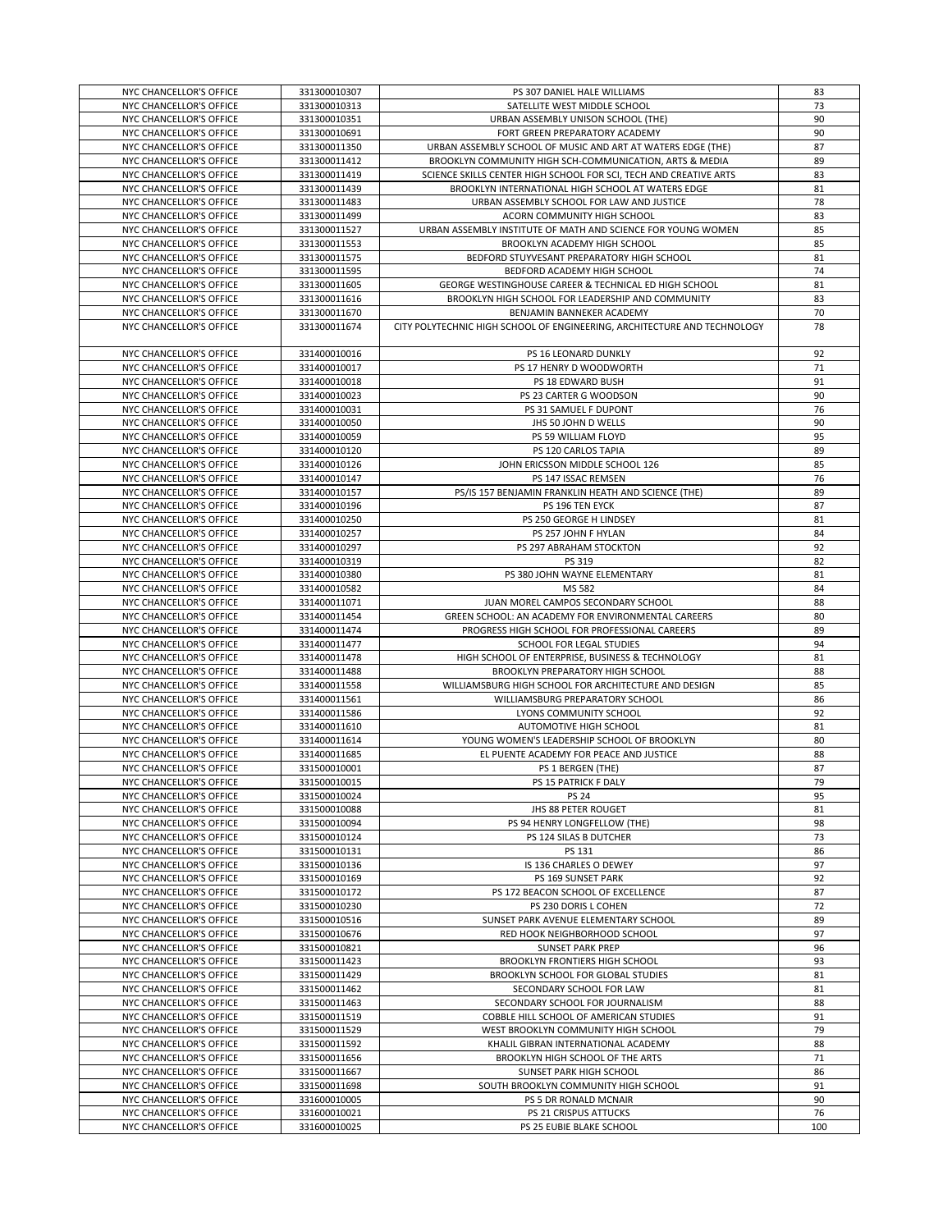|                                                    | 331300010307                 | PS 307 DANIEL HALE WILLIAMS                                              | 83        |
|----------------------------------------------------|------------------------------|--------------------------------------------------------------------------|-----------|
| NYC CHANCELLOR'S OFFICE                            |                              |                                                                          |           |
| NYC CHANCELLOR'S OFFICE                            | 331300010313                 | SATELLITE WEST MIDDLE SCHOOL                                             | 73        |
| NYC CHANCELLOR'S OFFICE                            | 331300010351                 | URBAN ASSEMBLY UNISON SCHOOL (THE)                                       | 90        |
| NYC CHANCELLOR'S OFFICE                            | 331300010691                 | FORT GREEN PREPARATORY ACADEMY                                           | 90        |
| NYC CHANCELLOR'S OFFICE                            |                              |                                                                          |           |
|                                                    | 331300011350                 | URBAN ASSEMBLY SCHOOL OF MUSIC AND ART AT WATERS EDGE (THE)              | 87        |
| NYC CHANCELLOR'S OFFICE                            | 331300011412                 | BROOKLYN COMMUNITY HIGH SCH-COMMUNICATION, ARTS & MEDIA                  | 89        |
| NYC CHANCELLOR'S OFFICE                            | 331300011419                 | SCIENCE SKILLS CENTER HIGH SCHOOL FOR SCI, TECH AND CREATIVE ARTS        | 83        |
| NYC CHANCELLOR'S OFFICE                            | 331300011439                 | BROOKLYN INTERNATIONAL HIGH SCHOOL AT WATERS EDGE                        | 81        |
|                                                    |                              |                                                                          |           |
| NYC CHANCELLOR'S OFFICE                            | 331300011483                 | URBAN ASSEMBLY SCHOOL FOR LAW AND JUSTICE                                | 78        |
| NYC CHANCELLOR'S OFFICE                            | 331300011499                 | ACORN COMMUNITY HIGH SCHOOL                                              | 83        |
| NYC CHANCELLOR'S OFFICE                            | 331300011527                 | URBAN ASSEMBLY INSTITUTE OF MATH AND SCIENCE FOR YOUNG WOMEN             | 85        |
| NYC CHANCELLOR'S OFFICE                            | 331300011553                 | BROOKLYN ACADEMY HIGH SCHOOL                                             | 85        |
|                                                    |                              |                                                                          |           |
| NYC CHANCELLOR'S OFFICE                            | 331300011575                 | BEDFORD STUYVESANT PREPARATORY HIGH SCHOOL                               | 81        |
| NYC CHANCELLOR'S OFFICE                            | 331300011595                 | BEDFORD ACADEMY HIGH SCHOOL                                              | 74        |
| NYC CHANCELLOR'S OFFICE                            | 331300011605                 | GEORGE WESTINGHOUSE CAREER & TECHNICAL ED HIGH SCHOOL                    | 81        |
|                                                    |                              |                                                                          |           |
| NYC CHANCELLOR'S OFFICE                            | 331300011616                 | BROOKLYN HIGH SCHOOL FOR LEADERSHIP AND COMMUNITY                        | 83        |
| NYC CHANCELLOR'S OFFICE                            | 331300011670                 | BENJAMIN BANNEKER ACADEMY                                                | 70        |
| NYC CHANCELLOR'S OFFICE                            | 331300011674                 | CITY POLYTECHNIC HIGH SCHOOL OF ENGINEERING, ARCHITECTURE AND TECHNOLOGY | 78        |
|                                                    |                              |                                                                          |           |
|                                                    |                              |                                                                          |           |
| NYC CHANCELLOR'S OFFICE                            | 331400010016                 | PS 16 LEONARD DUNKLY                                                     | 92        |
| NYC CHANCELLOR'S OFFICE                            | 331400010017                 | PS 17 HENRY D WOODWORTH                                                  | 71        |
| NYC CHANCELLOR'S OFFICE                            | 331400010018                 | PS 18 EDWARD BUSH                                                        | 91        |
|                                                    |                              |                                                                          | 90        |
| NYC CHANCELLOR'S OFFICE                            | 331400010023                 | PS 23 CARTER G WOODSON                                                   |           |
| NYC CHANCELLOR'S OFFICE                            | 331400010031                 | PS 31 SAMUEL F DUPONT                                                    | 76        |
| NYC CHANCELLOR'S OFFICE                            | 331400010050                 | JHS 50 JOHN D WELLS                                                      | 90        |
| NYC CHANCELLOR'S OFFICE                            | 331400010059                 | PS 59 WILLIAM FLOYD                                                      | 95        |
|                                                    |                              |                                                                          |           |
| NYC CHANCELLOR'S OFFICE                            | 331400010120                 | PS 120 CARLOS TAPIA                                                      | 89        |
| NYC CHANCELLOR'S OFFICE                            | 331400010126                 | JOHN ERICSSON MIDDLE SCHOOL 126                                          | 85        |
| NYC CHANCELLOR'S OFFICE                            | 331400010147                 | PS 147 ISSAC REMSEN                                                      | 76        |
| NYC CHANCELLOR'S OFFICE                            | 331400010157                 | PS/IS 157 BENJAMIN FRANKLIN HEATH AND SCIENCE (THE)                      | 89        |
|                                                    |                              |                                                                          |           |
| NYC CHANCELLOR'S OFFICE                            | 331400010196                 | PS 196 TEN EYCK                                                          | 87        |
| NYC CHANCELLOR'S OFFICE                            | 331400010250                 | PS 250 GEORGE H LINDSEY                                                  | 81        |
| NYC CHANCELLOR'S OFFICE                            | 331400010257                 | PS 257 JOHN F HYLAN                                                      | 84        |
|                                                    |                              |                                                                          |           |
| NYC CHANCELLOR'S OFFICE                            | 331400010297                 | PS 297 ABRAHAM STOCKTON                                                  | 92        |
| NYC CHANCELLOR'S OFFICE                            | 331400010319                 | PS 319                                                                   | 82        |
| NYC CHANCELLOR'S OFFICE                            | 331400010380                 | PS 380 JOHN WAYNE ELEMENTARY                                             | 81        |
| NYC CHANCELLOR'S OFFICE                            | 331400010582                 | MS 582                                                                   | 84        |
|                                                    |                              |                                                                          |           |
| NYC CHANCELLOR'S OFFICE                            | 331400011071                 | JUAN MOREL CAMPOS SECONDARY SCHOOL                                       | 88        |
| NYC CHANCELLOR'S OFFICE                            | 331400011454                 | GREEN SCHOOL: AN ACADEMY FOR ENVIRONMENTAL CAREERS                       | 80        |
| NYC CHANCELLOR'S OFFICE                            | 331400011474                 | PROGRESS HIGH SCHOOL FOR PROFESSIONAL CAREERS                            | 89        |
|                                                    |                              |                                                                          |           |
| NYC CHANCELLOR'S OFFICE                            | 331400011477                 | SCHOOL FOR LEGAL STUDIES                                                 | 94        |
|                                                    |                              |                                                                          |           |
| NYC CHANCELLOR'S OFFICE                            | 331400011478                 | HIGH SCHOOL OF ENTERPRISE, BUSINESS & TECHNOLOGY                         | 81        |
| NYC CHANCELLOR'S OFFICE                            | 331400011488                 | BROOKLYN PREPARATORY HIGH SCHOOL                                         | 88        |
|                                                    |                              |                                                                          |           |
| NYC CHANCELLOR'S OFFICE                            | 331400011558                 | WILLIAMSBURG HIGH SCHOOL FOR ARCHITECTURE AND DESIGN                     | 85        |
| NYC CHANCELLOR'S OFFICE                            | 331400011561                 | WILLIAMSBURG PREPARATORY SCHOOL                                          | 86        |
| NYC CHANCELLOR'S OFFICE                            | 331400011586                 | LYONS COMMUNITY SCHOOL                                                   | 92        |
|                                                    |                              |                                                                          |           |
| NYC CHANCELLOR'S OFFICE                            | 331400011610                 | AUTOMOTIVE HIGH SCHOOL                                                   | 81        |
| NYC CHANCELLOR'S OFFICE                            | 331400011614                 | YOUNG WOMEN'S LEADERSHIP SCHOOL OF BROOKLYN                              | 80        |
| NYC CHANCELLOR'S OFFICE                            | 331400011685                 | EL PUENTE ACADEMY FOR PEACE AND JUSTICE                                  | 88        |
| NYC CHANCELLOR'S OFFICE                            | 331500010001                 | PS 1 BERGEN (THE)                                                        | 87        |
|                                                    | 331500010015                 |                                                                          | 79        |
| NYC CHANCELLOR'S OFFICE                            |                              | PS 15 PATRICK F DALY                                                     |           |
| NYC CHANCELLOR'S OFFICE                            | 331500010024                 | PS 24                                                                    | 95        |
| NYC CHANCELLOR'S OFFICE                            | 331500010088                 | JHS 88 PETER ROUGET                                                      | 81        |
| NYC CHANCELLOR'S OFFICE                            | 331500010094                 | PS 94 HENRY LONGFELLOW (THE)                                             | 98        |
| NYC CHANCELLOR'S OFFICE                            | 331500010124                 | PS 124 SILAS B DUTCHER                                                   | 73        |
|                                                    |                              |                                                                          |           |
| NYC CHANCELLOR'S OFFICE                            | 331500010131                 | PS 131                                                                   | 86        |
| NYC CHANCELLOR'S OFFICE                            | 331500010136                 | IS 136 CHARLES O DEWEY                                                   | 97        |
| NYC CHANCELLOR'S OFFICE                            | 331500010169                 | PS 169 SUNSET PARK                                                       | 92        |
| NYC CHANCELLOR'S OFFICE                            | 331500010172                 |                                                                          |           |
|                                                    |                              | PS 172 BEACON SCHOOL OF EXCELLENCE                                       | 87        |
| NYC CHANCELLOR'S OFFICE                            | 331500010230                 | PS 230 DORIS L COHEN                                                     | 72        |
| NYC CHANCELLOR'S OFFICE                            | 331500010516                 | SUNSET PARK AVENUE ELEMENTARY SCHOOL                                     | 89        |
| NYC CHANCELLOR'S OFFICE                            | 331500010676                 | RED HOOK NEIGHBORHOOD SCHOOL                                             | 97        |
|                                                    |                              |                                                                          |           |
| NYC CHANCELLOR'S OFFICE                            | 331500010821                 | <b>SUNSET PARK PREP</b>                                                  | 96        |
| NYC CHANCELLOR'S OFFICE                            | 331500011423                 | <b>BROOKLYN FRONTIERS HIGH SCHOOL</b>                                    | 93        |
| NYC CHANCELLOR'S OFFICE                            | 331500011429                 | BROOKLYN SCHOOL FOR GLOBAL STUDIES                                       | 81        |
| NYC CHANCELLOR'S OFFICE                            | 331500011462                 | SECONDARY SCHOOL FOR LAW                                                 | 81        |
|                                                    |                              |                                                                          |           |
| NYC CHANCELLOR'S OFFICE                            | 331500011463                 | SECONDARY SCHOOL FOR JOURNALISM                                          | 88        |
| NYC CHANCELLOR'S OFFICE                            | 331500011519                 | COBBLE HILL SCHOOL OF AMERICAN STUDIES                                   | 91        |
| NYC CHANCELLOR'S OFFICE                            | 331500011529                 | WEST BROOKLYN COMMUNITY HIGH SCHOOL                                      | 79        |
| NYC CHANCELLOR'S OFFICE                            | 331500011592                 | KHALIL GIBRAN INTERNATIONAL ACADEMY                                      | 88        |
|                                                    |                              |                                                                          |           |
| NYC CHANCELLOR'S OFFICE                            | 331500011656                 | BROOKLYN HIGH SCHOOL OF THE ARTS                                         | 71        |
| NYC CHANCELLOR'S OFFICE                            | 331500011667                 | SUNSET PARK HIGH SCHOOL                                                  | 86        |
| NYC CHANCELLOR'S OFFICE                            | 331500011698                 | SOUTH BROOKLYN COMMUNITY HIGH SCHOOL                                     | 91        |
|                                                    |                              |                                                                          | 90        |
| NYC CHANCELLOR'S OFFICE                            | 331600010005                 | PS 5 DR RONALD MCNAIR                                                    |           |
| NYC CHANCELLOR'S OFFICE<br>NYC CHANCELLOR'S OFFICE | 331600010021<br>331600010025 | PS 21 CRISPUS ATTUCKS<br>PS 25 EUBIE BLAKE SCHOOL                        | 76<br>100 |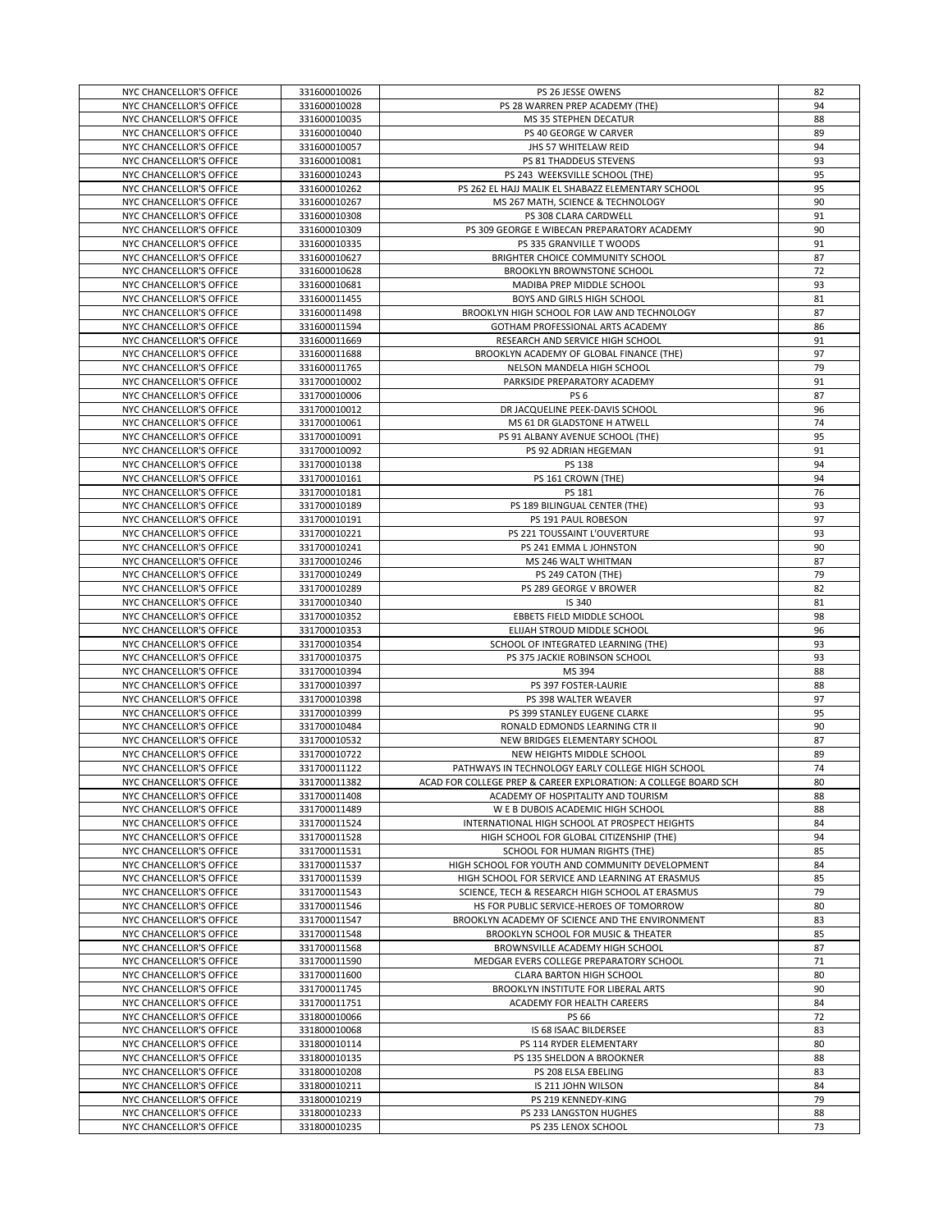| NYC CHANCELLOR'S OFFICE | 331600010026 | PS 26 JESSE OWENS                                               | 82 |
|-------------------------|--------------|-----------------------------------------------------------------|----|
|                         |              |                                                                 |    |
| NYC CHANCELLOR'S OFFICE | 331600010028 | PS 28 WARREN PREP ACADEMY (THE)                                 | 94 |
| NYC CHANCELLOR'S OFFICE | 331600010035 | MS 35 STEPHEN DECATUR                                           | 88 |
| NYC CHANCELLOR'S OFFICE | 331600010040 | PS 40 GEORGE W CARVER                                           | 89 |
|                         | 331600010057 | JHS 57 WHITELAW REID                                            | 94 |
| NYC CHANCELLOR'S OFFICE |              |                                                                 |    |
| NYC CHANCELLOR'S OFFICE | 331600010081 | PS 81 THADDEUS STEVENS                                          | 93 |
| NYC CHANCELLOR'S OFFICE | 331600010243 | PS 243 WEEKSVILLE SCHOOL (THE)                                  | 95 |
| NYC CHANCELLOR'S OFFICE | 331600010262 | PS 262 EL HAJJ MALIK EL SHABAZZ ELEMENTARY SCHOOL               | 95 |
|                         |              |                                                                 |    |
| NYC CHANCELLOR'S OFFICE | 331600010267 | MS 267 MATH, SCIENCE & TECHNOLOGY                               | 90 |
| NYC CHANCELLOR'S OFFICE | 331600010308 | PS 308 CLARA CARDWELL                                           | 91 |
| NYC CHANCELLOR'S OFFICE | 331600010309 | PS 309 GEORGE E WIBECAN PREPARATORY ACADEMY                     | 90 |
| NYC CHANCELLOR'S OFFICE | 331600010335 | PS 335 GRANVILLE T WOODS                                        | 91 |
|                         |              |                                                                 |    |
| NYC CHANCELLOR'S OFFICE | 331600010627 | BRIGHTER CHOICE COMMUNITY SCHOOL                                | 87 |
| NYC CHANCELLOR'S OFFICE | 331600010628 | <b>BROOKLYN BROWNSTONE SCHOOL</b>                               | 72 |
| NYC CHANCELLOR'S OFFICE | 331600010681 | MADIBA PREP MIDDLE SCHOOL                                       | 93 |
|                         |              |                                                                 |    |
| NYC CHANCELLOR'S OFFICE | 331600011455 | BOYS AND GIRLS HIGH SCHOOL                                      | 81 |
| NYC CHANCELLOR'S OFFICE | 331600011498 | BROOKLYN HIGH SCHOOL FOR LAW AND TECHNOLOGY                     | 87 |
| NYC CHANCELLOR'S OFFICE | 331600011594 | GOTHAM PROFESSIONAL ARTS ACADEMY                                | 86 |
|                         |              |                                                                 | 91 |
| NYC CHANCELLOR'S OFFICE | 331600011669 | RESEARCH AND SERVICE HIGH SCHOOL                                |    |
| NYC CHANCELLOR'S OFFICE | 331600011688 | BROOKLYN ACADEMY OF GLOBAL FINANCE (THE)                        | 97 |
| NYC CHANCELLOR'S OFFICE | 331600011765 | NELSON MANDELA HIGH SCHOOL                                      | 79 |
| NYC CHANCELLOR'S OFFICE | 331700010002 | PARKSIDE PREPARATORY ACADEMY                                    | 91 |
|                         |              |                                                                 |    |
| NYC CHANCELLOR'S OFFICE | 331700010006 | PS <sub>6</sub>                                                 | 87 |
| NYC CHANCELLOR'S OFFICE | 331700010012 | DR JACQUELINE PEEK-DAVIS SCHOOL                                 | 96 |
| NYC CHANCELLOR'S OFFICE | 331700010061 | MS 61 DR GLADSTONE H ATWELL                                     | 74 |
|                         |              |                                                                 |    |
| NYC CHANCELLOR'S OFFICE | 331700010091 | PS 91 ALBANY AVENUE SCHOOL (THE)                                | 95 |
| NYC CHANCELLOR'S OFFICE | 331700010092 | PS 92 ADRIAN HEGEMAN                                            | 91 |
| NYC CHANCELLOR'S OFFICE | 331700010138 | PS 138                                                          | 94 |
|                         |              |                                                                 |    |
| NYC CHANCELLOR'S OFFICE | 331700010161 | PS 161 CROWN (THE)                                              | 94 |
| NYC CHANCELLOR'S OFFICE | 331700010181 | <b>PS 181</b>                                                   | 76 |
| NYC CHANCELLOR'S OFFICE | 331700010189 | PS 189 BILINGUAL CENTER (THE)                                   | 93 |
| NYC CHANCELLOR'S OFFICE | 331700010191 | PS 191 PAUL ROBESON                                             | 97 |
|                         |              |                                                                 |    |
| NYC CHANCELLOR'S OFFICE | 331700010221 | PS 221 TOUSSAINT L'OUVERTURE                                    | 93 |
| NYC CHANCELLOR'S OFFICE | 331700010241 | PS 241 EMMA L JOHNSTON                                          | 90 |
| NYC CHANCELLOR'S OFFICE | 331700010246 | MS 246 WALT WHITMAN                                             | 87 |
|                         |              |                                                                 |    |
| NYC CHANCELLOR'S OFFICE | 331700010249 | PS 249 CATON (THE)                                              | 79 |
| NYC CHANCELLOR'S OFFICE | 331700010289 | PS 289 GEORGE V BROWER                                          | 82 |
| NYC CHANCELLOR'S OFFICE | 331700010340 | IS 340                                                          | 81 |
| NYC CHANCELLOR'S OFFICE | 331700010352 | EBBETS FIELD MIDDLE SCHOOL                                      | 98 |
|                         |              |                                                                 |    |
| NYC CHANCELLOR'S OFFICE | 331700010353 | ELIJAH STROUD MIDDLE SCHOOL                                     | 96 |
| NYC CHANCELLOR'S OFFICE | 331700010354 | SCHOOL OF INTEGRATED LEARNING (THE)                             | 93 |
| NYC CHANCELLOR'S OFFICE | 331700010375 | PS 375 JACKIE ROBINSON SCHOOL                                   | 93 |
|                         |              |                                                                 |    |
| NYC CHANCELLOR'S OFFICE | 331700010394 | MS 394                                                          | 88 |
| NYC CHANCELLOR'S OFFICE | 331700010397 | PS 397 FOSTER-LAURIE                                            | 88 |
| NYC CHANCELLOR'S OFFICE | 331700010398 | PS 398 WALTER WEAVER                                            | 97 |
|                         |              |                                                                 | 95 |
| NYC CHANCELLOR'S OFFICE | 331700010399 | PS 399 STANLEY EUGENE CLARKE                                    |    |
| NYC CHANCELLOR'S OFFICE | 331700010484 | RONALD EDMONDS LEARNING CTR II                                  | 90 |
| NYC CHANCELLOR'S OFFICE | 331700010532 | NEW BRIDGES ELEMENTARY SCHOOL                                   | 87 |
| NYC CHANCELLOR'S OFFICE | 331700010722 | NEW HEIGHTS MIDDLE SCHOOL                                       | 89 |
|                         |              |                                                                 |    |
| NYC CHANCELLOR'S OFFICE | 331700011122 | PATHWAYS IN TECHNOLOGY EARLY COLLEGE HIGH SCHOOL                | 74 |
| NYC CHANCELLOR'S OFFICE | 331700011382 | ACAD FOR COLLEGE PREP & CAREER EXPLORATION: A COLLEGE BOARD SCH | 80 |
| NYC CHANCELLOR'S OFFICE | 331700011408 | ACADEMY OF HOSPITALITY AND TOURISM                              | 88 |
|                         |              |                                                                 |    |
| NYC CHANCELLOR'S OFFICE | 331700011489 | W E B DUBOIS ACADEMIC HIGH SCHOOL                               | 88 |
| NYC CHANCELLOR'S OFFICE | 331700011524 | INTERNATIONAL HIGH SCHOOL AT PROSPECT HEIGHTS                   | 84 |
| NYC CHANCELLOR'S OFFICE | 331700011528 | HIGH SCHOOL FOR GLOBAL CITIZENSHIP (THE)                        | 94 |
| NYC CHANCELLOR'S OFFICE | 331700011531 | SCHOOL FOR HUMAN RIGHTS (THE)                                   | 85 |
|                         |              |                                                                 |    |
| NYC CHANCELLOR'S OFFICE | 331700011537 | HIGH SCHOOL FOR YOUTH AND COMMUNITY DEVELOPMENT                 | 84 |
| NYC CHANCELLOR'S OFFICE | 331700011539 | HIGH SCHOOL FOR SERVICE AND LEARNING AT ERASMUS                 | 85 |
| NYC CHANCELLOR'S OFFICE | 331700011543 | SCIENCE, TECH & RESEARCH HIGH SCHOOL AT ERASMUS                 | 79 |
|                         |              | HS FOR PUBLIC SERVICE-HEROES OF TOMORROW                        |    |
| NYC CHANCELLOR'S OFFICE | 331700011546 |                                                                 | 80 |
| NYC CHANCELLOR'S OFFICE | 331700011547 | BROOKLYN ACADEMY OF SCIENCE AND THE ENVIRONMENT                 | 83 |
| NYC CHANCELLOR'S OFFICE | 331700011548 | BROOKLYN SCHOOL FOR MUSIC & THEATER                             | 85 |
| NYC CHANCELLOR'S OFFICE | 331700011568 | BROWNSVILLE ACADEMY HIGH SCHOOL                                 | 87 |
|                         |              |                                                                 |    |
| NYC CHANCELLOR'S OFFICE | 331700011590 | MEDGAR EVERS COLLEGE PREPARATORY SCHOOL                         | 71 |
| NYC CHANCELLOR'S OFFICE | 331700011600 | CLARA BARTON HIGH SCHOOL                                        | 80 |
| NYC CHANCELLOR'S OFFICE | 331700011745 | BROOKLYN INSTITUTE FOR LIBERAL ARTS                             | 90 |
|                         |              |                                                                 |    |
| NYC CHANCELLOR'S OFFICE | 331700011751 | ACADEMY FOR HEALTH CAREERS                                      | 84 |
| NYC CHANCELLOR'S OFFICE | 331800010066 | PS 66                                                           | 72 |
| NYC CHANCELLOR'S OFFICE | 331800010068 | IS 68 ISAAC BILDERSEE                                           | 83 |
| NYC CHANCELLOR'S OFFICE | 331800010114 | PS 114 RYDER ELEMENTARY                                         | 80 |
|                         |              |                                                                 |    |
| NYC CHANCELLOR'S OFFICE | 331800010135 | PS 135 SHELDON A BROOKNER                                       | 88 |
| NYC CHANCELLOR'S OFFICE | 331800010208 | PS 208 ELSA EBELING                                             | 83 |
| NYC CHANCELLOR'S OFFICE | 331800010211 | IS 211 JOHN WILSON                                              | 84 |
|                         |              |                                                                 |    |
| NYC CHANCELLOR'S OFFICE | 331800010219 | PS 219 KENNEDY-KING                                             | 79 |
| NYC CHANCELLOR'S OFFICE | 331800010233 | PS 233 LANGSTON HUGHES                                          | 88 |
|                         | 331800010235 | PS 235 LENOX SCHOOL                                             | 73 |
| NYC CHANCELLOR'S OFFICE |              |                                                                 |    |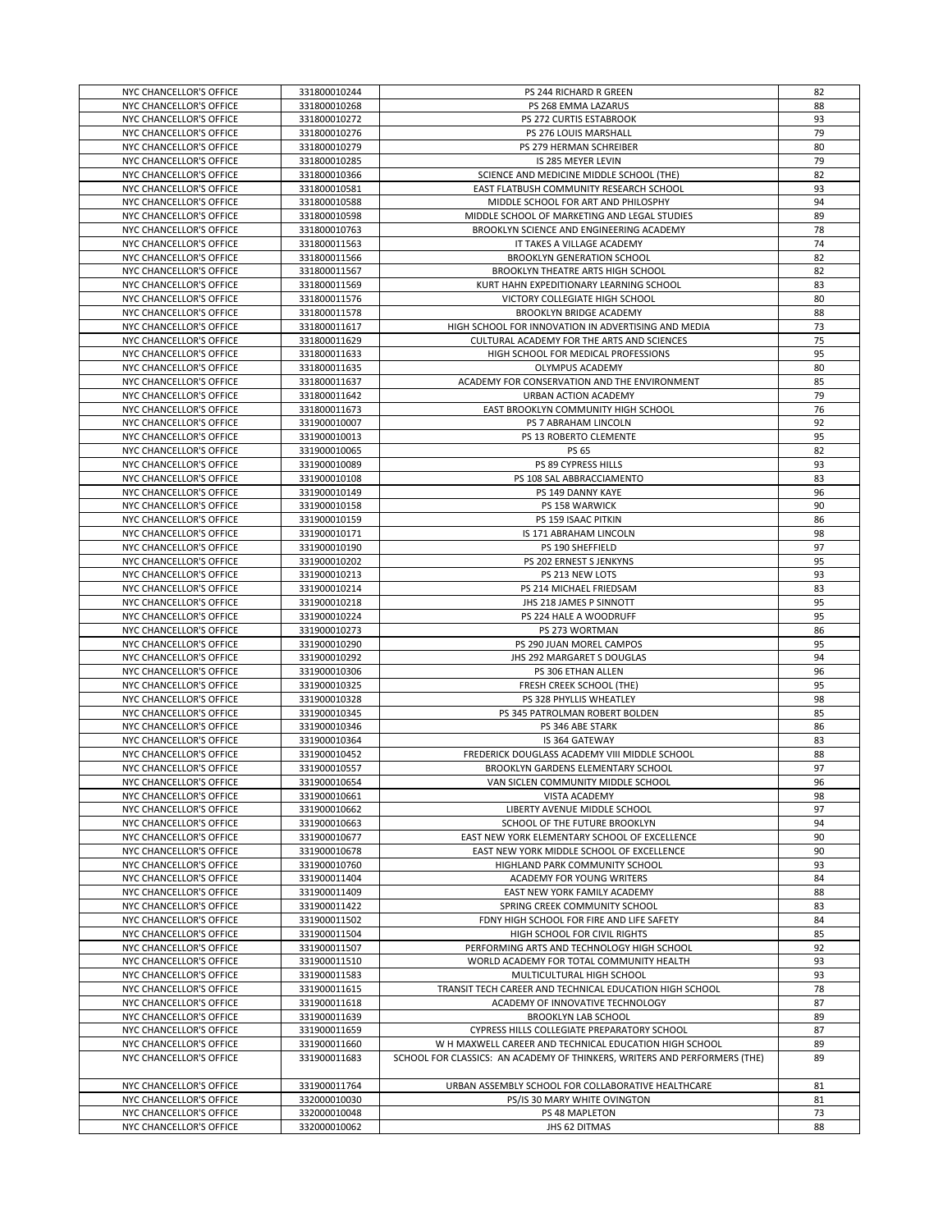| NYC CHANCELLOR'S OFFICE | 331800010244 | PS 244 RICHARD R GREEN                                                    | 82 |
|-------------------------|--------------|---------------------------------------------------------------------------|----|
| NYC CHANCELLOR'S OFFICE | 331800010268 | PS 268 EMMA LAZARUS                                                       | 88 |
|                         |              |                                                                           |    |
| NYC CHANCELLOR'S OFFICE | 331800010272 | PS 272 CURTIS ESTABROOK                                                   | 93 |
| NYC CHANCELLOR'S OFFICE | 331800010276 | PS 276 LOUIS MARSHALL                                                     | 79 |
| NYC CHANCELLOR'S OFFICE | 331800010279 | PS 279 HERMAN SCHREIBER                                                   | 80 |
| NYC CHANCELLOR'S OFFICE | 331800010285 | IS 285 MEYER LEVIN                                                        | 79 |
| NYC CHANCELLOR'S OFFICE | 331800010366 | SCIENCE AND MEDICINE MIDDLE SCHOOL (THE)                                  | 82 |
| NYC CHANCELLOR'S OFFICE | 331800010581 | EAST FLATBUSH COMMUNITY RESEARCH SCHOOL                                   | 93 |
| NYC CHANCELLOR'S OFFICE | 331800010588 | MIDDLE SCHOOL FOR ART AND PHILOSPHY                                       | 94 |
| NYC CHANCELLOR'S OFFICE | 331800010598 | MIDDLE SCHOOL OF MARKETING AND LEGAL STUDIES                              | 89 |
|                         |              |                                                                           |    |
| NYC CHANCELLOR'S OFFICE | 331800010763 | BROOKLYN SCIENCE AND ENGINEERING ACADEMY                                  | 78 |
| NYC CHANCELLOR'S OFFICE | 331800011563 | IT TAKES A VILLAGE ACADEMY                                                | 74 |
| NYC CHANCELLOR'S OFFICE | 331800011566 | <b>BROOKLYN GENERATION SCHOOL</b>                                         | 82 |
| NYC CHANCELLOR'S OFFICE | 331800011567 | BROOKLYN THEATRE ARTS HIGH SCHOOL                                         | 82 |
| NYC CHANCELLOR'S OFFICE | 331800011569 | KURT HAHN EXPEDITIONARY LEARNING SCHOOL                                   | 83 |
| NYC CHANCELLOR'S OFFICE | 331800011576 | VICTORY COLLEGIATE HIGH SCHOOL                                            | 80 |
| NYC CHANCELLOR'S OFFICE | 331800011578 | BROOKLYN BRIDGE ACADEMY                                                   | 88 |
| NYC CHANCELLOR'S OFFICE | 331800011617 | HIGH SCHOOL FOR INNOVATION IN ADVERTISING AND MEDIA                       | 73 |
| NYC CHANCELLOR'S OFFICE | 331800011629 | CULTURAL ACADEMY FOR THE ARTS AND SCIENCES                                | 75 |
| NYC CHANCELLOR'S OFFICE | 331800011633 | HIGH SCHOOL FOR MEDICAL PROFESSIONS                                       | 95 |
| NYC CHANCELLOR'S OFFICE | 331800011635 | OLYMPUS ACADEMY                                                           | 80 |
| NYC CHANCELLOR'S OFFICE | 331800011637 | ACADEMY FOR CONSERVATION AND THE ENVIRONMENT                              | 85 |
| NYC CHANCELLOR'S OFFICE |              |                                                                           |    |
|                         | 331800011642 | URBAN ACTION ACADEMY                                                      | 79 |
| NYC CHANCELLOR'S OFFICE | 331800011673 | EAST BROOKLYN COMMUNITY HIGH SCHOOL                                       | 76 |
| NYC CHANCELLOR'S OFFICE | 331900010007 | PS 7 ABRAHAM LINCOLN                                                      | 92 |
| NYC CHANCELLOR'S OFFICE | 331900010013 | PS 13 ROBERTO CLEMENTE                                                    | 95 |
| NYC CHANCELLOR'S OFFICE | 331900010065 | PS 65                                                                     | 82 |
| NYC CHANCELLOR'S OFFICE | 331900010089 | PS 89 CYPRESS HILLS                                                       | 93 |
| NYC CHANCELLOR'S OFFICE | 331900010108 | PS 108 SAL ABBRACCIAMENTO                                                 | 83 |
| NYC CHANCELLOR'S OFFICE | 331900010149 | PS 149 DANNY KAYE                                                         | 96 |
| NYC CHANCELLOR'S OFFICE | 331900010158 | PS 158 WARWICK                                                            | 90 |
| NYC CHANCELLOR'S OFFICE | 331900010159 | PS 159 ISAAC PITKIN                                                       | 86 |
| NYC CHANCELLOR'S OFFICE | 331900010171 | IS 171 ABRAHAM LINCOLN                                                    | 98 |
| NYC CHANCELLOR'S OFFICE | 331900010190 | PS 190 SHEFFIELD                                                          | 97 |
|                         |              |                                                                           |    |
| NYC CHANCELLOR'S OFFICE | 331900010202 | PS 202 ERNEST S JENKYNS                                                   | 95 |
| NYC CHANCELLOR'S OFFICE | 331900010213 | PS 213 NEW LOTS                                                           | 93 |
| NYC CHANCELLOR'S OFFICE | 331900010214 | PS 214 MICHAEL FRIEDSAM                                                   | 83 |
| NYC CHANCELLOR'S OFFICE | 331900010218 | JHS 218 JAMES P SINNOTT                                                   | 95 |
| NYC CHANCELLOR'S OFFICE | 331900010224 | PS 224 HALE A WOODRUFF                                                    | 95 |
| NYC CHANCELLOR'S OFFICE | 331900010273 | PS 273 WORTMAN                                                            | 86 |
| NYC CHANCELLOR'S OFFICE | 331900010290 | PS 290 JUAN MOREL CAMPOS                                                  | 95 |
| NYC CHANCELLOR'S OFFICE | 331900010292 | JHS 292 MARGARET S DOUGLAS                                                | 94 |
| NYC CHANCELLOR'S OFFICE | 331900010306 | PS 306 ETHAN ALLEN                                                        | 96 |
| NYC CHANCELLOR'S OFFICE | 331900010325 | FRESH CREEK SCHOOL (THE)                                                  | 95 |
| NYC CHANCELLOR'S OFFICE | 331900010328 | PS 328 PHYLLIS WHEATLEY                                                   | 98 |
|                         | 331900010345 |                                                                           | 85 |
| NYC CHANCELLOR'S OFFICE |              | PS 345 PATROLMAN ROBERT BOLDEN                                            |    |
| NYC CHANCELLOR'S OFFICE | 331900010346 | PS 346 ABE STARK                                                          | 86 |
| NYC CHANCELLOR'S OFFICE | 331900010364 | IS 364 GATEWAY                                                            | 83 |
| NYC CHANCELLOR'S OFFICE | 331900010452 | FREDERICK DOUGLASS ACADEMY VIII MIDDLE SCHOOL                             | 88 |
| NYC CHANCELLOR'S OFFICE | 331900010557 | BROOKLYN GARDENS ELEMENTARY SCHOOL                                        | 97 |
| NYC CHANCELLOR'S OFFICE | 331900010654 | VAN SICLEN COMMUNITY MIDDLE SCHOOL                                        | 96 |
| NYC CHANCELLOR'S OFFICE | 331900010661 | VISTA ACADEMY                                                             | 98 |
| NYC CHANCELLOR'S OFFICE | 331900010662 | LIBERTY AVENUE MIDDLE SCHOOL                                              | 97 |
| NYC CHANCELLOR'S OFFICE | 331900010663 | SCHOOL OF THE FUTURE BROOKLYN                                             | 94 |
| NYC CHANCELLOR'S OFFICE | 331900010677 | EAST NEW YORK ELEMENTARY SCHOOL OF EXCELLENCE                             | 90 |
| NYC CHANCELLOR'S OFFICE | 331900010678 | EAST NEW YORK MIDDLE SCHOOL OF EXCELLENCE                                 | 90 |
| NYC CHANCELLOR'S OFFICE | 331900010760 | HIGHLAND PARK COMMUNITY SCHOOL                                            | 93 |
| NYC CHANCELLOR'S OFFICE | 331900011404 | ACADEMY FOR YOUNG WRITERS                                                 | 84 |
|                         |              | EAST NEW YORK FAMILY ACADEMY                                              |    |
| NYC CHANCELLOR'S OFFICE | 331900011409 |                                                                           | 88 |
| NYC CHANCELLOR'S OFFICE | 331900011422 | SPRING CREEK COMMUNITY SCHOOL                                             | 83 |
| NYC CHANCELLOR'S OFFICE | 331900011502 | FDNY HIGH SCHOOL FOR FIRE AND LIFE SAFETY                                 | 84 |
| NYC CHANCELLOR'S OFFICE | 331900011504 | HIGH SCHOOL FOR CIVIL RIGHTS                                              | 85 |
| NYC CHANCELLOR'S OFFICE | 331900011507 | PERFORMING ARTS AND TECHNOLOGY HIGH SCHOOL                                | 92 |
| NYC CHANCELLOR'S OFFICE | 331900011510 | WORLD ACADEMY FOR TOTAL COMMUNITY HEALTH                                  | 93 |
| NYC CHANCELLOR'S OFFICE | 331900011583 | MULTICULTURAL HIGH SCHOOL                                                 | 93 |
| NYC CHANCELLOR'S OFFICE | 331900011615 | TRANSIT TECH CAREER AND TECHNICAL EDUCATION HIGH SCHOOL                   | 78 |
| NYC CHANCELLOR'S OFFICE | 331900011618 | ACADEMY OF INNOVATIVE TECHNOLOGY                                          | 87 |
| NYC CHANCELLOR'S OFFICE | 331900011639 | <b>BROOKLYN LAB SCHOOL</b>                                                | 89 |
| NYC CHANCELLOR'S OFFICE | 331900011659 | CYPRESS HILLS COLLEGIATE PREPARATORY SCHOOL                               | 87 |
| NYC CHANCELLOR'S OFFICE | 331900011660 | W H MAXWELL CAREER AND TECHNICAL EDUCATION HIGH SCHOOL                    | 89 |
| NYC CHANCELLOR'S OFFICE | 331900011683 | SCHOOL FOR CLASSICS: AN ACADEMY OF THINKERS, WRITERS AND PERFORMERS (THE) | 89 |
|                         |              |                                                                           |    |
|                         |              |                                                                           |    |
| NYC CHANCELLOR'S OFFICE | 331900011764 | URBAN ASSEMBLY SCHOOL FOR COLLABORATIVE HEALTHCARE                        | 81 |
| NYC CHANCELLOR'S OFFICE | 332000010030 | PS/IS 30 MARY WHITE OVINGTON                                              | 81 |
| NYC CHANCELLOR'S OFFICE | 332000010048 | PS 48 MAPLETON<br>JHS 62 DITMAS                                           | 73 |
| NYC CHANCELLOR'S OFFICE | 332000010062 |                                                                           | 88 |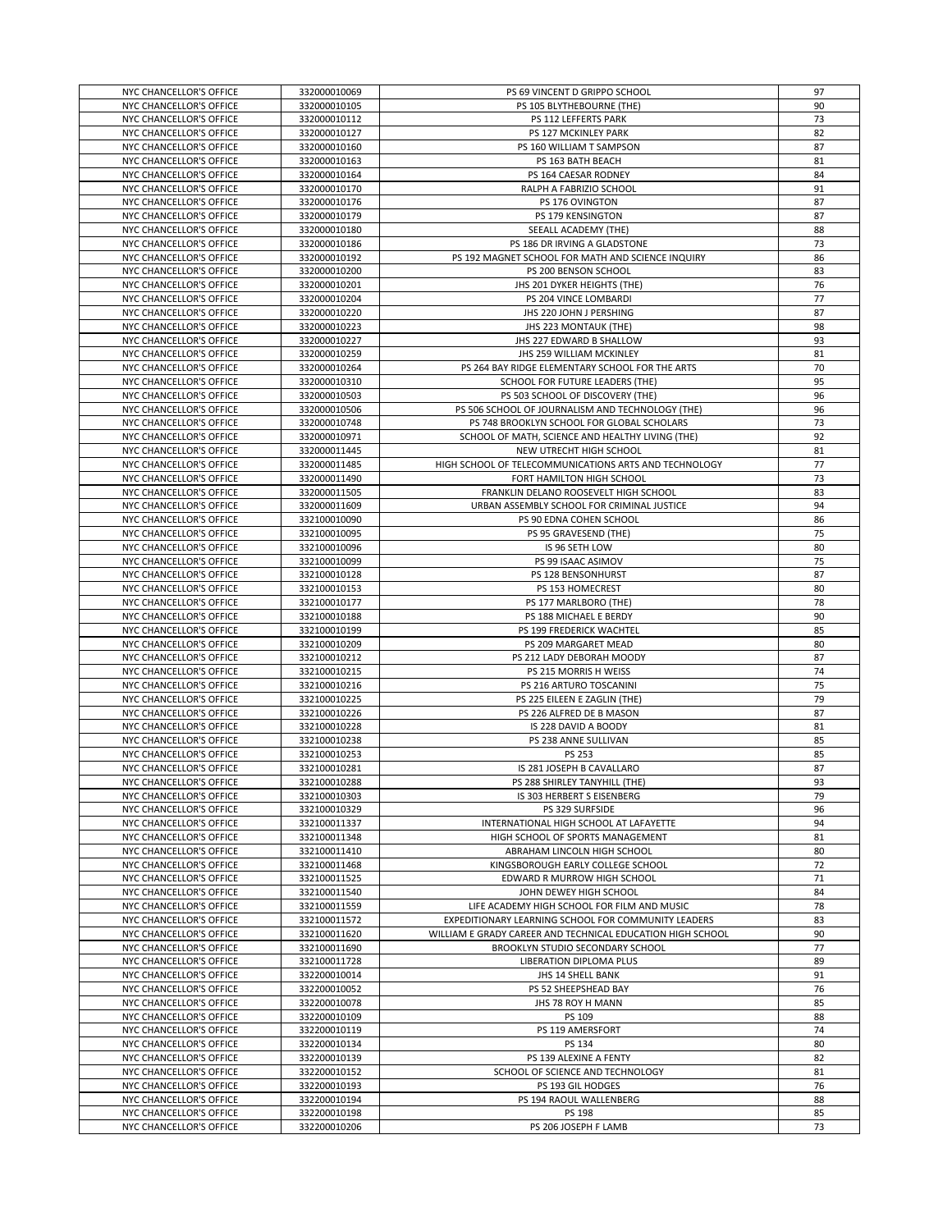| NYC CHANCELLOR'S OFFICE | 332000010069 | PS 69 VINCENT D GRIPPO SCHOOL                              | 97 |
|-------------------------|--------------|------------------------------------------------------------|----|
| NYC CHANCELLOR'S OFFICE | 332000010105 | PS 105 BLYTHEBOURNE (THE)                                  | 90 |
|                         |              |                                                            |    |
| NYC CHANCELLOR'S OFFICE | 332000010112 | PS 112 LEFFERTS PARK                                       | 73 |
| NYC CHANCELLOR'S OFFICE | 332000010127 | PS 127 MCKINLEY PARK                                       | 82 |
| NYC CHANCELLOR'S OFFICE | 332000010160 | PS 160 WILLIAM T SAMPSON                                   | 87 |
| NYC CHANCELLOR'S OFFICE | 332000010163 | PS 163 BATH BEACH                                          | 81 |
| NYC CHANCELLOR'S OFFICE | 332000010164 | PS 164 CAESAR RODNEY                                       | 84 |
| NYC CHANCELLOR'S OFFICE | 332000010170 | RALPH A FABRIZIO SCHOOL                                    | 91 |
| NYC CHANCELLOR'S OFFICE | 332000010176 | PS 176 OVINGTON                                            | 87 |
| NYC CHANCELLOR'S OFFICE | 332000010179 | PS 179 KENSINGTON                                          | 87 |
|                         |              |                                                            | 88 |
| NYC CHANCELLOR'S OFFICE | 332000010180 | SEEALL ACADEMY (THE)                                       |    |
| NYC CHANCELLOR'S OFFICE | 332000010186 | PS 186 DR IRVING A GLADSTONE                               | 73 |
| NYC CHANCELLOR'S OFFICE | 332000010192 | PS 192 MAGNET SCHOOL FOR MATH AND SCIENCE INQUIRY          | 86 |
| NYC CHANCELLOR'S OFFICE | 332000010200 | PS 200 BENSON SCHOOL                                       | 83 |
| NYC CHANCELLOR'S OFFICE | 332000010201 | JHS 201 DYKER HEIGHTS (THE)                                | 76 |
| NYC CHANCELLOR'S OFFICE | 332000010204 | PS 204 VINCE LOMBARDI                                      | 77 |
| NYC CHANCELLOR'S OFFICE | 332000010220 | JHS 220 JOHN J PERSHING                                    | 87 |
| NYC CHANCELLOR'S OFFICE | 332000010223 | JHS 223 MONTAUK (THE)                                      | 98 |
| NYC CHANCELLOR'S OFFICE | 332000010227 | JHS 227 EDWARD B SHALLOW                                   | 93 |
| NYC CHANCELLOR'S OFFICE | 332000010259 | JHS 259 WILLIAM MCKINLEY                                   | 81 |
| NYC CHANCELLOR'S OFFICE | 332000010264 | PS 264 BAY RIDGE ELEMENTARY SCHOOL FOR THE ARTS            | 70 |
| NYC CHANCELLOR'S OFFICE | 332000010310 | SCHOOL FOR FUTURE LEADERS (THE)                            | 95 |
|                         |              |                                                            |    |
| NYC CHANCELLOR'S OFFICE | 332000010503 | PS 503 SCHOOL OF DISCOVERY (THE)                           | 96 |
| NYC CHANCELLOR'S OFFICE | 332000010506 | PS 506 SCHOOL OF JOURNALISM AND TECHNOLOGY (THE)           | 96 |
| NYC CHANCELLOR'S OFFICE | 332000010748 | PS 748 BROOKLYN SCHOOL FOR GLOBAL SCHOLARS                 | 73 |
| NYC CHANCELLOR'S OFFICE | 332000010971 | SCHOOL OF MATH, SCIENCE AND HEALTHY LIVING (THE)           | 92 |
| NYC CHANCELLOR'S OFFICE | 332000011445 | NEW UTRECHT HIGH SCHOOL                                    | 81 |
| NYC CHANCELLOR'S OFFICE | 332000011485 | HIGH SCHOOL OF TELECOMMUNICATIONS ARTS AND TECHNOLOGY      | 77 |
| NYC CHANCELLOR'S OFFICE | 332000011490 | FORT HAMILTON HIGH SCHOOL                                  | 73 |
| NYC CHANCELLOR'S OFFICE | 332000011505 | FRANKLIN DELANO ROOSEVELT HIGH SCHOOL                      | 83 |
| NYC CHANCELLOR'S OFFICE | 332000011609 | URBAN ASSEMBLY SCHOOL FOR CRIMINAL JUSTICE                 | 94 |
| NYC CHANCELLOR'S OFFICE | 332100010090 | PS 90 EDNA COHEN SCHOOL                                    | 86 |
| NYC CHANCELLOR'S OFFICE | 332100010095 | PS 95 GRAVESEND (THE)                                      | 75 |
| NYC CHANCELLOR'S OFFICE | 332100010096 | IS 96 SETH LOW                                             | 80 |
| NYC CHANCELLOR'S OFFICE | 332100010099 | PS 99 ISAAC ASIMOV                                         | 75 |
|                         |              |                                                            |    |
| NYC CHANCELLOR'S OFFICE | 332100010128 | PS 128 BENSONHURST                                         | 87 |
| NYC CHANCELLOR'S OFFICE | 332100010153 | PS 153 HOMECREST                                           | 80 |
| NYC CHANCELLOR'S OFFICE | 332100010177 | PS 177 MARLBORO (THE)                                      | 78 |
| NYC CHANCELLOR'S OFFICE | 332100010188 | PS 188 MICHAEL E BERDY                                     | 90 |
| NYC CHANCELLOR'S OFFICE | 332100010199 | PS 199 FREDERICK WACHTEL                                   | 85 |
| NYC CHANCELLOR'S OFFICE | 332100010209 | PS 209 MARGARET MEAD                                       | 80 |
| NYC CHANCELLOR'S OFFICE | 332100010212 | PS 212 LADY DEBORAH MOODY                                  | 87 |
| NYC CHANCELLOR'S OFFICE | 332100010215 | PS 215 MORRIS H WEISS                                      | 74 |
| NYC CHANCELLOR'S OFFICE | 332100010216 | PS 216 ARTURO TOSCANINI                                    | 75 |
| NYC CHANCELLOR'S OFFICE | 332100010225 | PS 225 EILEEN E ZAGLIN (THE)                               | 79 |
| NYC CHANCELLOR'S OFFICE | 332100010226 | PS 226 ALFRED DE B MASON                                   | 87 |
| NYC CHANCELLOR'S OFFICE | 332100010228 | IS 228 DAVID A BOODY                                       | 81 |
| NYC CHANCELLOR'S OFFICE | 332100010238 | PS 238 ANNE SULLIVAN                                       | 85 |
| NYC CHANCELLOR'S OFFICE | 332100010253 |                                                            | 85 |
|                         |              | PS 253                                                     |    |
| NYC CHANCELLOR'S OFFICE | 332100010281 | IS 281 JOSEPH B CAVALLARO                                  | 87 |
| NYC CHANCELLOR'S OFFICE | 332100010288 | PS 288 SHIRLEY TANYHILL (THE)                              | 93 |
| NYC CHANCELLOR'S OFFICE | 332100010303 | IS 303 HERBERT S EISENBERG                                 | 79 |
| NYC CHANCELLOR'S OFFICE | 332100010329 | PS 329 SURFSIDE                                            | 96 |
| NYC CHANCELLOR'S OFFICE | 332100011337 | INTERNATIONAL HIGH SCHOOL AT LAFAYETTE                     | 94 |
| NYC CHANCELLOR'S OFFICE | 332100011348 | HIGH SCHOOL OF SPORTS MANAGEMENT                           | 81 |
| NYC CHANCELLOR'S OFFICE | 332100011410 | ABRAHAM LINCOLN HIGH SCHOOL                                | 80 |
| NYC CHANCELLOR'S OFFICE | 332100011468 | KINGSBOROUGH EARLY COLLEGE SCHOOL                          | 72 |
| NYC CHANCELLOR'S OFFICE | 332100011525 | EDWARD R MURROW HIGH SCHOOL                                | 71 |
| NYC CHANCELLOR'S OFFICE | 332100011540 | JOHN DEWEY HIGH SCHOOL                                     | 84 |
| NYC CHANCELLOR'S OFFICE | 332100011559 | LIFE ACADEMY HIGH SCHOOL FOR FILM AND MUSIC                | 78 |
| NYC CHANCELLOR'S OFFICE | 332100011572 | EXPEDITIONARY LEARNING SCHOOL FOR COMMUNITY LEADERS        | 83 |
| NYC CHANCELLOR'S OFFICE | 332100011620 | WILLIAM E GRADY CAREER AND TECHNICAL EDUCATION HIGH SCHOOL | 90 |
| NYC CHANCELLOR'S OFFICE | 332100011690 | BROOKLYN STUDIO SECONDARY SCHOOL                           | 77 |
| NYC CHANCELLOR'S OFFICE | 332100011728 | LIBERATION DIPLOMA PLUS                                    | 89 |
|                         | 332200010014 | JHS 14 SHELL BANK                                          | 91 |
| NYC CHANCELLOR'S OFFICE |              |                                                            |    |
| NYC CHANCELLOR'S OFFICE | 332200010052 | PS 52 SHEEPSHEAD BAY                                       | 76 |
| NYC CHANCELLOR'S OFFICE | 332200010078 | JHS 78 ROY H MANN                                          | 85 |
| NYC CHANCELLOR'S OFFICE | 332200010109 | PS 109                                                     | 88 |
| NYC CHANCELLOR'S OFFICE | 332200010119 | PS 119 AMERSFORT                                           | 74 |
| NYC CHANCELLOR'S OFFICE | 332200010134 | PS 134                                                     | 80 |
| NYC CHANCELLOR'S OFFICE | 332200010139 | PS 139 ALEXINE A FENTY                                     | 82 |
| NYC CHANCELLOR'S OFFICE | 332200010152 | SCHOOL OF SCIENCE AND TECHNOLOGY                           | 81 |
| NYC CHANCELLOR'S OFFICE | 332200010193 | PS 193 GIL HODGES                                          | 76 |
| NYC CHANCELLOR'S OFFICE | 332200010194 | PS 194 RAOUL WALLENBERG                                    | 88 |
| NYC CHANCELLOR'S OFFICE | 332200010198 | PS 198                                                     | 85 |
| NYC CHANCELLOR'S OFFICE | 332200010206 | PS 206 JOSEPH F LAMB                                       | 73 |
|                         |              |                                                            |    |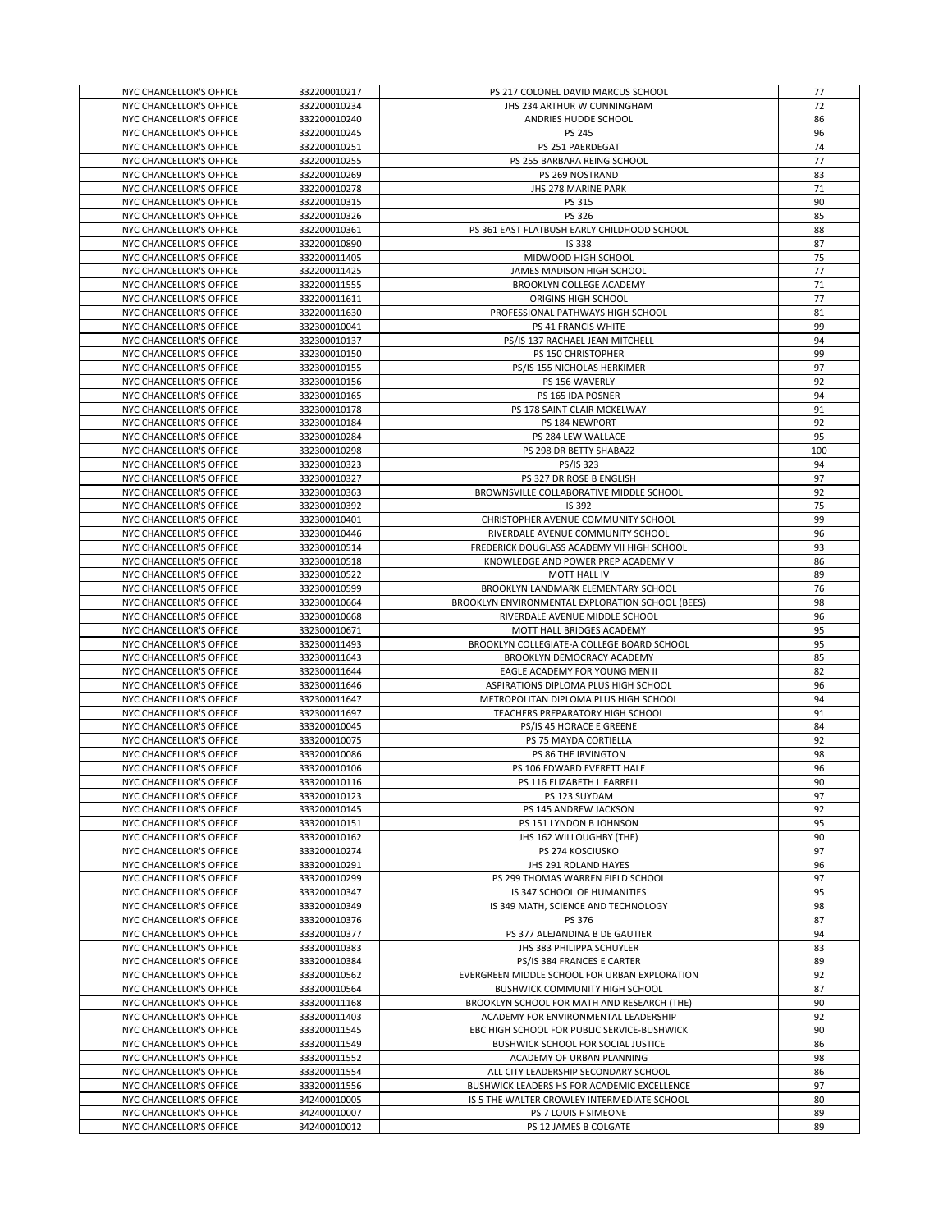| NYC CHANCELLOR'S OFFICE                            | 332200010217                 | PS 217 COLONEL DAVID MARCUS SCHOOL                                       | 77       |
|----------------------------------------------------|------------------------------|--------------------------------------------------------------------------|----------|
| NYC CHANCELLOR'S OFFICE                            | 332200010234                 | JHS 234 ARTHUR W CUNNINGHAM                                              | 72       |
| NYC CHANCELLOR'S OFFICE                            | 332200010240                 | ANDRIES HUDDE SCHOOL                                                     | 86       |
| NYC CHANCELLOR'S OFFICE                            | 332200010245                 | PS 245                                                                   | 96       |
| NYC CHANCELLOR'S OFFICE                            | 332200010251                 | PS 251 PAERDEGAT                                                         | 74       |
| NYC CHANCELLOR'S OFFICE                            | 332200010255                 | PS 255 BARBARA REING SCHOOL                                              | 77       |
| NYC CHANCELLOR'S OFFICE                            | 332200010269                 | PS 269 NOSTRAND                                                          | 83       |
| NYC CHANCELLOR'S OFFICE                            | 332200010278                 | JHS 278 MARINE PARK                                                      | 71       |
| NYC CHANCELLOR'S OFFICE<br>NYC CHANCELLOR'S OFFICE | 332200010315<br>332200010326 | PS 315<br>PS 326                                                         | 90<br>85 |
| NYC CHANCELLOR'S OFFICE                            | 332200010361                 | PS 361 EAST FLATBUSH EARLY CHILDHOOD SCHOOL                              | 88       |
| NYC CHANCELLOR'S OFFICE                            | 332200010890                 | <b>IS 338</b>                                                            | 87       |
| NYC CHANCELLOR'S OFFICE                            | 332200011405                 | MIDWOOD HIGH SCHOOL                                                      | 75       |
| NYC CHANCELLOR'S OFFICE                            | 332200011425                 | JAMES MADISON HIGH SCHOOL                                                | 77       |
| NYC CHANCELLOR'S OFFICE                            | 332200011555                 | <b>BROOKLYN COLLEGE ACADEMY</b>                                          | 71       |
| NYC CHANCELLOR'S OFFICE                            | 332200011611                 | ORIGINS HIGH SCHOOL                                                      | 77       |
| NYC CHANCELLOR'S OFFICE                            | 332200011630                 | PROFESSIONAL PATHWAYS HIGH SCHOOL                                        | 81       |
| NYC CHANCELLOR'S OFFICE                            | 332300010041                 | PS 41 FRANCIS WHITE                                                      | 99       |
| NYC CHANCELLOR'S OFFICE                            | 332300010137                 | PS/IS 137 RACHAEL JEAN MITCHELL                                          | 94       |
| NYC CHANCELLOR'S OFFICE                            | 332300010150                 | PS 150 CHRISTOPHER                                                       | 99       |
| NYC CHANCELLOR'S OFFICE                            | 332300010155                 | PS/IS 155 NICHOLAS HERKIMER                                              | 97       |
| NYC CHANCELLOR'S OFFICE                            | 332300010156                 | PS 156 WAVERLY                                                           | 92       |
| NYC CHANCELLOR'S OFFICE                            | 332300010165                 | PS 165 IDA POSNER                                                        | 94       |
| NYC CHANCELLOR'S OFFICE                            | 332300010178                 | PS 178 SAINT CLAIR MCKELWAY                                              | 91       |
| NYC CHANCELLOR'S OFFICE                            | 332300010184                 | PS 184 NEWPORT                                                           | 92       |
| NYC CHANCELLOR'S OFFICE                            | 332300010284                 | PS 284 LEW WALLACE                                                       | 95       |
| NYC CHANCELLOR'S OFFICE                            | 332300010298                 | PS 298 DR BETTY SHABAZZ                                                  | 100      |
| NYC CHANCELLOR'S OFFICE                            | 332300010323                 | PS/IS 323                                                                | 94       |
| NYC CHANCELLOR'S OFFICE                            | 332300010327                 | PS 327 DR ROSE B ENGLISH                                                 | 97       |
| NYC CHANCELLOR'S OFFICE                            | 332300010363                 | BROWNSVILLE COLLABORATIVE MIDDLE SCHOOL                                  | 92       |
| NYC CHANCELLOR'S OFFICE                            | 332300010392                 | IS 392                                                                   | 75<br>99 |
| NYC CHANCELLOR'S OFFICE<br>NYC CHANCELLOR'S OFFICE | 332300010401<br>332300010446 | CHRISTOPHER AVENUE COMMUNITY SCHOOL<br>RIVERDALE AVENUE COMMUNITY SCHOOL | 96       |
| NYC CHANCELLOR'S OFFICE                            | 332300010514                 | FREDERICK DOUGLASS ACADEMY VII HIGH SCHOOL                               | 93       |
| NYC CHANCELLOR'S OFFICE                            | 332300010518                 | KNOWLEDGE AND POWER PREP ACADEMY V                                       | 86       |
| NYC CHANCELLOR'S OFFICE                            | 332300010522                 | MOTT HALL IV                                                             | 89       |
| NYC CHANCELLOR'S OFFICE                            | 332300010599                 | BROOKLYN LANDMARK ELEMENTARY SCHOOL                                      | 76       |
| NYC CHANCELLOR'S OFFICE                            | 332300010664                 | BROOKLYN ENVIRONMENTAL EXPLORATION SCHOOL (BEES)                         | 98       |
| NYC CHANCELLOR'S OFFICE                            | 332300010668                 | RIVERDALE AVENUE MIDDLE SCHOOL                                           | 96       |
| NYC CHANCELLOR'S OFFICE                            | 332300010671                 | MOTT HALL BRIDGES ACADEMY                                                | 95       |
| NYC CHANCELLOR'S OFFICE                            | 332300011493                 | BROOKLYN COLLEGIATE-A COLLEGE BOARD SCHOOL                               | 95       |
| NYC CHANCELLOR'S OFFICE                            | 332300011643                 | BROOKLYN DEMOCRACY ACADEMY                                               | 85       |
| NYC CHANCELLOR'S OFFICE                            | 332300011644                 | EAGLE ACADEMY FOR YOUNG MEN II                                           | 82       |
| NYC CHANCELLOR'S OFFICE                            | 332300011646                 | ASPIRATIONS DIPLOMA PLUS HIGH SCHOOL                                     | 96       |
| NYC CHANCELLOR'S OFFICE                            | 332300011647                 | METROPOLITAN DIPLOMA PLUS HIGH SCHOOL                                    | 94       |
| NYC CHANCELLOR'S OFFICE                            | 332300011697                 | TEACHERS PREPARATORY HIGH SCHOOL                                         | 91       |
| NYC CHANCELLOR'S OFFICE                            | 333200010045                 | PS/IS 45 HORACE E GREENE                                                 | 84       |
| NYC CHANCELLOR'S OFFICE                            | 333200010075                 | PS 75 MAYDA CORTIELLA                                                    | 92       |
| NYC CHANCELLOR'S OFFICE                            | 333200010086                 | PS 86 THE IRVINGTON                                                      | 98       |
| NYC CHANCELLOR'S OFFICE                            | 333200010106                 | PS 106 EDWARD EVERETT HALE                                               | 96       |
| NYC CHANCELLOR'S OFFICE                            | 333200010116                 | PS 116 ELIZABETH L FARRELL                                               | 90       |
| NYC CHANCELLOR'S OFFICE                            | 333200010123                 | PS 123 SUYDAM                                                            | 97       |
| NYC CHANCELLOR'S OFFICE<br>NYC CHANCELLOR'S OFFICE | 333200010145<br>333200010151 | PS 145 ANDREW JACKSON<br>PS 151 LYNDON B JOHNSON                         | 92<br>95 |
| NYC CHANCELLOR'S OFFICE                            | 333200010162                 | JHS 162 WILLOUGHBY (THE)                                                 | 90       |
| NYC CHANCELLOR'S OFFICE                            | 333200010274                 | PS 274 KOSCIUSKO                                                         | 97       |
| NYC CHANCELLOR'S OFFICE                            | 333200010291                 | JHS 291 ROLAND HAYES                                                     | 96       |
| NYC CHANCELLOR'S OFFICE                            | 333200010299                 | PS 299 THOMAS WARREN FIELD SCHOOL                                        | 97       |
| NYC CHANCELLOR'S OFFICE                            | 333200010347                 | IS 347 SCHOOL OF HUMANITIES                                              | 95       |
| NYC CHANCELLOR'S OFFICE                            | 333200010349                 | IS 349 MATH, SCIENCE AND TECHNOLOGY                                      | 98       |
| NYC CHANCELLOR'S OFFICE                            | 333200010376                 | PS 376                                                                   | 87       |
| NYC CHANCELLOR'S OFFICE                            | 333200010377                 | PS 377 ALEJANDINA B DE GAUTIER                                           | 94       |
| NYC CHANCELLOR'S OFFICE                            | 333200010383                 | JHS 383 PHILIPPA SCHUYLER                                                | 83       |
| NYC CHANCELLOR'S OFFICE                            | 333200010384                 | PS/IS 384 FRANCES E CARTER                                               | 89       |
| NYC CHANCELLOR'S OFFICE                            | 333200010562                 | EVERGREEN MIDDLE SCHOOL FOR URBAN EXPLORATION                            | 92       |
| NYC CHANCELLOR'S OFFICE                            | 333200010564                 | <b>BUSHWICK COMMUNITY HIGH SCHOOL</b>                                    | 87       |
| NYC CHANCELLOR'S OFFICE                            | 333200011168                 | BROOKLYN SCHOOL FOR MATH AND RESEARCH (THE)                              | 90       |
| NYC CHANCELLOR'S OFFICE                            | 333200011403                 | ACADEMY FOR ENVIRONMENTAL LEADERSHIP                                     | 92       |
| NYC CHANCELLOR'S OFFICE                            | 333200011545                 | EBC HIGH SCHOOL FOR PUBLIC SERVICE-BUSHWICK                              | 90       |
| NYC CHANCELLOR'S OFFICE                            | 333200011549                 | BUSHWICK SCHOOL FOR SOCIAL JUSTICE                                       | 86       |
| NYC CHANCELLOR'S OFFICE                            | 333200011552                 | ACADEMY OF URBAN PLANNING                                                | 98       |
| NYC CHANCELLOR'S OFFICE                            | 333200011554                 | ALL CITY LEADERSHIP SECONDARY SCHOOL                                     | 86       |
| NYC CHANCELLOR'S OFFICE                            | 333200011556                 | BUSHWICK LEADERS HS FOR ACADEMIC EXCELLENCE                              | 97       |
| NYC CHANCELLOR'S OFFICE<br>NYC CHANCELLOR'S OFFICE | 342400010005<br>342400010007 | IS 5 THE WALTER CROWLEY INTERMEDIATE SCHOOL<br>PS 7 LOUIS F SIMEONE      | 80<br>89 |
| NYC CHANCELLOR'S OFFICE                            | 342400010012                 | PS 12 JAMES B COLGATE                                                    | 89       |
|                                                    |                              |                                                                          |          |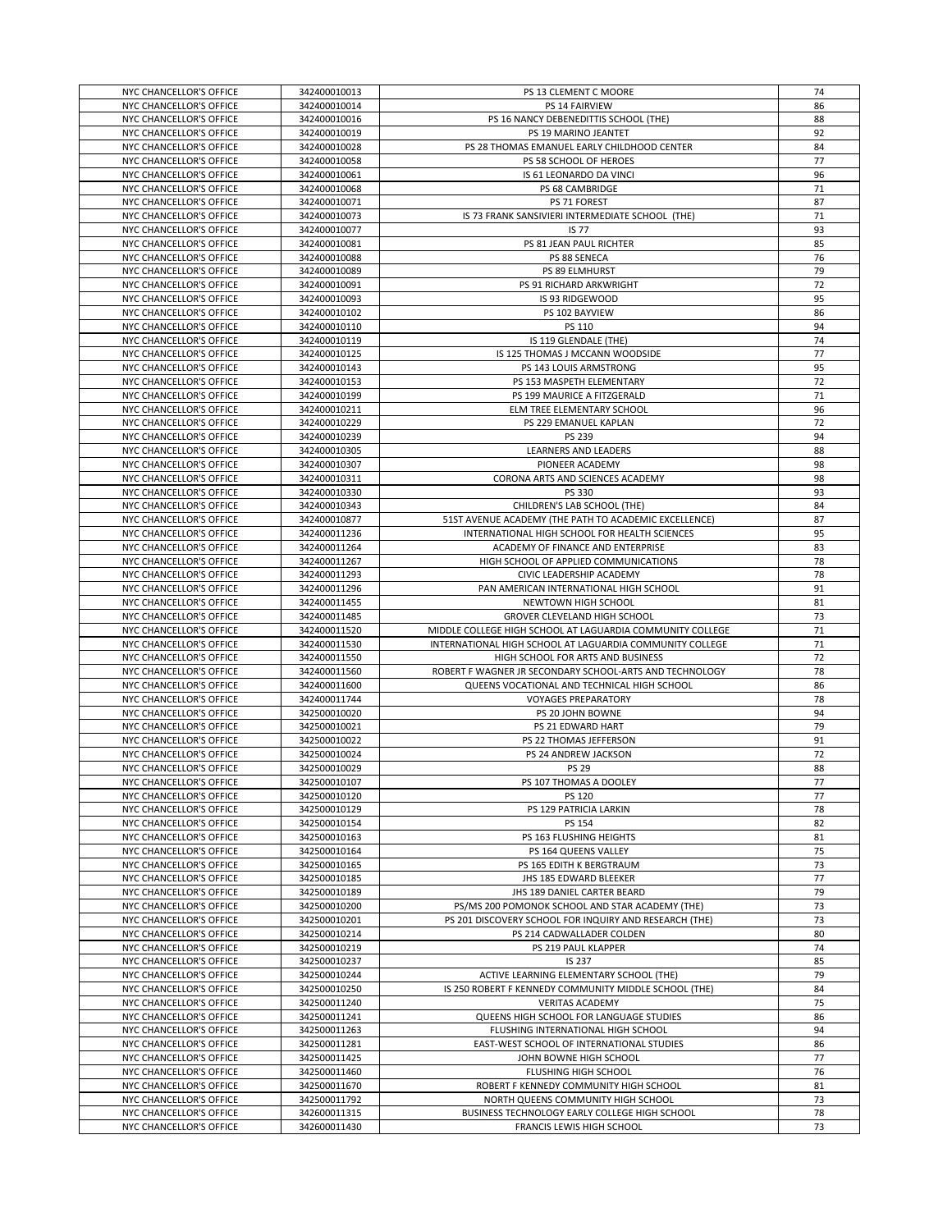| NYC CHANCELLOR'S OFFICE                            | 342400010013                 | PS 13 CLEMENT C MOORE                                                      | 74       |
|----------------------------------------------------|------------------------------|----------------------------------------------------------------------------|----------|
| NYC CHANCELLOR'S OFFICE                            | 342400010014                 | PS 14 FAIRVIEW                                                             | 86       |
|                                                    |                              |                                                                            |          |
| NYC CHANCELLOR'S OFFICE                            | 342400010016                 | PS 16 NANCY DEBENEDITTIS SCHOOL (THE)                                      | 88       |
| NYC CHANCELLOR'S OFFICE                            | 342400010019                 | PS 19 MARINO JEANTET                                                       | 92       |
| NYC CHANCELLOR'S OFFICE                            | 342400010028                 | PS 28 THOMAS EMANUEL EARLY CHILDHOOD CENTER                                | 84       |
| NYC CHANCELLOR'S OFFICE                            | 342400010058                 | PS 58 SCHOOL OF HEROES                                                     | 77       |
| NYC CHANCELLOR'S OFFICE                            | 342400010061                 | IS 61 LEONARDO DA VINCI                                                    | 96       |
| NYC CHANCELLOR'S OFFICE                            | 342400010068                 | PS 68 CAMBRIDGE                                                            | 71       |
| NYC CHANCELLOR'S OFFICE                            | 342400010071                 | PS 71 FOREST                                                               | 87       |
| NYC CHANCELLOR'S OFFICE                            | 342400010073                 | IS 73 FRANK SANSIVIERI INTERMEDIATE SCHOOL (THE)                           | 71       |
|                                                    |                              |                                                                            |          |
| NYC CHANCELLOR'S OFFICE                            | 342400010077                 | <b>IS 77</b>                                                               | 93       |
| NYC CHANCELLOR'S OFFICE                            | 342400010081                 | PS 81 JEAN PAUL RICHTER                                                    | 85       |
| NYC CHANCELLOR'S OFFICE                            | 342400010088                 | PS 88 SENECA                                                               | 76       |
| NYC CHANCELLOR'S OFFICE                            | 342400010089                 | PS 89 ELMHURST                                                             | 79       |
| NYC CHANCELLOR'S OFFICE                            | 342400010091                 | PS 91 RICHARD ARKWRIGHT                                                    | 72       |
| NYC CHANCELLOR'S OFFICE                            | 342400010093                 | IS 93 RIDGEWOOD                                                            | 95       |
| NYC CHANCELLOR'S OFFICE                            | 342400010102                 | PS 102 BAYVIEW                                                             | 86       |
| NYC CHANCELLOR'S OFFICE                            | 342400010110                 | PS 110                                                                     | 94       |
|                                                    |                              |                                                                            | 74       |
| NYC CHANCELLOR'S OFFICE                            | 342400010119                 | IS 119 GLENDALE (THE)                                                      |          |
| NYC CHANCELLOR'S OFFICE                            | 342400010125                 | IS 125 THOMAS J MCCANN WOODSIDE                                            | 77       |
| NYC CHANCELLOR'S OFFICE                            | 342400010143                 | PS 143 LOUIS ARMSTRONG                                                     | 95       |
| NYC CHANCELLOR'S OFFICE                            | 342400010153                 | PS 153 MASPETH ELEMENTARY                                                  | 72       |
| NYC CHANCELLOR'S OFFICE                            | 342400010199                 | PS 199 MAURICE A FITZGERALD                                                | 71       |
| NYC CHANCELLOR'S OFFICE                            | 342400010211                 | ELM TREE ELEMENTARY SCHOOL                                                 | 96       |
| NYC CHANCELLOR'S OFFICE                            | 342400010229                 | PS 229 EMANUEL KAPLAN                                                      | 72       |
| NYC CHANCELLOR'S OFFICE                            | 342400010239                 | PS 239                                                                     | 94       |
| NYC CHANCELLOR'S OFFICE                            | 342400010305                 | LEARNERS AND LEADERS                                                       | 88       |
|                                                    |                              |                                                                            |          |
| NYC CHANCELLOR'S OFFICE                            | 342400010307                 | PIONEER ACADEMY                                                            | 98       |
| NYC CHANCELLOR'S OFFICE                            | 342400010311                 | CORONA ARTS AND SCIENCES ACADEMY                                           | 98       |
| NYC CHANCELLOR'S OFFICE                            | 342400010330                 | PS 330                                                                     | 93       |
| NYC CHANCELLOR'S OFFICE                            | 342400010343                 | CHILDREN'S LAB SCHOOL (THE)                                                | 84       |
| NYC CHANCELLOR'S OFFICE                            | 342400010877                 | 51ST AVENUE ACADEMY (THE PATH TO ACADEMIC EXCELLENCE)                      | 87       |
| NYC CHANCELLOR'S OFFICE                            | 342400011236                 | INTERNATIONAL HIGH SCHOOL FOR HEALTH SCIENCES                              | 95       |
| NYC CHANCELLOR'S OFFICE                            | 342400011264                 | ACADEMY OF FINANCE AND ENTERPRISE                                          | 83       |
| NYC CHANCELLOR'S OFFICE                            | 342400011267                 | HIGH SCHOOL OF APPLIED COMMUNICATIONS                                      | 78       |
| NYC CHANCELLOR'S OFFICE                            | 342400011293                 | CIVIC LEADERSHIP ACADEMY                                                   | 78       |
|                                                    |                              |                                                                            |          |
| NYC CHANCELLOR'S OFFICE                            | 342400011296                 | PAN AMERICAN INTERNATIONAL HIGH SCHOOL                                     | 91       |
| NYC CHANCELLOR'S OFFICE                            | 342400011455                 | NEWTOWN HIGH SCHOOL                                                        | 81       |
| NYC CHANCELLOR'S OFFICE                            | 342400011485                 | GROVER CLEVELAND HIGH SCHOOL                                               | 73       |
| NYC CHANCELLOR'S OFFICE                            | 342400011520                 | MIDDLE COLLEGE HIGH SCHOOL AT LAGUARDIA COMMUNITY COLLEGE                  | 71       |
| NYC CHANCELLOR'S OFFICE                            | 342400011530                 | INTERNATIONAL HIGH SCHOOL AT LAGUARDIA COMMUNITY COLLEGE                   | 71       |
| NYC CHANCELLOR'S OFFICE                            | 342400011550                 | HIGH SCHOOL FOR ARTS AND BUSINESS                                          | 72       |
| NYC CHANCELLOR'S OFFICE                            | 342400011560                 | ROBERT F WAGNER JR SECONDARY SCHOOL-ARTS AND TECHNOLOGY                    | 78       |
| NYC CHANCELLOR'S OFFICE                            | 342400011600                 | QUEENS VOCATIONAL AND TECHNICAL HIGH SCHOOL                                | 86       |
| NYC CHANCELLOR'S OFFICE                            | 342400011744                 | <b>VOYAGES PREPARATORY</b>                                                 | 78       |
| NYC CHANCELLOR'S OFFICE                            |                              |                                                                            | 94       |
|                                                    | 342500010020                 | PS 20 JOHN BOWNE                                                           |          |
| NYC CHANCELLOR'S OFFICE                            | 342500010021                 | PS 21 EDWARD HART                                                          |          |
|                                                    |                              |                                                                            | 79       |
| NYC CHANCELLOR'S OFFICE                            | 342500010022                 | PS 22 THOMAS JEFFERSON                                                     | 91       |
| NYC CHANCELLOR'S OFFICE                            | 342500010024                 | PS 24 ANDREW JACKSON                                                       | 72       |
| NYC CHANCELLOR'S OFFICE                            | 342500010029                 | <b>PS 29</b>                                                               | 88       |
|                                                    |                              | PS 107 THOMAS A DOOLEY                                                     |          |
| NYC CHANCELLOR'S OFFICE<br>NYC CHANCELLOR'S OFFICE | 342500010107<br>342500010120 |                                                                            | 77<br>77 |
|                                                    |                              | PS 120                                                                     |          |
| NYC CHANCELLOR'S OFFICE                            | 342500010129                 | PS 129 PATRICIA LARKIN                                                     | 78       |
| NYC CHANCELLOR'S OFFICE                            | 342500010154                 | PS 154                                                                     | 82       |
| NYC CHANCELLOR'S OFFICE                            | 342500010163                 | PS 163 FLUSHING HEIGHTS                                                    | 81       |
| NYC CHANCELLOR'S OFFICE                            | 342500010164                 | PS 164 QUEENS VALLEY                                                       | 75       |
| NYC CHANCELLOR'S OFFICE                            | 342500010165                 | PS 165 EDITH K BERGTRAUM                                                   | 73       |
| NYC CHANCELLOR'S OFFICE                            | 342500010185                 | JHS 185 EDWARD BLEEKER                                                     | 77       |
| NYC CHANCELLOR'S OFFICE                            | 342500010189                 | JHS 189 DANIEL CARTER BEARD                                                | 79       |
| NYC CHANCELLOR'S OFFICE                            | 342500010200                 | PS/MS 200 POMONOK SCHOOL AND STAR ACADEMY (THE)                            | 73       |
| NYC CHANCELLOR'S OFFICE                            | 342500010201                 | PS 201 DISCOVERY SCHOOL FOR INQUIRY AND RESEARCH (THE)                     | 73       |
| NYC CHANCELLOR'S OFFICE                            | 342500010214                 | PS 214 CADWALLADER COLDEN                                                  | 80       |
| NYC CHANCELLOR'S OFFICE                            |                              |                                                                            | 74       |
|                                                    | 342500010219                 | PS 219 PAUL KLAPPER                                                        |          |
| NYC CHANCELLOR'S OFFICE                            | 342500010237                 | <b>IS 237</b>                                                              | 85       |
| NYC CHANCELLOR'S OFFICE                            | 342500010244                 | ACTIVE LEARNING ELEMENTARY SCHOOL (THE)                                    | 79       |
| NYC CHANCELLOR'S OFFICE                            | 342500010250                 | IS 250 ROBERT F KENNEDY COMMUNITY MIDDLE SCHOOL (THE)                      | 84       |
| NYC CHANCELLOR'S OFFICE                            | 342500011240                 | <b>VERITAS ACADEMY</b>                                                     | 75       |
| NYC CHANCELLOR'S OFFICE                            | 342500011241                 | QUEENS HIGH SCHOOL FOR LANGUAGE STUDIES                                    | 86       |
| NYC CHANCELLOR'S OFFICE                            | 342500011263                 | FLUSHING INTERNATIONAL HIGH SCHOOL                                         | 94       |
| NYC CHANCELLOR'S OFFICE                            | 342500011281                 | EAST-WEST SCHOOL OF INTERNATIONAL STUDIES                                  | 86       |
| NYC CHANCELLOR'S OFFICE                            | 342500011425                 | JOHN BOWNE HIGH SCHOOL                                                     | 77       |
| NYC CHANCELLOR'S OFFICE                            | 342500011460                 | FLUSHING HIGH SCHOOL                                                       | 76       |
|                                                    | 342500011670                 |                                                                            |          |
| NYC CHANCELLOR'S OFFICE                            |                              | ROBERT F KENNEDY COMMUNITY HIGH SCHOOL                                     | 81       |
| NYC CHANCELLOR'S OFFICE                            | 342500011792                 | NORTH QUEENS COMMUNITY HIGH SCHOOL                                         | 73       |
| NYC CHANCELLOR'S OFFICE<br>NYC CHANCELLOR'S OFFICE | 342600011315<br>342600011430 | BUSINESS TECHNOLOGY EARLY COLLEGE HIGH SCHOOL<br>FRANCIS LEWIS HIGH SCHOOL | 78<br>73 |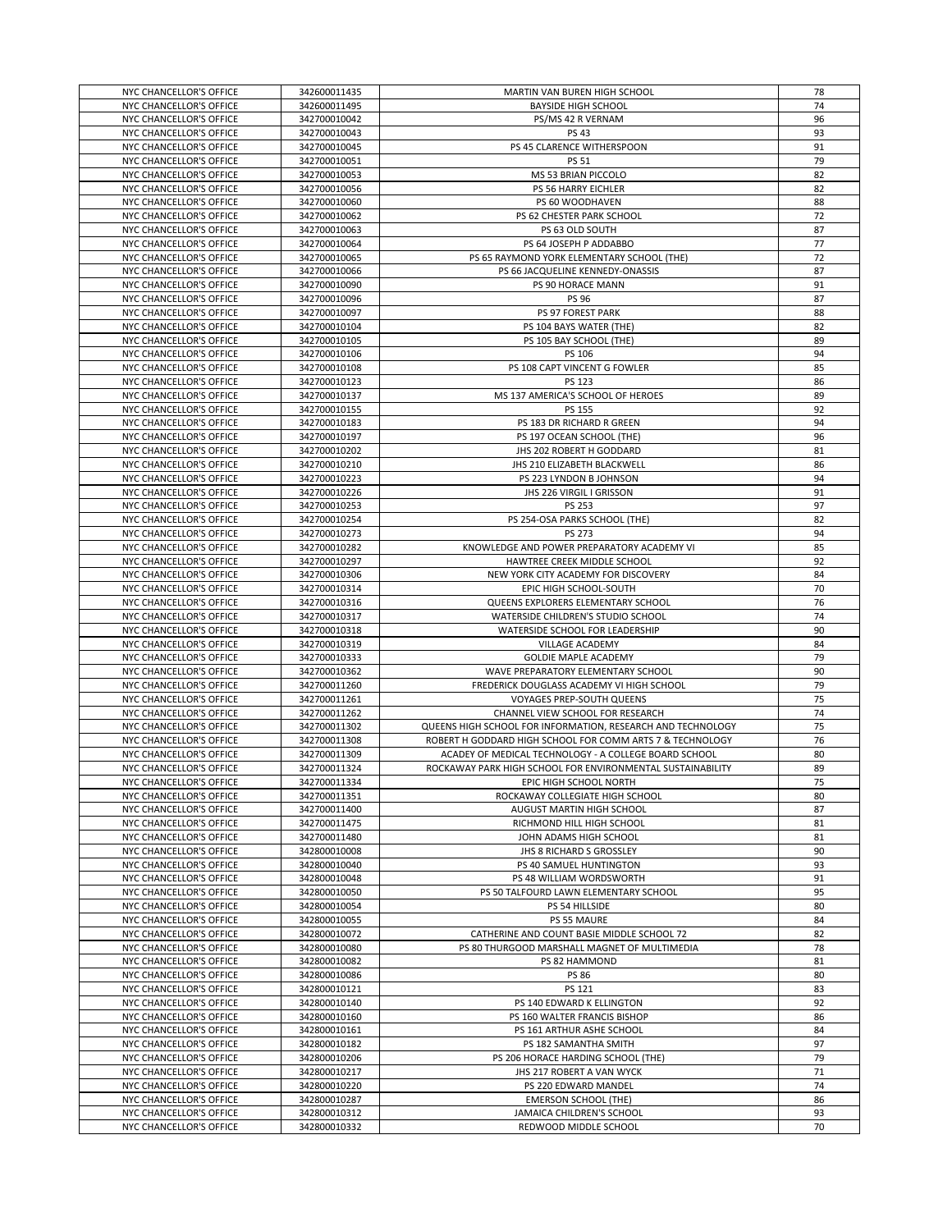| NYC CHANCELLOR'S OFFICE | 342600011435 | MARTIN VAN BUREN HIGH SCHOOL                                | 78 |
|-------------------------|--------------|-------------------------------------------------------------|----|
| NYC CHANCELLOR'S OFFICE | 342600011495 | <b>BAYSIDE HIGH SCHOOL</b>                                  | 74 |
| NYC CHANCELLOR'S OFFICE | 342700010042 | PS/MS 42 R VERNAM                                           | 96 |
| NYC CHANCELLOR'S OFFICE | 342700010043 | <b>PS 43</b>                                                | 93 |
| NYC CHANCELLOR'S OFFICE | 342700010045 | PS 45 CLARENCE WITHERSPOON                                  | 91 |
| NYC CHANCELLOR'S OFFICE | 342700010051 | <b>PS 51</b>                                                | 79 |
| NYC CHANCELLOR'S OFFICE | 342700010053 | MS 53 BRIAN PICCOLO                                         | 82 |
| NYC CHANCELLOR'S OFFICE | 342700010056 | PS 56 HARRY EICHLER                                         | 82 |
| NYC CHANCELLOR'S OFFICE | 342700010060 | PS 60 WOODHAVEN                                             | 88 |
| NYC CHANCELLOR'S OFFICE | 342700010062 | PS 62 CHESTER PARK SCHOOL                                   | 72 |
|                         |              |                                                             | 87 |
| NYC CHANCELLOR'S OFFICE | 342700010063 | PS 63 OLD SOUTH                                             |    |
| NYC CHANCELLOR'S OFFICE | 342700010064 | PS 64 JOSEPH P ADDABBO                                      | 77 |
| NYC CHANCELLOR'S OFFICE | 342700010065 | PS 65 RAYMOND YORK ELEMENTARY SCHOOL (THE)                  | 72 |
| NYC CHANCELLOR'S OFFICE | 342700010066 | PS 66 JACQUELINE KENNEDY-ONASSIS                            | 87 |
| NYC CHANCELLOR'S OFFICE | 342700010090 | PS 90 HORACE MANN                                           | 91 |
| NYC CHANCELLOR'S OFFICE | 342700010096 | <b>PS 96</b>                                                | 87 |
| NYC CHANCELLOR'S OFFICE | 342700010097 | PS 97 FOREST PARK                                           | 88 |
| NYC CHANCELLOR'S OFFICE | 342700010104 | PS 104 BAYS WATER (THE)                                     | 82 |
| NYC CHANCELLOR'S OFFICE | 342700010105 | PS 105 BAY SCHOOL (THE)                                     | 89 |
| NYC CHANCELLOR'S OFFICE | 342700010106 | PS 106                                                      | 94 |
| NYC CHANCELLOR'S OFFICE | 342700010108 | PS 108 CAPT VINCENT G FOWLER                                | 85 |
| NYC CHANCELLOR'S OFFICE | 342700010123 | PS 123                                                      | 86 |
| NYC CHANCELLOR'S OFFICE | 342700010137 | MS 137 AMERICA'S SCHOOL OF HEROES                           | 89 |
| NYC CHANCELLOR'S OFFICE | 342700010155 | PS 155                                                      | 92 |
| NYC CHANCELLOR'S OFFICE | 342700010183 | PS 183 DR RICHARD R GREEN                                   | 94 |
| NYC CHANCELLOR'S OFFICE | 342700010197 | PS 197 OCEAN SCHOOL (THE)                                   | 96 |
| NYC CHANCELLOR'S OFFICE | 342700010202 | JHS 202 ROBERT H GODDARD                                    | 81 |
| NYC CHANCELLOR'S OFFICE | 342700010210 | JHS 210 ELIZABETH BLACKWELL                                 | 86 |
| NYC CHANCELLOR'S OFFICE | 342700010223 | PS 223 LYNDON B JOHNSON                                     | 94 |
|                         | 342700010226 |                                                             |    |
| NYC CHANCELLOR'S OFFICE |              | JHS 226 VIRGIL I GRISSON                                    | 91 |
| NYC CHANCELLOR'S OFFICE | 342700010253 | PS 253                                                      | 97 |
| NYC CHANCELLOR'S OFFICE | 342700010254 | PS 254-OSA PARKS SCHOOL (THE)                               | 82 |
| NYC CHANCELLOR'S OFFICE | 342700010273 | <b>PS 273</b>                                               | 94 |
| NYC CHANCELLOR'S OFFICE | 342700010282 | KNOWLEDGE AND POWER PREPARATORY ACADEMY VI                  | 85 |
| NYC CHANCELLOR'S OFFICE | 342700010297 | HAWTREE CREEK MIDDLE SCHOOL                                 | 92 |
| NYC CHANCELLOR'S OFFICE | 342700010306 | NEW YORK CITY ACADEMY FOR DISCOVERY                         | 84 |
| NYC CHANCELLOR'S OFFICE | 342700010314 | EPIC HIGH SCHOOL-SOUTH                                      | 70 |
| NYC CHANCELLOR'S OFFICE | 342700010316 | QUEENS EXPLORERS ELEMENTARY SCHOOL                          | 76 |
| NYC CHANCELLOR'S OFFICE | 342700010317 | WATERSIDE CHILDREN'S STUDIO SCHOOL                          | 74 |
| NYC CHANCELLOR'S OFFICE | 342700010318 | WATERSIDE SCHOOL FOR LEADERSHIP                             | 90 |
| NYC CHANCELLOR'S OFFICE | 342700010319 | VILLAGE ACADEMY                                             | 84 |
| NYC CHANCELLOR'S OFFICE | 342700010333 | <b>GOLDIE MAPLE ACADEMY</b>                                 | 79 |
| NYC CHANCELLOR'S OFFICE | 342700010362 | WAVE PREPARATORY ELEMENTARY SCHOOL                          | 90 |
| NYC CHANCELLOR'S OFFICE | 342700011260 | FREDERICK DOUGLASS ACADEMY VI HIGH SCHOOL                   | 79 |
| NYC CHANCELLOR'S OFFICE | 342700011261 | VOYAGES PREP-SOUTH QUEENS                                   | 75 |
| NYC CHANCELLOR'S OFFICE | 342700011262 | CHANNEL VIEW SCHOOL FOR RESEARCH                            | 74 |
| NYC CHANCELLOR'S OFFICE | 342700011302 | QUEENS HIGH SCHOOL FOR INFORMATION, RESEARCH AND TECHNOLOGY | 75 |
| NYC CHANCELLOR'S OFFICE | 342700011308 | ROBERT H GODDARD HIGH SCHOOL FOR COMM ARTS 7 & TECHNOLOGY   | 76 |
| NYC CHANCELLOR'S OFFICE | 342700011309 | ACADEY OF MEDICAL TECHNOLOGY - A COLLEGE BOARD SCHOOL       | 80 |
| NYC CHANCELLOR'S OFFICE | 342700011324 |                                                             |    |
| NYC CHANCELLOR'S OFFICE |              | ROCKAWAY PARK HIGH SCHOOL FOR ENVIRONMENTAL SUSTAINABILITY  | 89 |
|                         | 342700011334 | EPIC HIGH SCHOOL NORTH                                      | 75 |
| NYC CHANCELLOR'S OFFICE | 342700011351 | ROCKAWAY COLLEGIATE HIGH SCHOOL                             | 80 |
| NYC CHANCELLOR'S OFFICE | 342700011400 | AUGUST MARTIN HIGH SCHOOL                                   | 87 |
| NYC CHANCELLOR'S OFFICE | 342700011475 | RICHMOND HILL HIGH SCHOOL                                   | 81 |
| NYC CHANCELLOR'S OFFICE | 342700011480 | JOHN ADAMS HIGH SCHOOL                                      | 81 |
| NYC CHANCELLOR'S OFFICE | 342800010008 | JHS 8 RICHARD S GROSSLEY                                    | 90 |
| NYC CHANCELLOR'S OFFICE | 342800010040 | PS 40 SAMUEL HUNTINGTON                                     | 93 |
| NYC CHANCELLOR'S OFFICE | 342800010048 | PS 48 WILLIAM WORDSWORTH                                    | 91 |
| NYC CHANCELLOR'S OFFICE | 342800010050 | PS 50 TALFOURD LAWN ELEMENTARY SCHOOL                       | 95 |
| NYC CHANCELLOR'S OFFICE | 342800010054 | PS 54 HILLSIDE                                              | 80 |
| NYC CHANCELLOR'S OFFICE | 342800010055 | PS 55 MAURE                                                 | 84 |
| NYC CHANCELLOR'S OFFICE | 342800010072 | CATHERINE AND COUNT BASIE MIDDLE SCHOOL 72                  | 82 |
| NYC CHANCELLOR'S OFFICE | 342800010080 | PS 80 THURGOOD MARSHALL MAGNET OF MULTIMEDIA                | 78 |
| NYC CHANCELLOR'S OFFICE | 342800010082 | PS 82 HAMMOND                                               | 81 |
| NYC CHANCELLOR'S OFFICE | 342800010086 | <b>PS 86</b>                                                | 80 |
| NYC CHANCELLOR'S OFFICE | 342800010121 | PS 121                                                      | 83 |
| NYC CHANCELLOR'S OFFICE | 342800010140 | PS 140 EDWARD K ELLINGTON                                   | 92 |
| NYC CHANCELLOR'S OFFICE | 342800010160 | PS 160 WALTER FRANCIS BISHOP                                | 86 |
| NYC CHANCELLOR'S OFFICE | 342800010161 | PS 161 ARTHUR ASHE SCHOOL                                   | 84 |
| NYC CHANCELLOR'S OFFICE | 342800010182 | PS 182 SAMANTHA SMITH                                       | 97 |
| NYC CHANCELLOR'S OFFICE | 342800010206 | PS 206 HORACE HARDING SCHOOL (THE)                          | 79 |
| NYC CHANCELLOR'S OFFICE | 342800010217 | JHS 217 ROBERT A VAN WYCK                                   | 71 |
| NYC CHANCELLOR'S OFFICE | 342800010220 | PS 220 EDWARD MANDEL                                        | 74 |
| NYC CHANCELLOR'S OFFICE | 342800010287 | <b>EMERSON SCHOOL (THE)</b>                                 | 86 |
| NYC CHANCELLOR'S OFFICE | 342800010312 | JAMAICA CHILDREN'S SCHOOL                                   | 93 |
| NYC CHANCELLOR'S OFFICE | 342800010332 | REDWOOD MIDDLE SCHOOL                                       | 70 |
|                         |              |                                                             |    |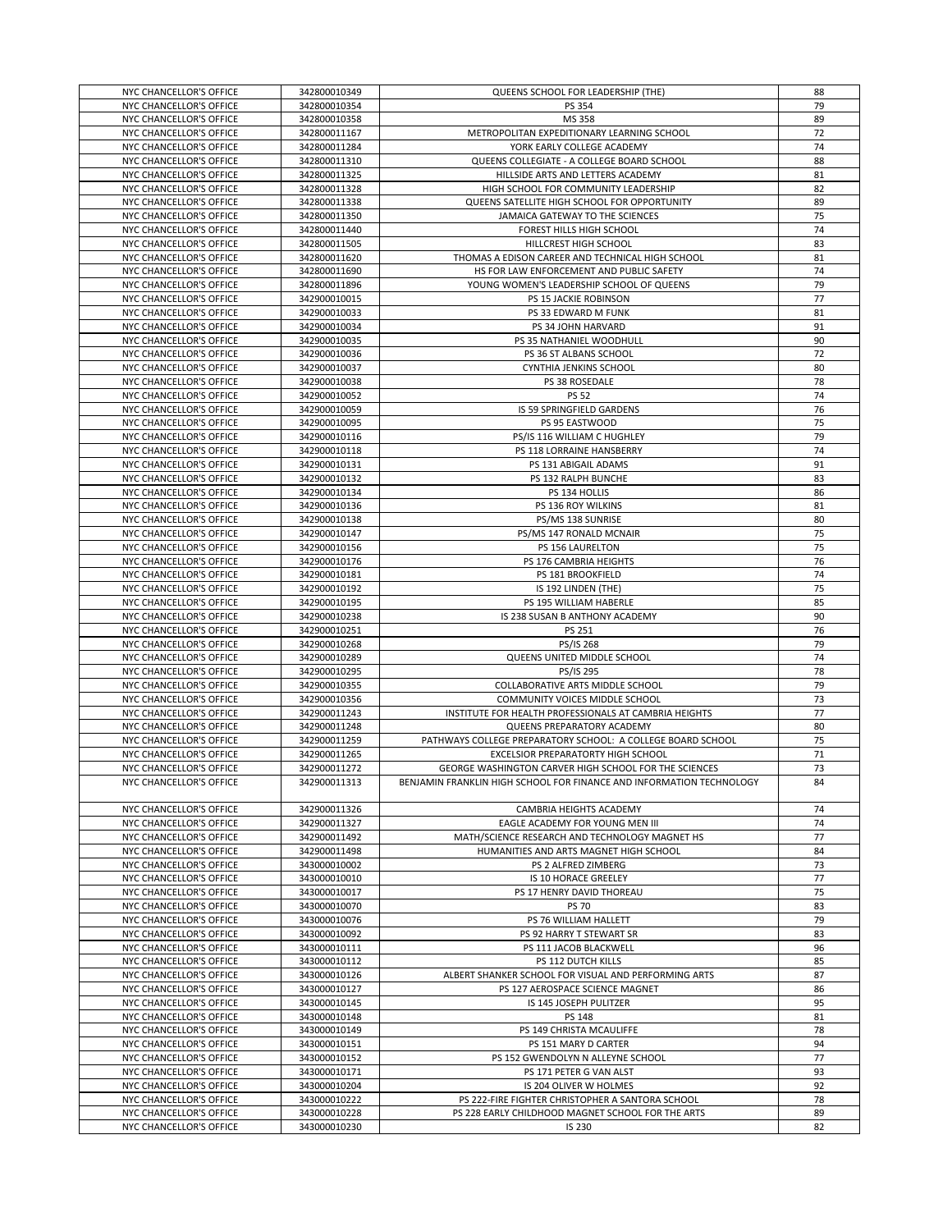| NYC CHANCELLOR'S OFFICE | 342800010349 | QUEENS SCHOOL FOR LEADERSHIP (THE)                                   | 88 |
|-------------------------|--------------|----------------------------------------------------------------------|----|
|                         |              |                                                                      |    |
| NYC CHANCELLOR'S OFFICE | 342800010354 | PS 354                                                               | 79 |
| NYC CHANCELLOR'S OFFICE | 342800010358 | MS 358                                                               | 89 |
| NYC CHANCELLOR'S OFFICE | 342800011167 | METROPOLITAN EXPEDITIONARY LEARNING SCHOOL                           | 72 |
| NYC CHANCELLOR'S OFFICE | 342800011284 | YORK EARLY COLLEGE ACADEMY                                           | 74 |
|                         |              |                                                                      |    |
| NYC CHANCELLOR'S OFFICE | 342800011310 | QUEENS COLLEGIATE - A COLLEGE BOARD SCHOOL                           | 88 |
| NYC CHANCELLOR'S OFFICE | 342800011325 | HILLSIDE ARTS AND LETTERS ACADEMY                                    | 81 |
| NYC CHANCELLOR'S OFFICE | 342800011328 | HIGH SCHOOL FOR COMMUNITY LEADERSHIP                                 | 82 |
| NYC CHANCELLOR'S OFFICE | 342800011338 | QUEENS SATELLITE HIGH SCHOOL FOR OPPORTUNITY                         | 89 |
|                         |              |                                                                      |    |
| NYC CHANCELLOR'S OFFICE | 342800011350 | JAMAICA GATEWAY TO THE SCIENCES                                      | 75 |
| NYC CHANCELLOR'S OFFICE | 342800011440 | FOREST HILLS HIGH SCHOOL                                             | 74 |
| NYC CHANCELLOR'S OFFICE | 342800011505 | HILLCREST HIGH SCHOOL                                                | 83 |
| NYC CHANCELLOR'S OFFICE | 342800011620 | THOMAS A EDISON CAREER AND TECHNICAL HIGH SCHOOL                     | 81 |
|                         |              |                                                                      |    |
| NYC CHANCELLOR'S OFFICE | 342800011690 | HS FOR LAW ENFORCEMENT AND PUBLIC SAFETY                             | 74 |
| NYC CHANCELLOR'S OFFICE | 342800011896 | YOUNG WOMEN'S LEADERSHIP SCHOOL OF QUEENS                            | 79 |
| NYC CHANCELLOR'S OFFICE | 342900010015 | PS 15 JACKIE ROBINSON                                                | 77 |
| NYC CHANCELLOR'S OFFICE | 342900010033 | PS 33 EDWARD M FUNK                                                  | 81 |
|                         |              |                                                                      |    |
| NYC CHANCELLOR'S OFFICE | 342900010034 | PS 34 JOHN HARVARD                                                   | 91 |
| NYC CHANCELLOR'S OFFICE | 342900010035 | PS 35 NATHANIEL WOODHULL                                             | 90 |
| NYC CHANCELLOR'S OFFICE | 342900010036 | PS 36 ST ALBANS SCHOOL                                               | 72 |
| NYC CHANCELLOR'S OFFICE | 342900010037 | CYNTHIA JENKINS SCHOOL                                               | 80 |
| NYC CHANCELLOR'S OFFICE | 342900010038 | PS 38 ROSEDALE                                                       | 78 |
|                         |              |                                                                      |    |
| NYC CHANCELLOR'S OFFICE | 342900010052 | <b>PS 52</b>                                                         | 74 |
| NYC CHANCELLOR'S OFFICE | 342900010059 | IS 59 SPRINGFIELD GARDENS                                            | 76 |
| NYC CHANCELLOR'S OFFICE | 342900010095 | PS 95 EASTWOOD                                                       | 75 |
| NYC CHANCELLOR'S OFFICE | 342900010116 | PS/IS 116 WILLIAM C HUGHLEY                                          | 79 |
| NYC CHANCELLOR'S OFFICE | 342900010118 |                                                                      | 74 |
|                         |              | PS 118 LORRAINE HANSBERRY                                            |    |
| NYC CHANCELLOR'S OFFICE | 342900010131 | PS 131 ABIGAIL ADAMS                                                 | 91 |
| NYC CHANCELLOR'S OFFICE | 342900010132 | PS 132 RALPH BUNCHE                                                  | 83 |
| NYC CHANCELLOR'S OFFICE | 342900010134 | PS 134 HOLLIS                                                        | 86 |
| NYC CHANCELLOR'S OFFICE | 342900010136 | PS 136 ROY WILKINS                                                   | 81 |
|                         |              |                                                                      |    |
| NYC CHANCELLOR'S OFFICE | 342900010138 | PS/MS 138 SUNRISE                                                    | 80 |
| NYC CHANCELLOR'S OFFICE | 342900010147 | PS/MS 147 RONALD MCNAIR                                              | 75 |
| NYC CHANCELLOR'S OFFICE | 342900010156 | PS 156 LAURELTON                                                     | 75 |
| NYC CHANCELLOR'S OFFICE | 342900010176 | PS 176 CAMBRIA HEIGHTS                                               | 76 |
| NYC CHANCELLOR'S OFFICE | 342900010181 | PS 181 BROOKFIELD                                                    | 74 |
| NYC CHANCELLOR'S OFFICE | 342900010192 | IS 192 LINDEN (THE)                                                  | 75 |
|                         |              |                                                                      |    |
| NYC CHANCELLOR'S OFFICE | 342900010195 | PS 195 WILLIAM HABERLE                                               | 85 |
| NYC CHANCELLOR'S OFFICE | 342900010238 | IS 238 SUSAN B ANTHONY ACADEMY                                       | 90 |
| NYC CHANCELLOR'S OFFICE | 342900010251 | PS 251                                                               | 76 |
| NYC CHANCELLOR'S OFFICE | 342900010268 | PS/IS 268                                                            | 79 |
| NYC CHANCELLOR'S OFFICE | 342900010289 | QUEENS UNITED MIDDLE SCHOOL                                          | 74 |
|                         |              |                                                                      |    |
| NYC CHANCELLOR'S OFFICE | 342900010295 | PS/IS 295                                                            | 78 |
| NYC CHANCELLOR'S OFFICE | 342900010355 | COLLABORATIVE ARTS MIDDLE SCHOOL                                     | 79 |
| NYC CHANCELLOR'S OFFICE | 342900010356 | COMMUNITY VOICES MIDDLE SCHOOL                                       | 73 |
| NYC CHANCELLOR'S OFFICE | 342900011243 | INSTITUTE FOR HEALTH PROFESSIONALS AT CAMBRIA HEIGHTS                | 77 |
|                         |              | QUEENS PREPARATORY ACADEMY                                           |    |
| NYC CHANCELLOR'S OFFICE | 342900011248 |                                                                      | 80 |
| NYC CHANCELLOR'S OFFICE | 342900011259 | PATHWAYS COLLEGE PREPARATORY SCHOOL: A COLLEGE BOARD SCHOOL          | 75 |
| NYC CHANCELLOR'S OFFICE | 342900011265 | EXCELSIOR PREPARATORTY HIGH SCHOOL                                   | 71 |
| NYC CHANCELLOR'S OFFICE | 342900011272 | GEORGE WASHINGTON CARVER HIGH SCHOOL FOR THE SCIENCES                | 73 |
| NYC CHANCELLOR'S OFFICE | 342900011313 | BENJAMIN FRANKLIN HIGH SCHOOL FOR FINANCE AND INFORMATION TECHNOLOGY | 84 |
|                         |              |                                                                      |    |
|                         |              |                                                                      |    |
| NYC CHANCELLOR'S OFFICE | 342900011326 | CAMBRIA HEIGHTS ACADEMY                                              | 74 |
| NYC CHANCELLOR'S OFFICE | 342900011327 | EAGLE ACADEMY FOR YOUNG MEN III                                      | 74 |
| NYC CHANCELLOR'S OFFICE | 342900011492 | MATH/SCIENCE RESEARCH AND TECHNOLOGY MAGNET HS                       | 77 |
| NYC CHANCELLOR'S OFFICE | 342900011498 | HUMANITIES AND ARTS MAGNET HIGH SCHOOL                               | 84 |
|                         |              | PS 2 ALFRED ZIMBERG                                                  |    |
| NYC CHANCELLOR'S OFFICE | 343000010002 |                                                                      | 73 |
| NYC CHANCELLOR'S OFFICE | 343000010010 | IS 10 HORACE GREELEY                                                 | 77 |
| NYC CHANCELLOR'S OFFICE | 343000010017 | PS 17 HENRY DAVID THOREAU                                            | 75 |
| NYC CHANCELLOR'S OFFICE | 343000010070 | <b>PS 70</b>                                                         | 83 |
| NYC CHANCELLOR'S OFFICE | 343000010076 | PS 76 WILLIAM HALLETT                                                | 79 |
| NYC CHANCELLOR'S OFFICE | 343000010092 | PS 92 HARRY T STEWART SR                                             | 83 |
|                         |              |                                                                      |    |
| NYC CHANCELLOR'S OFFICE | 343000010111 | PS 111 JACOB BLACKWELL                                               | 96 |
| NYC CHANCELLOR'S OFFICE | 343000010112 | PS 112 DUTCH KILLS                                                   | 85 |
| NYC CHANCELLOR'S OFFICE | 343000010126 | ALBERT SHANKER SCHOOL FOR VISUAL AND PERFORMING ARTS                 | 87 |
| NYC CHANCELLOR'S OFFICE | 343000010127 | PS 127 AEROSPACE SCIENCE MAGNET                                      | 86 |
| NYC CHANCELLOR'S OFFICE | 343000010145 | IS 145 JOSEPH PULITZER                                               | 95 |
|                         |              |                                                                      |    |
| NYC CHANCELLOR'S OFFICE | 343000010148 | PS 148                                                               | 81 |
| NYC CHANCELLOR'S OFFICE | 343000010149 | PS 149 CHRISTA MCAULIFFE                                             | 78 |
| NYC CHANCELLOR'S OFFICE | 343000010151 | PS 151 MARY D CARTER                                                 | 94 |
| NYC CHANCELLOR'S OFFICE |              | PS 152 GWENDOLYN N ALLEYNE SCHOOL                                    | 77 |
|                         | 343000010152 |                                                                      |    |
|                         |              |                                                                      |    |
| NYC CHANCELLOR'S OFFICE | 343000010171 | PS 171 PETER G VAN ALST                                              | 93 |
| NYC CHANCELLOR'S OFFICE | 343000010204 | IS 204 OLIVER W HOLMES                                               | 92 |
| NYC CHANCELLOR'S OFFICE | 343000010222 | PS 222-FIRE FIGHTER CHRISTOPHER A SANTORA SCHOOL                     | 78 |
| NYC CHANCELLOR'S OFFICE | 343000010228 | PS 228 EARLY CHILDHOOD MAGNET SCHOOL FOR THE ARTS                    | 89 |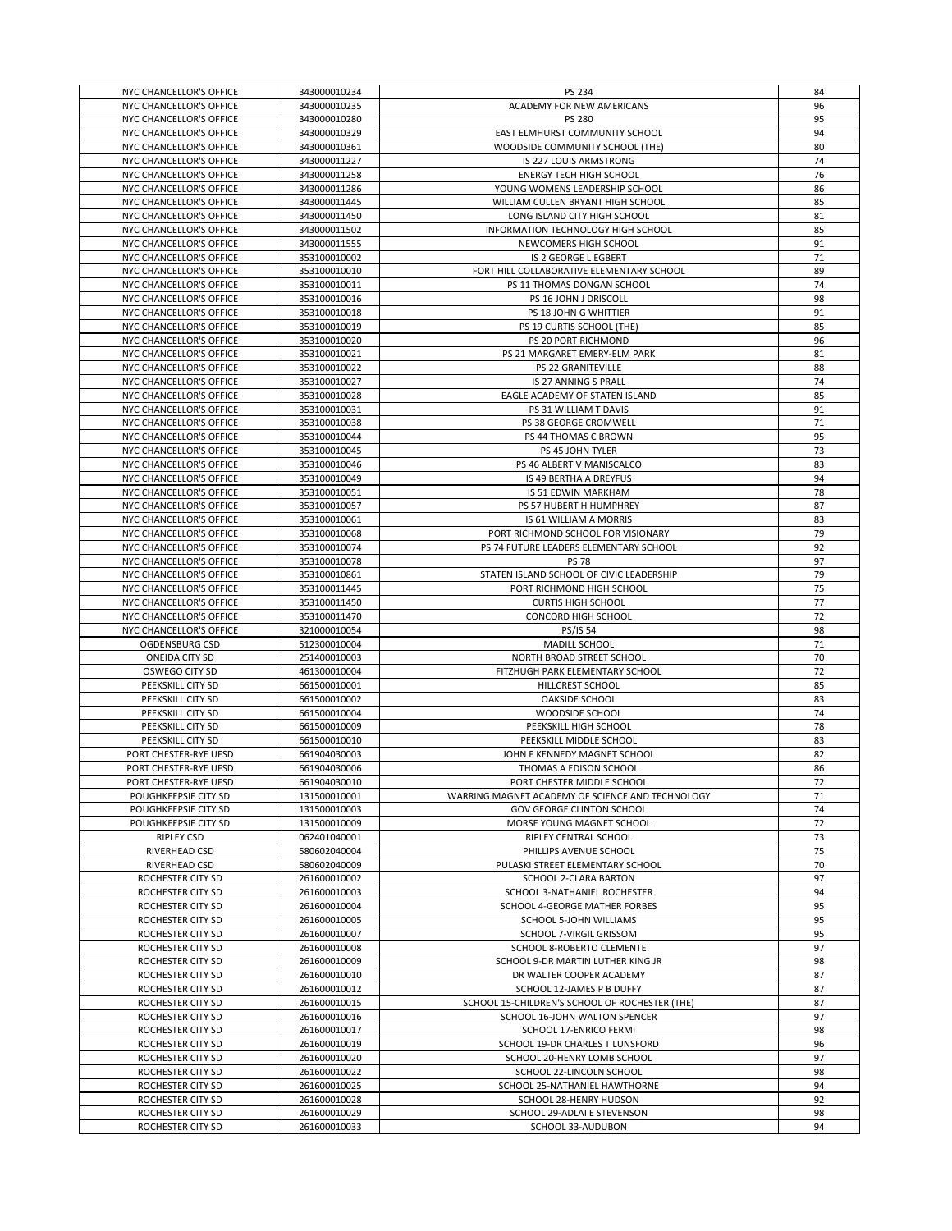| NYC CHANCELLOR'S OFFICE | 343000010234                 | PS 234                                                        | 84         |
|-------------------------|------------------------------|---------------------------------------------------------------|------------|
| NYC CHANCELLOR'S OFFICE | 343000010235                 | ACADEMY FOR NEW AMERICANS                                     | 96         |
|                         |                              |                                                               |            |
| NYC CHANCELLOR'S OFFICE | 343000010280                 | <b>PS 280</b>                                                 | 95         |
| NYC CHANCELLOR'S OFFICE | 343000010329                 | EAST ELMHURST COMMUNITY SCHOOL                                | 94         |
| NYC CHANCELLOR'S OFFICE | 343000010361                 | WOODSIDE COMMUNITY SCHOOL (THE)                               | 80         |
| NYC CHANCELLOR'S OFFICE | 343000011227                 | <b>IS 227 LOUIS ARMSTRONG</b>                                 | 74         |
| NYC CHANCELLOR'S OFFICE | 343000011258                 | <b>ENERGY TECH HIGH SCHOOL</b>                                | 76         |
| NYC CHANCELLOR'S OFFICE | 343000011286                 | YOUNG WOMENS LEADERSHIP SCHOOL                                | 86         |
| NYC CHANCELLOR'S OFFICE | 343000011445                 | WILLIAM CULLEN BRYANT HIGH SCHOOL                             | 85         |
|                         |                              |                                                               |            |
| NYC CHANCELLOR'S OFFICE | 343000011450                 | LONG ISLAND CITY HIGH SCHOOL                                  | 81         |
| NYC CHANCELLOR'S OFFICE | 343000011502                 | INFORMATION TECHNOLOGY HIGH SCHOOL                            | 85         |
| NYC CHANCELLOR'S OFFICE | 343000011555                 | NEWCOMERS HIGH SCHOOL                                         | 91         |
| NYC CHANCELLOR'S OFFICE | 353100010002                 | IS 2 GEORGE L EGBERT                                          | 71         |
| NYC CHANCELLOR'S OFFICE | 353100010010                 | FORT HILL COLLABORATIVE ELEMENTARY SCHOOL                     | 89         |
| NYC CHANCELLOR'S OFFICE | 353100010011                 | PS 11 THOMAS DONGAN SCHOOL                                    | 74         |
| NYC CHANCELLOR'S OFFICE | 353100010016                 | PS 16 JOHN J DRISCOLL                                         | 98         |
|                         |                              |                                                               | 91         |
| NYC CHANCELLOR'S OFFICE | 353100010018                 | PS 18 JOHN G WHITTIER                                         |            |
| NYC CHANCELLOR'S OFFICE | 353100010019                 | PS 19 CURTIS SCHOOL (THE)                                     | 85         |
| NYC CHANCELLOR'S OFFICE | 353100010020                 | PS 20 PORT RICHMOND                                           | 96         |
| NYC CHANCELLOR'S OFFICE | 353100010021                 | PS 21 MARGARET EMERY-ELM PARK                                 | 81         |
| NYC CHANCELLOR'S OFFICE | 353100010022                 | PS 22 GRANITEVILLE                                            | 88         |
| NYC CHANCELLOR'S OFFICE | 353100010027                 | IS 27 ANNING S PRALL                                          | 74         |
| NYC CHANCELLOR'S OFFICE | 353100010028                 | EAGLE ACADEMY OF STATEN ISLAND                                | 85         |
| NYC CHANCELLOR'S OFFICE | 353100010031                 | PS 31 WILLIAM T DAVIS                                         | 91         |
|                         |                              |                                                               |            |
| NYC CHANCELLOR'S OFFICE | 353100010038                 | PS 38 GEORGE CROMWELL                                         | 71         |
| NYC CHANCELLOR'S OFFICE | 353100010044                 | PS 44 THOMAS C BROWN                                          | 95         |
| NYC CHANCELLOR'S OFFICE | 353100010045                 | PS 45 JOHN TYLER                                              | 73         |
| NYC CHANCELLOR'S OFFICE | 353100010046                 | PS 46 ALBERT V MANISCALCO                                     | 83         |
| NYC CHANCELLOR'S OFFICE | 353100010049                 | IS 49 BERTHA A DREYFUS                                        | 94         |
| NYC CHANCELLOR'S OFFICE | 353100010051                 | IS 51 EDWIN MARKHAM                                           | 78         |
| NYC CHANCELLOR'S OFFICE | 353100010057                 | PS 57 HUBERT H HUMPHREY                                       | 87         |
| NYC CHANCELLOR'S OFFICE | 353100010061                 | IS 61 WILLIAM A MORRIS                                        | 83         |
|                         |                              |                                                               |            |
| NYC CHANCELLOR'S OFFICE | 353100010068                 | PORT RICHMOND SCHOOL FOR VISIONARY                            | 79         |
| NYC CHANCELLOR'S OFFICE | 353100010074                 | PS 74 FUTURE LEADERS ELEMENTARY SCHOOL                        | 92         |
| NYC CHANCELLOR'S OFFICE | 353100010078                 | <b>PS 78</b>                                                  | 97         |
| NYC CHANCELLOR'S OFFICE | 353100010861                 | STATEN ISLAND SCHOOL OF CIVIC LEADERSHIP                      | 79         |
| NYC CHANCELLOR'S OFFICE | 353100011445                 | PORT RICHMOND HIGH SCHOOL                                     | 75         |
| NYC CHANCELLOR'S OFFICE | 353100011450                 | <b>CURTIS HIGH SCHOOL</b>                                     | 77         |
|                         | 353100011470                 |                                                               |            |
| NYC CHANCELLOR'S OFFICE |                              | CONCORD HIGH SCHOOL                                           | 72         |
|                         |                              | <b>PS/IS 54</b>                                               | 98         |
| NYC CHANCELLOR'S OFFICE | 321000010054                 |                                                               |            |
| OGDENSBURG CSD          | 512300010004                 | MADILL SCHOOL                                                 | 71         |
| ONEIDA CITY SD          | 251400010003                 | NORTH BROAD STREET SCHOOL                                     | 70         |
| OSWEGO CITY SD          | 461300010004                 | FITZHUGH PARK ELEMENTARY SCHOOL                               | 72         |
| PEEKSKILL CITY SD       | 661500010001                 | HILLCREST SCHOOL                                              | 85         |
| PEEKSKILL CITY SD       | 661500010002                 | OAKSIDE SCHOOL                                                | 83         |
| PEEKSKILL CITY SD       | 661500010004                 | WOODSIDE SCHOOL                                               | 74         |
| PEEKSKILL CITY SD       | 661500010009                 | PEEKSKILL HIGH SCHOOL                                         | 78         |
| PEEKSKILL CITY SD       | 661500010010                 | PEEKSKILL MIDDLE SCHOOL                                       | 83         |
| PORT CHESTER-RYE UFSD   | 661904030003                 | JOHN F KENNEDY MAGNET SCHOOL                                  | 82         |
|                         |                              |                                                               |            |
| PORT CHESTER-RYE UFSD   | 661904030006                 | THOMAS A EDISON SCHOOL                                        | 86         |
| PORT CHESTER-RYE UFSD   | 661904030010                 | PORT CHESTER MIDDLE SCHOOL                                    | $\sqrt{2}$ |
| POUGHKEEPSIE CITY SD    | 131500010001                 | WARRING MAGNET ACADEMY OF SCIENCE AND TECHNOLOGY              | 71         |
| POUGHKEEPSIE CITY SD    | 131500010003                 | <b>GOV GEORGE CLINTON SCHOOL</b>                              | 74         |
| POUGHKEEPSIE CITY SD    | 131500010009                 | MORSE YOUNG MAGNET SCHOOL                                     | 72         |
| <b>RIPLEY CSD</b>       | 062401040001                 | RIPLEY CENTRAL SCHOOL                                         | 73         |
| RIVERHEAD CSD           | 580602040004                 | PHILLIPS AVENUE SCHOOL                                        | 75         |
| RIVERHEAD CSD           | 580602040009                 | PULASKI STREET ELEMENTARY SCHOOL                              | 70         |
| ROCHESTER CITY SD       | 261600010002                 | SCHOOL 2-CLARA BARTON                                         | 97         |
|                         |                              |                                                               |            |
| ROCHESTER CITY SD       | 261600010003<br>261600010004 | SCHOOL 3-NATHANIEL ROCHESTER<br>SCHOOL 4-GEORGE MATHER FORBES | 94         |
| ROCHESTER CITY SD       |                              |                                                               | 95         |
| ROCHESTER CITY SD       | 261600010005                 | SCHOOL 5-JOHN WILLIAMS                                        | 95         |
| ROCHESTER CITY SD       | 261600010007                 | SCHOOL 7-VIRGIL GRISSOM                                       | 95         |
| ROCHESTER CITY SD       | 261600010008                 | SCHOOL 8-ROBERTO CLEMENTE                                     | 97         |
| ROCHESTER CITY SD       | 261600010009                 | SCHOOL 9-DR MARTIN LUTHER KING JR                             | 98         |
| ROCHESTER CITY SD       | 261600010010                 | DR WALTER COOPER ACADEMY                                      | 87         |
| ROCHESTER CITY SD       | 261600010012                 | SCHOOL 12-JAMES P B DUFFY                                     | 87         |
| ROCHESTER CITY SD       | 261600010015                 | SCHOOL 15-CHILDREN'S SCHOOL OF ROCHESTER (THE)                | 87         |
| ROCHESTER CITY SD       | 261600010016                 | SCHOOL 16-JOHN WALTON SPENCER                                 | 97         |
|                         |                              |                                                               |            |
| ROCHESTER CITY SD       | 261600010017                 | SCHOOL 17-ENRICO FERMI                                        | 98         |
| ROCHESTER CITY SD       | 261600010019                 | SCHOOL 19-DR CHARLES T LUNSFORD                               | 96         |
| ROCHESTER CITY SD       | 261600010020                 | SCHOOL 20-HENRY LOMB SCHOOL                                   | 97         |
| ROCHESTER CITY SD       | 261600010022                 | SCHOOL 22-LINCOLN SCHOOL                                      | 98         |
| ROCHESTER CITY SD       | 261600010025                 | SCHOOL 25-NATHANIEL HAWTHORNE                                 | 94         |
| ROCHESTER CITY SD       | 261600010028                 | SCHOOL 28-HENRY HUDSON                                        | 92         |
| ROCHESTER CITY SD       | 261600010029                 | SCHOOL 29-ADLAI E STEVENSON                                   | 98         |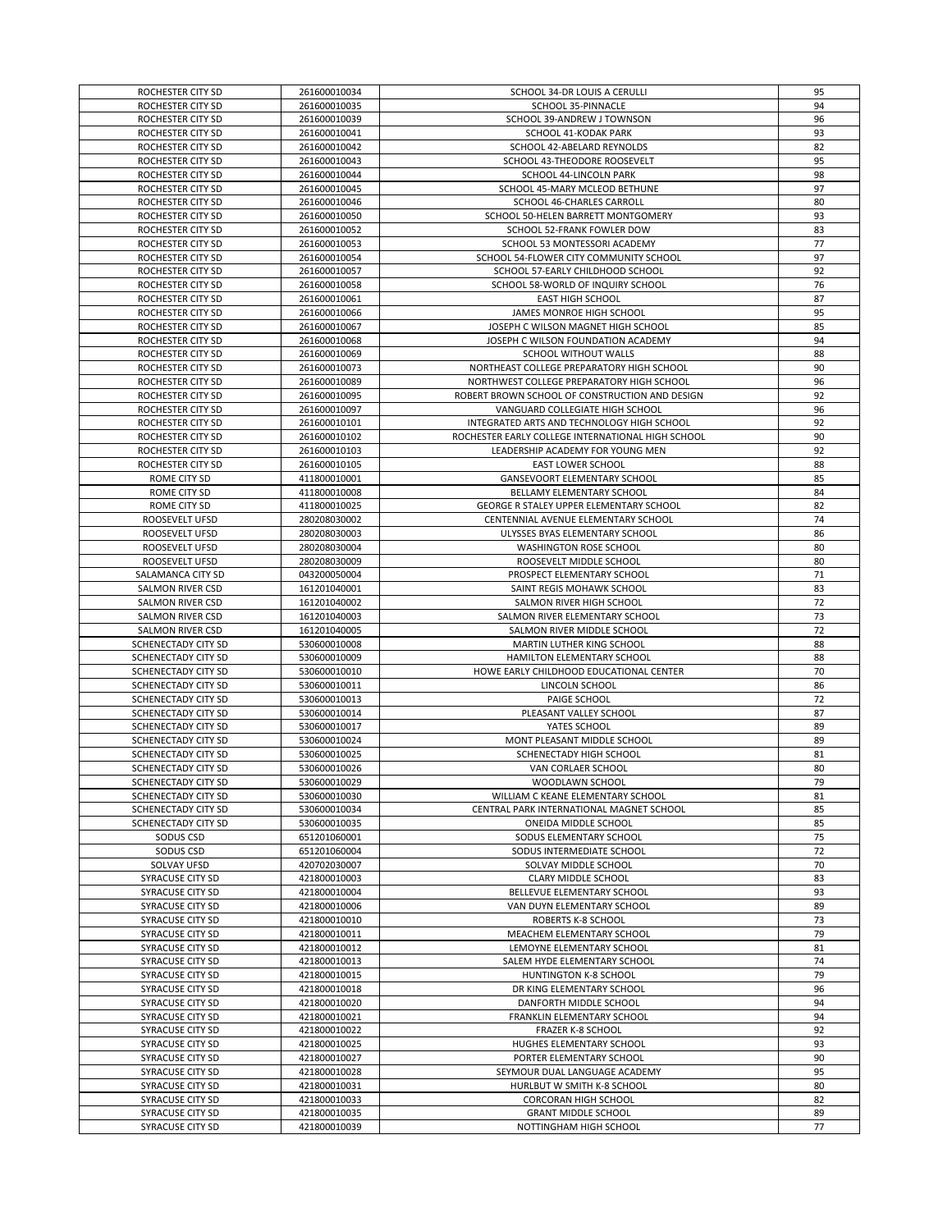| ROCHESTER CITY SD       | 261600010034 | SCHOOL 34-DR LOUIS A CERULLI                             | 95 |
|-------------------------|--------------|----------------------------------------------------------|----|
| ROCHESTER CITY SD       | 261600010035 | SCHOOL 35-PINNACLE                                       | 94 |
| ROCHESTER CITY SD       | 261600010039 | SCHOOL 39-ANDREW J TOWNSON                               | 96 |
| ROCHESTER CITY SD       | 261600010041 | SCHOOL 41-KODAK PARK                                     | 93 |
| ROCHESTER CITY SD       | 261600010042 | SCHOOL 42-ABELARD REYNOLDS                               | 82 |
| ROCHESTER CITY SD       | 261600010043 | SCHOOL 43-THEODORE ROOSEVELT                             | 95 |
| ROCHESTER CITY SD       | 261600010044 | SCHOOL 44-LINCOLN PARK                                   | 98 |
| ROCHESTER CITY SD       | 261600010045 | SCHOOL 45-MARY MCLEOD BETHUNE                            | 97 |
| ROCHESTER CITY SD       | 261600010046 | SCHOOL 46-CHARLES CARROLL                                | 80 |
| ROCHESTER CITY SD       | 261600010050 | SCHOOL 50-HELEN BARRETT MONTGOMERY                       | 93 |
|                         |              |                                                          |    |
| ROCHESTER CITY SD       | 261600010052 | SCHOOL 52-FRANK FOWLER DOW                               | 83 |
| ROCHESTER CITY SD       | 261600010053 | SCHOOL 53 MONTESSORI ACADEMY                             | 77 |
| ROCHESTER CITY SD       | 261600010054 | SCHOOL 54-FLOWER CITY COMMUNITY SCHOOL                   | 97 |
| ROCHESTER CITY SD       | 261600010057 | SCHOOL 57-EARLY CHILDHOOD SCHOOL                         | 92 |
| ROCHESTER CITY SD       | 261600010058 | SCHOOL 58-WORLD OF INQUIRY SCHOOL                        | 76 |
| ROCHESTER CITY SD       | 261600010061 | EAST HIGH SCHOOL                                         | 87 |
| ROCHESTER CITY SD       | 261600010066 | JAMES MONROE HIGH SCHOOL                                 | 95 |
| ROCHESTER CITY SD       | 261600010067 | JOSEPH C WILSON MAGNET HIGH SCHOOL                       | 85 |
| ROCHESTER CITY SD       | 261600010068 | JOSEPH C WILSON FOUNDATION ACADEMY                       | 94 |
| ROCHESTER CITY SD       | 261600010069 | SCHOOL WITHOUT WALLS                                     | 88 |
| ROCHESTER CITY SD       | 261600010073 | NORTHEAST COLLEGE PREPARATORY HIGH SCHOOL                | 90 |
| ROCHESTER CITY SD       | 261600010089 | NORTHWEST COLLEGE PREPARATORY HIGH SCHOOL                | 96 |
| ROCHESTER CITY SD       | 261600010095 | ROBERT BROWN SCHOOL OF CONSTRUCTION AND DESIGN           | 92 |
| ROCHESTER CITY SD       | 261600010097 | VANGUARD COLLEGIATE HIGH SCHOOL                          | 96 |
| ROCHESTER CITY SD       | 261600010101 | INTEGRATED ARTS AND TECHNOLOGY HIGH SCHOOL               | 92 |
| ROCHESTER CITY SD       | 261600010102 | ROCHESTER EARLY COLLEGE INTERNATIONAL HIGH SCHOOL        | 90 |
| ROCHESTER CITY SD       | 261600010103 | LEADERSHIP ACADEMY FOR YOUNG MEN                         | 92 |
|                         |              |                                                          |    |
| ROCHESTER CITY SD       | 261600010105 | EAST LOWER SCHOOL<br><b>GANSEVOORT ELEMENTARY SCHOOL</b> | 88 |
| ROME CITY SD            | 411800010001 |                                                          | 85 |
| ROME CITY SD            | 411800010008 | BELLAMY ELEMENTARY SCHOOL                                | 84 |
| ROME CITY SD            | 411800010025 | GEORGE R STALEY UPPER ELEMENTARY SCHOOL                  | 82 |
| ROOSEVELT UFSD          | 280208030002 | CENTENNIAL AVENUE ELEMENTARY SCHOOL                      | 74 |
| ROOSEVELT UFSD          | 280208030003 | ULYSSES BYAS ELEMENTARY SCHOOL                           | 86 |
| ROOSEVELT UFSD          | 280208030004 | WASHINGTON ROSE SCHOOL                                   | 80 |
| ROOSEVELT UFSD          | 280208030009 | ROOSEVELT MIDDLE SCHOOL                                  | 80 |
| SALAMANCA CITY SD       | 043200050004 | PROSPECT ELEMENTARY SCHOOL                               | 71 |
| SALMON RIVER CSD        | 161201040001 | SAINT REGIS MOHAWK SCHOOL                                | 83 |
| SALMON RIVER CSD        | 161201040002 | SALMON RIVER HIGH SCHOOL                                 | 72 |
| SALMON RIVER CSD        | 161201040003 | SALMON RIVER ELEMENTARY SCHOOL                           | 73 |
| SALMON RIVER CSD        | 161201040005 | SALMON RIVER MIDDLE SCHOOL                               | 72 |
| SCHENECTADY CITY SD     | 530600010008 | MARTIN LUTHER KING SCHOOL                                | 88 |
| SCHENECTADY CITY SD     | 530600010009 | HAMILTON ELEMENTARY SCHOOL                               | 88 |
| SCHENECTADY CITY SD     | 530600010010 | HOWE EARLY CHILDHOOD EDUCATIONAL CENTER                  | 70 |
|                         |              |                                                          |    |
| SCHENECTADY CITY SD     | 530600010011 | LINCOLN SCHOOL                                           | 86 |
| SCHENECTADY CITY SD     | 530600010013 | PAIGE SCHOOL                                             | 72 |
| SCHENECTADY CITY SD     | 530600010014 | PLEASANT VALLEY SCHOOL                                   | 87 |
| SCHENECTADY CITY SD     | 530600010017 | YATES SCHOOL                                             | 89 |
| SCHENECTADY CITY SD     | 530600010024 | MONT PLEASANT MIDDLE SCHOOL                              | 89 |
| SCHENECTADY CITY SD     | 530600010025 | SCHENECTADY HIGH SCHOOL                                  | 81 |
| SCHENECTADY CITY SD     | 530600010026 | VAN CORLAER SCHOOL                                       | 80 |
| SCHENECTADY CITY SD     | 530600010029 | WOODLAWN SCHOOL                                          | 79 |
| SCHENECTADY CITY SD     | 530600010030 | WILLIAM C KEANE ELEMENTARY SCHOOL                        | 81 |
| SCHENECTADY CITY SD     | 530600010034 | CENTRAL PARK INTERNATIONAL MAGNET SCHOOL                 | 85 |
| SCHENECTADY CITY SD     | 530600010035 | <b>ONEIDA MIDDLE SCHOOL</b>                              | 85 |
| SODUS CSD               | 651201060001 | SODUS ELEMENTARY SCHOOL                                  | 75 |
| SODUS CSD               | 651201060004 | SODUS INTERMEDIATE SCHOOL                                | 72 |
| SOLVAY UFSD             | 420702030007 | SOLVAY MIDDLE SCHOOL                                     | 70 |
| SYRACUSE CITY SD        | 421800010003 | CLARY MIDDLE SCHOOL                                      | 83 |
| SYRACUSE CITY SD        | 421800010004 | BELLEVUE ELEMENTARY SCHOOL                               | 93 |
| SYRACUSE CITY SD        | 421800010006 | VAN DUYN ELEMENTARY SCHOOL                               | 89 |
| SYRACUSE CITY SD        | 421800010010 | ROBERTS K-8 SCHOOL                                       | 73 |
| SYRACUSE CITY SD        | 421800010011 | MEACHEM ELEMENTARY SCHOOL                                | 79 |
| SYRACUSE CITY SD        | 421800010012 |                                                          | 81 |
| <b>SYRACUSE CITY SD</b> |              | LEMOYNE ELEMENTARY SCHOOL                                |    |
|                         | 421800010013 | SALEM HYDE ELEMENTARY SCHOOL                             | 74 |
| SYRACUSE CITY SD        | 421800010015 | HUNTINGTON K-8 SCHOOL                                    | 79 |
| SYRACUSE CITY SD        | 421800010018 | DR KING ELEMENTARY SCHOOL                                | 96 |
| SYRACUSE CITY SD        | 421800010020 | DANFORTH MIDDLE SCHOOL                                   | 94 |
| SYRACUSE CITY SD        | 421800010021 | FRANKLIN ELEMENTARY SCHOOL                               | 94 |
| SYRACUSE CITY SD        | 421800010022 | <b>FRAZER K-8 SCHOOL</b>                                 | 92 |
| SYRACUSE CITY SD        | 421800010025 | HUGHES ELEMENTARY SCHOOL                                 | 93 |
| SYRACUSE CITY SD        | 421800010027 | PORTER ELEMENTARY SCHOOL                                 | 90 |
| SYRACUSE CITY SD        | 421800010028 | SEYMOUR DUAL LANGUAGE ACADEMY                            | 95 |
| SYRACUSE CITY SD        | 421800010031 | HURLBUT W SMITH K-8 SCHOOL                               | 80 |
| SYRACUSE CITY SD        | 421800010033 | <b>CORCORAN HIGH SCHOOL</b>                              | 82 |
| SYRACUSE CITY SD        | 421800010035 | <b>GRANT MIDDLE SCHOOL</b>                               | 89 |
| SYRACUSE CITY SD        | 421800010039 | NOTTINGHAM HIGH SCHOOL                                   | 77 |
|                         |              |                                                          |    |